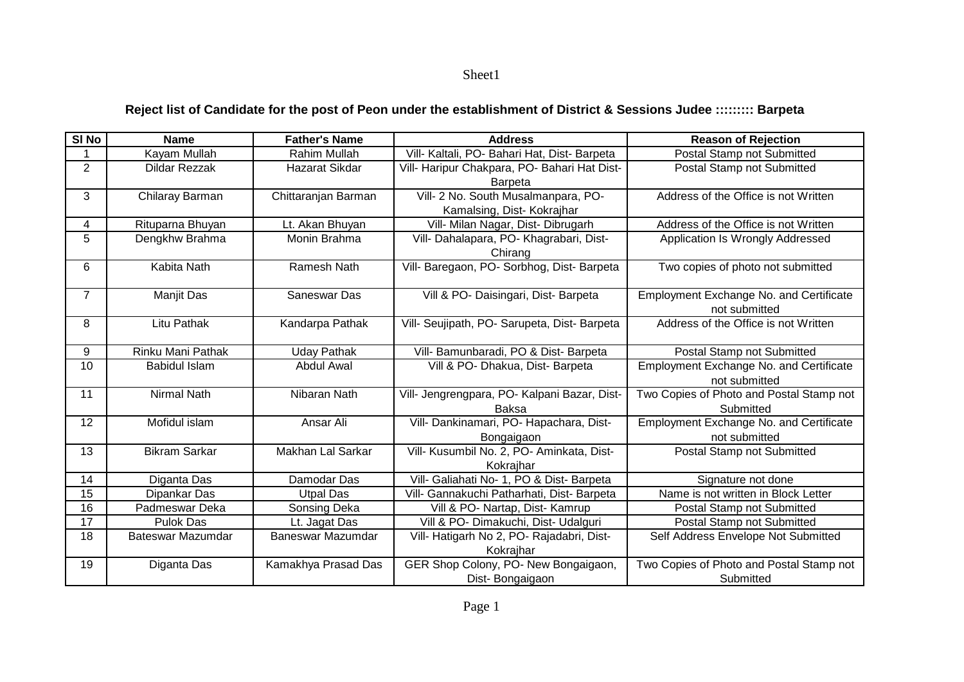Sheet1

## **Reject list of Candidate for the post of Peon under the establishment of District & Sessions Judee ::::::::: Barpeta**

| SI No          | <b>Name</b>              | <b>Father's Name</b> | <b>Address</b>                               | <b>Reason of Rejection</b>                     |
|----------------|--------------------------|----------------------|----------------------------------------------|------------------------------------------------|
| 1              | Kayam Mullah             | <b>Rahim Mullah</b>  | Vill- Kaltali, PO- Bahari Hat, Dist- Barpeta | Postal Stamp not Submitted                     |
| $\overline{2}$ | <b>Dildar Rezzak</b>     | Hazarat Sikdar       | Vill- Haripur Chakpara, PO- Bahari Hat Dist- | Postal Stamp not Submitted                     |
|                |                          |                      | <b>Barpeta</b>                               |                                                |
| 3              | Chilaray Barman          | Chittaranjan Barman  | Vill- 2 No. South Musalmanpara, PO-          | Address of the Office is not Written           |
|                |                          |                      | Kamalsing, Dist- Kokrajhar                   |                                                |
| 4              | Rituparna Bhuyan         | Lt. Akan Bhuyan      | Vill- Milan Nagar, Dist- Dibrugarh           | Address of the Office is not Written           |
| 5              | Dengkhw Brahma           | Monin Brahma         | Vill- Dahalapara, PO- Khagrabari, Dist-      | Application Is Wrongly Addressed               |
|                |                          |                      | Chirang                                      |                                                |
| 6              | Kabita Nath              | Ramesh Nath          | Vill- Baregaon, PO- Sorbhog, Dist- Barpeta   | Two copies of photo not submitted              |
|                |                          |                      |                                              |                                                |
| $\overline{7}$ | Manjit Das               | Saneswar Das         | Vill & PO- Daisingari, Dist- Barpeta         | <b>Employment Exchange No. and Certificate</b> |
|                |                          |                      |                                              | not submitted                                  |
| 8              | Litu Pathak              | Kandarpa Pathak      | Vill- Seujipath, PO- Sarupeta, Dist- Barpeta | Address of the Office is not Written           |
|                |                          |                      |                                              |                                                |
| 9              | <b>Rinku Mani Pathak</b> | <b>Uday Pathak</b>   | Vill- Bamunbaradi, PO & Dist- Barpeta        | Postal Stamp not Submitted                     |
| 10             | <b>Babidul Islam</b>     | <b>Abdul Awal</b>    | Vill & PO- Dhakua, Dist- Barpeta             | <b>Employment Exchange No. and Certificate</b> |
|                |                          |                      |                                              | not submitted                                  |
| 11             | <b>Nirmal Nath</b>       | Nibaran Nath         | Vill- Jengrengpara, PO- Kalpani Bazar, Dist- | Two Copies of Photo and Postal Stamp not       |
|                |                          |                      | Baksa                                        | Submitted                                      |
| 12             | Mofidul islam            | Ansar Ali            | Vill- Dankinamari, PO- Hapachara, Dist-      | <b>Employment Exchange No. and Certificate</b> |
|                |                          |                      | Bongaigaon                                   | not submitted                                  |
| 13             | <b>Bikram Sarkar</b>     | Makhan Lal Sarkar    | Vill- Kusumbil No. 2, PO- Aminkata, Dist-    | <b>Postal Stamp not Submitted</b>              |
|                |                          |                      | Kokrajhar                                    |                                                |
| 14             | Diganta Das              | Damodar Das          | Vill- Galiahati No- 1, PO & Dist- Barpeta    | Signature not done                             |
| 15             | Dipankar Das             | <b>Utpal Das</b>     | Vill- Gannakuchi Patharhati, Dist- Barpeta   | Name is not written in Block Letter            |
| 16             | Padmeswar Deka           | Sonsing Deka         | Vill & PO- Nartap, Dist- Kamrup              | Postal Stamp not Submitted                     |
| 17             | <b>Pulok Das</b>         | Lt. Jagat Das        | Vill & PO- Dimakuchi, Dist- Udalguri         | Postal Stamp not Submitted                     |
| 18             | Bateswar Mazumdar        | Baneswar Mazumdar    | Vill- Hatigarh No 2, PO- Rajadabri, Dist-    | Self Address Envelope Not Submitted            |
|                |                          |                      | Kokrajhar                                    |                                                |
| 19             | Diganta Das              | Kamakhya Prasad Das  | GER Shop Colony, PO- New Bongaigaon,         | Two Copies of Photo and Postal Stamp not       |
|                |                          |                      | Dist-Bongaigaon                              | Submitted                                      |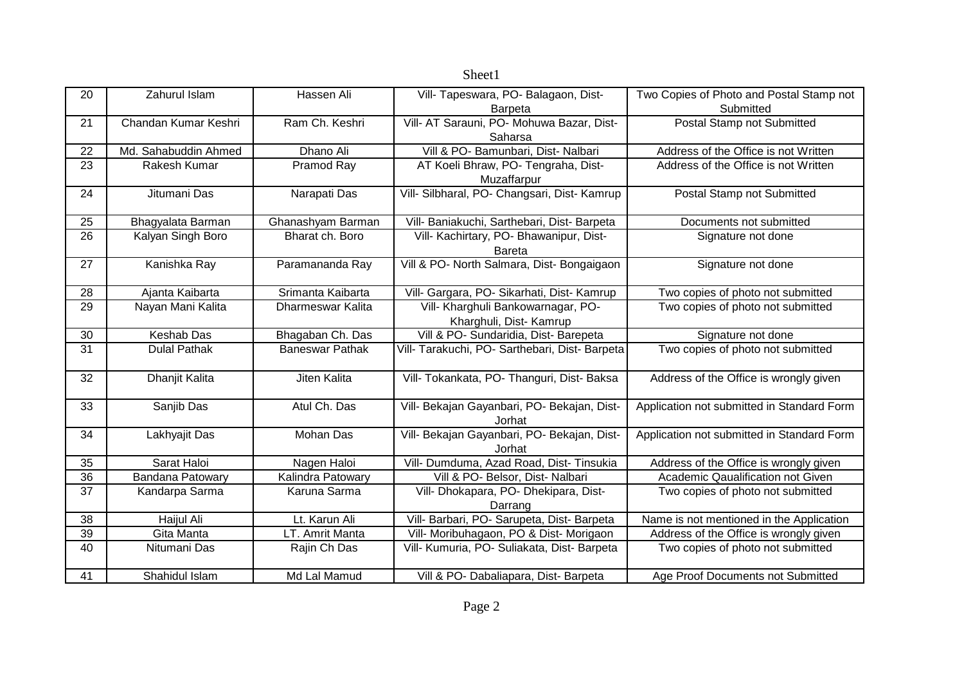| 20              | Zahurul Islam        | Hassen Ali             | Vill- Tapeswara, PO- Balagaon, Dist-                          | Two Copies of Photo and Postal Stamp not   |
|-----------------|----------------------|------------------------|---------------------------------------------------------------|--------------------------------------------|
|                 |                      |                        | <b>Barpeta</b>                                                | Submitted                                  |
| 21              | Chandan Kumar Keshri | Ram Ch. Keshri         | Vill- AT Sarauni, PO- Mohuwa Bazar, Dist-<br>Saharsa          | Postal Stamp not Submitted                 |
| 22              | Md. Sahabuddin Ahmed | Dhano Ali              | Vill & PO- Bamunbari, Dist- Nalbari                           | Address of the Office is not Written       |
| 23              | Rakesh Kumar         | Pramod Ray             | AT Koeli Bhraw, PO- Tengraha, Dist-<br>Muzaffarpur            | Address of the Office is not Written       |
| 24              | Jitumani Das         | Narapati Das           | Vill- Silbharal, PO- Changsari, Dist- Kamrup                  | Postal Stamp not Submitted                 |
| 25              | Bhagyalata Barman    | Ghanashyam Barman      | Vill- Baniakuchi, Sarthebari, Dist- Barpeta                   | Documents not submitted                    |
| 26              | Kalyan Singh Boro    | Bharat ch. Boro        | Vill- Kachirtary, PO- Bhawanipur, Dist-<br><b>Bareta</b>      | Signature not done                         |
| 27              | Kanishka Ray         | Paramananda Ray        | Vill & PO- North Salmara, Dist- Bongaigaon                    | Signature not done                         |
| 28              | Ajanta Kaibarta      | Srimanta Kaibarta      | Vill- Gargara, PO- Sikarhati, Dist- Kamrup                    | Two copies of photo not submitted          |
| 29              | Nayan Mani Kalita    | Dharmeswar Kalita      | Vill- Kharghuli Bankowarnagar, PO-<br>Kharghuli, Dist- Kamrup | Two copies of photo not submitted          |
| 30              | Keshab Das           | Bhagaban Ch. Das       | Vill & PO- Sundaridia, Dist- Barepeta                         | Signature not done                         |
| $\overline{31}$ | <b>Dulal Pathak</b>  | <b>Baneswar Pathak</b> | Vill- Tarakuchi, PO- Sarthebari, Dist- Barpeta                | Two copies of photo not submitted          |
| 32              | Dhanjit Kalita       | Jiten Kalita           | Vill- Tokankata, PO- Thanguri, Dist- Baksa                    | Address of the Office is wrongly given     |
| 33              | Sanjib Das           | Atul Ch. Das           | Vill- Bekajan Gayanbari, PO- Bekajan, Dist-<br>Jorhat         | Application not submitted in Standard Form |
| 34              | Lakhyajit Das        | Mohan Das              | Vill- Bekajan Gayanbari, PO- Bekajan, Dist-<br>Jorhat         | Application not submitted in Standard Form |
| 35              | Sarat Haloi          | Nagen Haloi            | Vill- Dumduma, Azad Road, Dist- Tinsukia                      | Address of the Office is wrongly given     |
| 36              | Bandana Patowary     | Kalindra Patowary      | Vill & PO- Belsor, Dist- Nalbari                              | Academic Qaualification not Given          |
| 37              | Kandarpa Sarma       | Karuna Sarma           | Vill- Dhokapara, PO- Dhekipara, Dist-<br>Darrang              | Two copies of photo not submitted          |
| 38              | Haijul Ali           | Lt. Karun Ali          | Vill- Barbari, PO- Sarupeta, Dist- Barpeta                    | Name is not mentioned in the Application   |
| $\overline{39}$ | Gita Manta           | LT. Amrit Manta        | Vill- Moribuhagaon, PO & Dist- Morigaon                       | Address of the Office is wrongly given     |
| 40              | Nitumani Das         | Rajin Ch Das           | Vill- Kumuria, PO- Suliakata, Dist- Barpeta                   | Two copies of photo not submitted          |
| 41              | Shahidul Islam       | Md Lal Mamud           | Vill & PO- Dabaliapara, Dist- Barpeta                         | Age Proof Documents not Submitted          |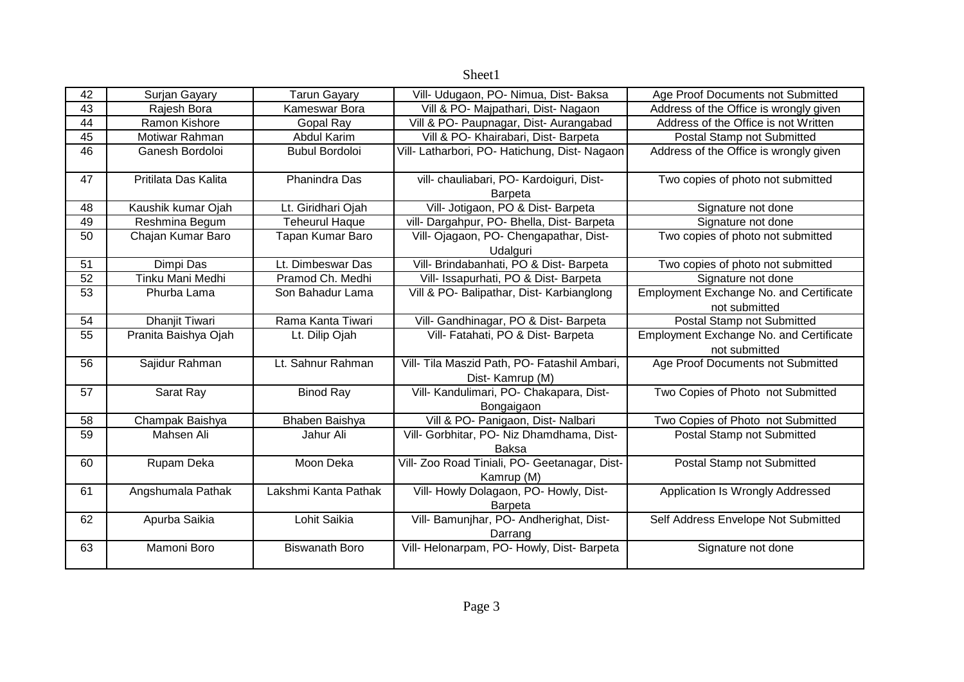| 42 | Surjan Gayary         | <b>Tarun Gayary</b>   | Vill- Udugaon, PO- Nimua, Dist- Baksa                           | Age Proof Documents not Submitted                               |
|----|-----------------------|-----------------------|-----------------------------------------------------------------|-----------------------------------------------------------------|
| 43 | Rajesh Bora           | Kameswar Bora         | Vill & PO- Majpathari, Dist- Nagaon                             | Address of the Office is wrongly given                          |
| 44 | Ramon Kishore         | Gopal Ray             | Vill & PO- Paupnagar, Dist- Aurangabad                          | Address of the Office is not Written                            |
| 45 | Motiwar Rahman        | Abdul Karim           | Vill & PO- Khairabari, Dist- Barpeta                            | Postal Stamp not Submitted                                      |
| 46 | Ganesh Bordoloi       | <b>Bubul Bordoloi</b> | Vill- Latharbori, PO- Hatichung, Dist- Nagaon                   | Address of the Office is wrongly given                          |
| 47 | Pritilata Das Kalita  | <b>Phanindra Das</b>  | vill- chauliabari, PO- Kardoiguri, Dist-<br>Barpeta             | Two copies of photo not submitted                               |
| 48 | Kaushik kumar Ojah    | Lt. Giridhari Ojah    | Vill- Jotigaon, PO & Dist- Barpeta                              | Signature not done                                              |
| 49 | Reshmina Begum        | <b>Teheurul Haque</b> | vill- Dargahpur, PO- Bhella, Dist- Barpeta                      | Signature not done                                              |
| 50 | Chajan Kumar Baro     | Tapan Kumar Baro      | Vill- Ojagaon, PO- Chengapathar, Dist-<br>Udalguri              | Two copies of photo not submitted                               |
| 51 | Dimpi Das             | Lt. Dimbeswar Das     | Vill- Brindabanhati, PO & Dist- Barpeta                         | Two copies of photo not submitted                               |
| 52 | Tinku Mani Medhi      | Pramod Ch. Medhi      | Vill- Issapurhati, PO & Dist- Barpeta                           | Signature not done                                              |
| 53 | Phurba Lama           | Son Bahadur Lama      | Vill & PO- Balipathar, Dist- Karbianglong                       | <b>Employment Exchange No. and Certificate</b><br>not submitted |
| 54 | <b>Dhanjit Tiwari</b> | Rama Kanta Tiwari     | Vill- Gandhinagar, PO & Dist- Barpeta                           | Postal Stamp not Submitted                                      |
| 55 | Pranita Baishya Ojah  | Lt. Dilip Ojah        | Vill- Fatahati, PO & Dist- Barpeta                              | Employment Exchange No. and Certificate<br>not submitted        |
| 56 | Sajidur Rahman        | Lt. Sahnur Rahman     | Vill- Tila Maszid Path, PO- Fatashil Ambari,<br>Dist-Kamrup (M) | Age Proof Documents not Submitted                               |
| 57 | Sarat Ray             | <b>Binod Ray</b>      | Vill- Kandulimari, PO- Chakapara, Dist-<br>Bongaigaon           | Two Copies of Photo not Submitted                               |
| 58 | Champak Baishya       | Bhaben Baishya        | Vill & PO- Panigaon, Dist- Nalbari                              | Two Copies of Photo not Submitted                               |
| 59 | Mahsen Ali            | Jahur Ali             | Vill- Gorbhitar, PO- Niz Dhamdhama, Dist-<br><b>Baksa</b>       | Postal Stamp not Submitted                                      |
| 60 | Rupam Deka            | Moon Deka             | Vill- Zoo Road Tiniali, PO- Geetanagar, Dist-<br>Kamrup (M)     | Postal Stamp not Submitted                                      |
| 61 | Angshumala Pathak     | Lakshmi Kanta Pathak  | Vill- Howly Dolagaon, PO- Howly, Dist-<br><b>Barpeta</b>        | Application Is Wrongly Addressed                                |
| 62 | Apurba Saikia         | Lohit Saikia          | Vill- Bamunjhar, PO- Andherighat, Dist-<br>Darrang              | Self Address Envelope Not Submitted                             |
| 63 | Mamoni Boro           | <b>Biswanath Boro</b> | Vill- Helonarpam, PO- Howly, Dist- Barpeta                      | Signature not done                                              |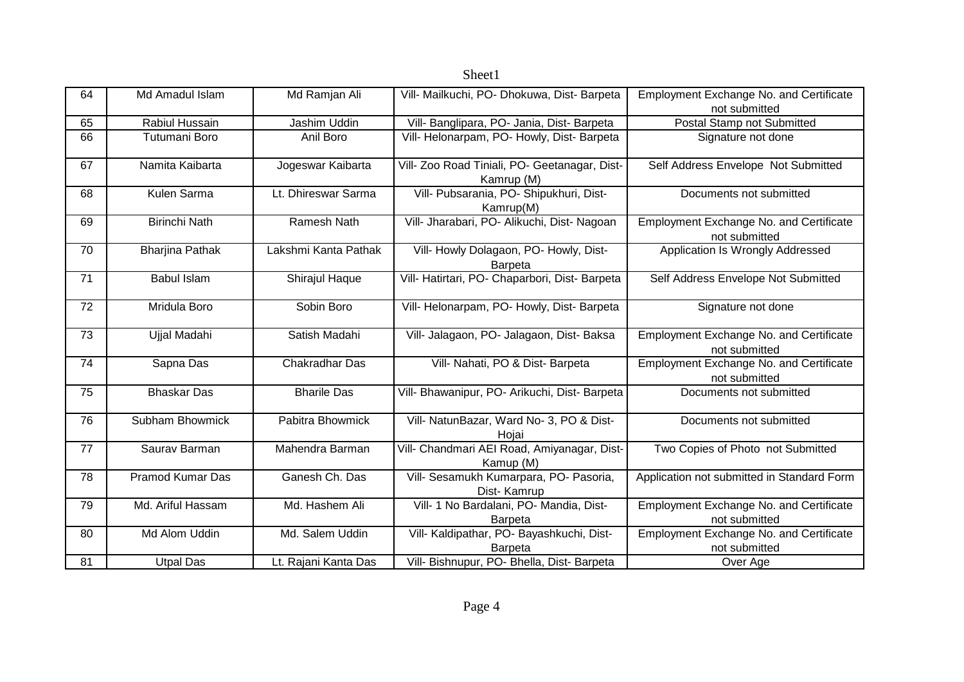| 64 | Md Amadul Islam        | Md Ramjan Ali        | Vill- Mailkuchi, PO- Dhokuwa, Dist- Barpeta                 | <b>Employment Exchange No. and Certificate</b><br>not submitted |
|----|------------------------|----------------------|-------------------------------------------------------------|-----------------------------------------------------------------|
| 65 | Rabiul Hussain         | Jashim Uddin         | Vill- Banglipara, PO- Jania, Dist- Barpeta                  | Postal Stamp not Submitted                                      |
| 66 | Tutumani Boro          | Anil Boro            | Vill- Helonarpam, PO- Howly, Dist- Barpeta                  | Signature not done                                              |
| 67 | Namita Kaibarta        | Jogeswar Kaibarta    | Vill- Zoo Road Tiniali, PO- Geetanagar, Dist-<br>Kamrup (M) | Self Address Envelope Not Submitted                             |
| 68 | Kulen Sarma            | Lt. Dhireswar Sarma  | Vill- Pubsarania, PO- Shipukhuri, Dist-<br>Kamrup(M)        | Documents not submitted                                         |
| 69 | <b>Birinchi Nath</b>   | Ramesh Nath          | Vill- Jharabari, PO- Alikuchi, Dist- Nagoan                 | Employment Exchange No. and Certificate<br>not submitted        |
| 70 | <b>Bharjina Pathak</b> | Lakshmi Kanta Pathak | Vill- Howly Dolagaon, PO- Howly, Dist-<br><b>Barpeta</b>    | Application Is Wrongly Addressed                                |
| 71 | <b>Babul Islam</b>     | Shirajul Haque       | Vill- Hatirtari, PO- Chaparbori, Dist- Barpeta              | Self Address Envelope Not Submitted                             |
| 72 | Mridula Boro           | Sobin Boro           | Vill- Helonarpam, PO- Howly, Dist- Barpeta                  | Signature not done                                              |
| 73 | Ujjal Madahi           | Satish Madahi        | Vill- Jalagaon, PO- Jalagaon, Dist- Baksa                   | <b>Employment Exchange No. and Certificate</b><br>not submitted |
| 74 | Sapna Das              | Chakradhar Das       | Vill- Nahati, PO & Dist- Barpeta                            | Employment Exchange No. and Certificate<br>not submitted        |
| 75 | <b>Bhaskar Das</b>     | <b>Bharile Das</b>   | Vill- Bhawanipur, PO- Arikuchi, Dist- Barpeta               | Documents not submitted                                         |
| 76 | <b>Subham Bhowmick</b> | Pabitra Bhowmick     | Vill- NatunBazar, Ward No- 3, PO & Dist-<br>Hojai           | Documents not submitted                                         |
| 77 | Saurav Barman          | Mahendra Barman      | Vill- Chandmari AEI Road, Amiyanagar, Dist-<br>Kamup (M)    | Two Copies of Photo not Submitted                               |
| 78 | Pramod Kumar Das       | Ganesh Ch. Das       | Vill- Sesamukh Kumarpara, PO- Pasoria,<br>Dist-Kamrup       | Application not submitted in Standard Form                      |
| 79 | Md. Ariful Hassam      | Md. Hashem Ali       | Vill- 1 No Bardalani, PO- Mandia, Dist-<br><b>Barpeta</b>   | Employment Exchange No. and Certificate<br>not submitted        |
| 80 | Md Alom Uddin          | Md. Salem Uddin      | Vill- Kaldipathar, PO- Bayashkuchi, Dist-<br><b>Barpeta</b> | Employment Exchange No. and Certificate<br>not submitted        |
| 81 | <b>Utpal Das</b>       | Lt. Rajani Kanta Das | Vill- Bishnupur, PO- Bhella, Dist- Barpeta                  | Over Age                                                        |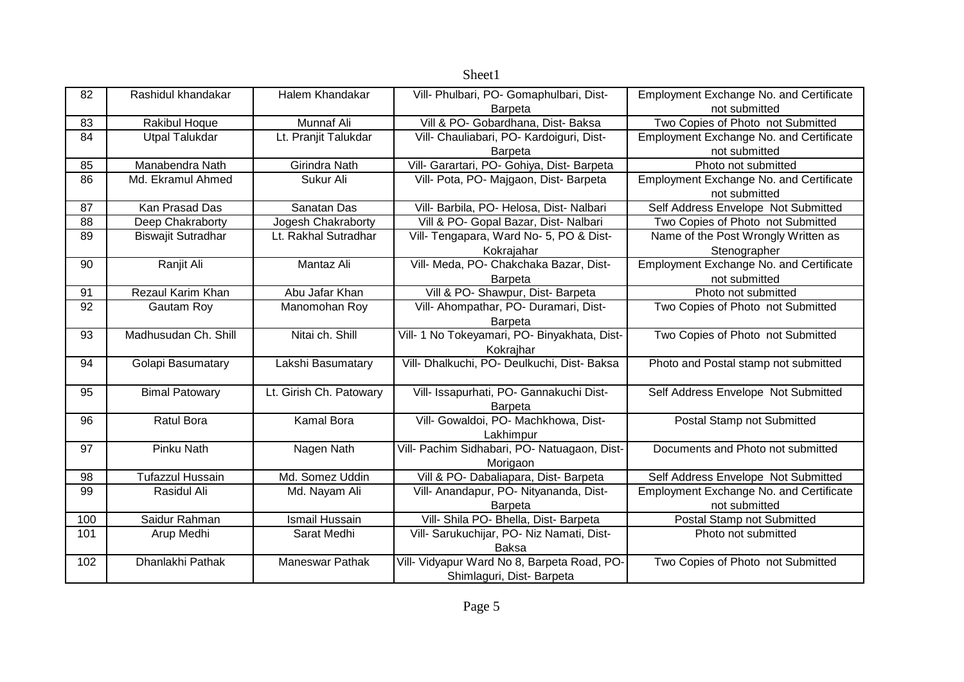|     |                           |                         | Sheet1                                       |                                                |
|-----|---------------------------|-------------------------|----------------------------------------------|------------------------------------------------|
| 82  | Rashidul khandakar        | Halem Khandakar         | Vill- Phulbari, PO- Gomaphulbari, Dist-      | Employment Exchange No. and Certificate        |
|     |                           |                         | <b>Barpeta</b>                               | not submitted                                  |
| 83  | Rakibul Hoque             | Munnaf Ali              | Vill & PO- Gobardhana, Dist- Baksa           | Two Copies of Photo not Submitted              |
| 84  | <b>Utpal Talukdar</b>     | Lt. Pranjit Talukdar    | Vill- Chauliabari, PO- Kardoiguri, Dist-     | Employment Exchange No. and Certificate        |
|     |                           |                         | <b>Barpeta</b>                               | not submitted                                  |
| 85  | Manabendra Nath           | Girindra Nath           | Vill- Garartari, PO- Gohiya, Dist- Barpeta   | Photo not submitted                            |
| 86  | Md. Ekramul Ahmed         | Sukur Ali               | Vill- Pota, PO- Majgaon, Dist- Barpeta       | Employment Exchange No. and Certificate        |
|     |                           |                         |                                              | not submitted                                  |
| 87  | Kan Prasad Das            | Sanatan Das             | Vill- Barbila, PO- Helosa, Dist- Nalbari     | Self Address Envelope Not Submitted            |
| 88  | Deep Chakraborty          | Jogesh Chakraborty      | Vill & PO- Gopal Bazar, Dist- Nalbari        | Two Copies of Photo not Submitted              |
| 89  | <b>Biswajit Sutradhar</b> | Lt. Rakhal Sutradhar    | Vill- Tengapara, Ward No- 5, PO & Dist-      | Name of the Post Wrongly Written as            |
|     |                           |                         | Kokrajahar                                   | Stenographer                                   |
| 90  | Ranjit Ali                | Mantaz Ali              | Vill- Meda, PO- Chakchaka Bazar, Dist-       | <b>Employment Exchange No. and Certificate</b> |
|     |                           |                         | <b>Barpeta</b>                               | not submitted                                  |
| 91  | Rezaul Karim Khan         | Abu Jafar Khan          | Vill & PO- Shawpur, Dist- Barpeta            | Photo not submitted                            |
| 92  | Gautam Roy                | Manomohan Roy           | Vill- Ahompathar, PO- Duramari, Dist-        | Two Copies of Photo not Submitted              |
|     |                           |                         | Barpeta                                      |                                                |
| 93  | Madhusudan Ch. Shill      | Nitai ch. Shill         | Vill- 1 No Tokeyamari, PO- Binyakhata, Dist- | Two Copies of Photo not Submitted              |
|     |                           |                         | Kokrajhar                                    |                                                |
| 94  | Golapi Basumatary         | Lakshi Basumatary       | Vill- Dhalkuchi, PO- Deulkuchi, Dist- Baksa  | Photo and Postal stamp not submitted           |
| 95  | <b>Bimal Patowary</b>     | Lt. Girish Ch. Patowary | Vill- Issapurhati, PO- Gannakuchi Dist-      | Self Address Envelope Not Submitted            |
|     |                           |                         | <b>Barpeta</b>                               |                                                |
| 96  | <b>Ratul Bora</b>         | Kamal Bora              | Vill- Gowaldoi, PO- Machkhowa, Dist-         | Postal Stamp not Submitted                     |
|     |                           |                         | Lakhimpur                                    |                                                |
| 97  | Pinku Nath                | Nagen Nath              | Vill- Pachim Sidhabari, PO- Natuagaon, Dist- | Documents and Photo not submitted              |
|     |                           |                         | Morigaon                                     |                                                |
| 98  | <b>Tufazzul Hussain</b>   | Md. Somez Uddin         | Vill & PO- Dabaliapara, Dist- Barpeta        | Self Address Envelope Not Submitted            |
| 99  | Rasidul Ali               | Md. Nayam Ali           | Vill- Anandapur, PO- Nityananda, Dist-       | Employment Exchange No. and Certificate        |
|     |                           |                         | Barpeta                                      | not submitted                                  |
| 100 | Saidur Rahman             | <b>Ismail Hussain</b>   | Vill- Shila PO- Bhella, Dist- Barpeta        | Postal Stamp not Submitted                     |
| 101 | Arup Medhi                | Sarat Medhi             | Vill- Sarukuchijar, PO- Niz Namati, Dist-    | Photo not submitted                            |
|     |                           |                         | <b>Baksa</b>                                 |                                                |
| 102 | Dhanlakhi Pathak          | <b>Maneswar Pathak</b>  | Vill- Vidyapur Ward No 8, Barpeta Road, PO-  | Two Copies of Photo not Submitted              |
|     |                           |                         | Shimlaguri, Dist-Barpeta                     |                                                |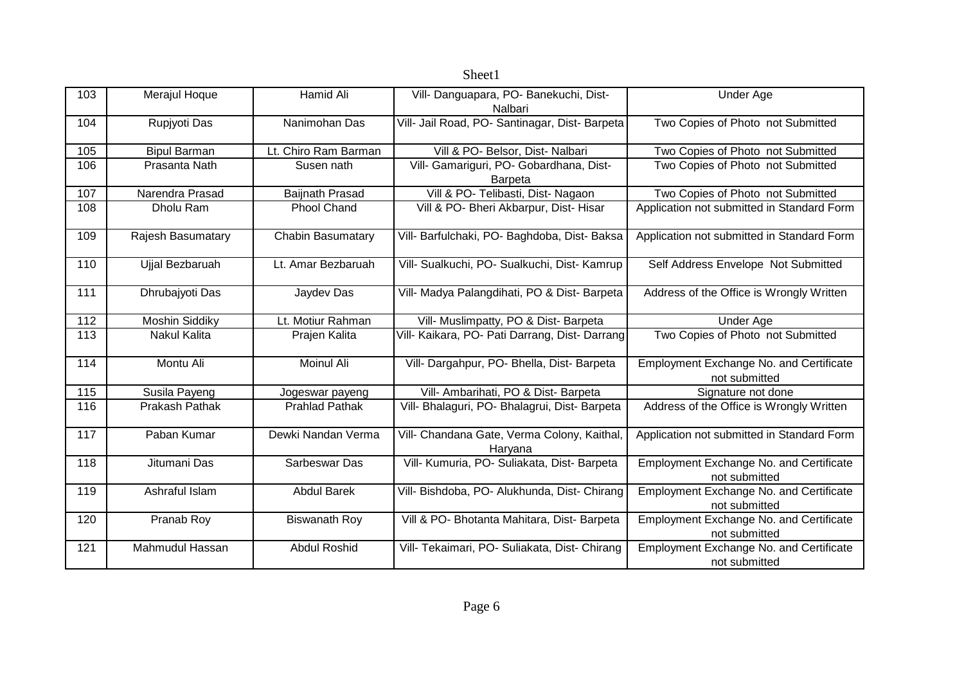| 103               | Merajul Hoque         | Hamid Ali              | Vill- Danguapara, PO- Banekuchi, Dist-<br>Nalbari      | <b>Under Age</b>                                                |
|-------------------|-----------------------|------------------------|--------------------------------------------------------|-----------------------------------------------------------------|
| 104               | Rupjyoti Das          | Nanimohan Das          | Vill- Jail Road, PO- Santinagar, Dist- Barpeta         | Two Copies of Photo not Submitted                               |
| 105               | <b>Bipul Barman</b>   | Lt. Chiro Ram Barman   | Vill & PO- Belsor, Dist- Nalbari                       | Two Copies of Photo not Submitted                               |
| 106               | Prasanta Nath         | Susen nath             | Vill- Gamariguri, PO- Gobardhana, Dist-<br>Barpeta     | Two Copies of Photo not Submitted                               |
| 107               | Narendra Prasad       | <b>Baijnath Prasad</b> | Vill & PO- Telibasti, Dist- Nagaon                     | Two Copies of Photo not Submitted                               |
| 108               | Dholu Ram             | <b>Phool Chand</b>     | Vill & PO- Bheri Akbarpur, Dist- Hisar                 | Application not submitted in Standard Form                      |
| 109               | Rajesh Basumatary     | Chabin Basumatary      | Vill- Barfulchaki, PO- Baghdoba, Dist- Baksa           | Application not submitted in Standard Form                      |
| 110               | Ujjal Bezbaruah       | Lt. Amar Bezbaruah     | Vill- Sualkuchi, PO- Sualkuchi, Dist- Kamrup           | Self Address Envelope Not Submitted                             |
| 111               | Dhrubajyoti Das       | Jaydev Das             | Vill- Madya Palangdihati, PO & Dist- Barpeta           | Address of the Office is Wrongly Written                        |
| $\frac{1}{112}$   | <b>Moshin Siddiky</b> | Lt. Motiur Rahman      | Vill- Muslimpatty, PO & Dist- Barpeta                  | <b>Under Age</b>                                                |
| 113               | <b>Nakul Kalita</b>   | Prajen Kalita          | Vill- Kaikara, PO- Pati Darrang, Dist- Darrang         | Two Copies of Photo not Submitted                               |
| 114               | Montu Ali             | Moinul Ali             | Vill- Dargahpur, PO- Bhella, Dist- Barpeta             | <b>Employment Exchange No. and Certificate</b><br>not submitted |
| $\frac{115}{115}$ | Susila Payeng         | Jogeswar payeng        | Vill- Ambarihati, PO & Dist- Barpeta                   | Signature not done                                              |
| 116               | Prakash Pathak        | <b>Prahlad Pathak</b>  | Vill- Bhalaguri, PO- Bhalagrui, Dist- Barpeta          | Address of the Office is Wrongly Written                        |
| 117               | Paban Kumar           | Dewki Nandan Verma     | Vill- Chandana Gate, Verma Colony, Kaithal,<br>Haryana | Application not submitted in Standard Form                      |
| 118               | Jitumani Das          | Sarbeswar Das          | Vill- Kumuria, PO- Suliakata, Dist- Barpeta            | <b>Employment Exchange No. and Certificate</b><br>not submitted |
| 119               | Ashraful Islam        | <b>Abdul Barek</b>     | Vill- Bishdoba, PO- Alukhunda, Dist- Chirang           | <b>Employment Exchange No. and Certificate</b><br>not submitted |
| 120               | Pranab Roy            | <b>Biswanath Roy</b>   | Vill & PO- Bhotanta Mahitara, Dist- Barpeta            | <b>Employment Exchange No. and Certificate</b><br>not submitted |
| 121               | Mahmudul Hassan       | <b>Abdul Roshid</b>    | Vill- Tekaimari, PO- Suliakata, Dist- Chirang          | <b>Employment Exchange No. and Certificate</b><br>not submitted |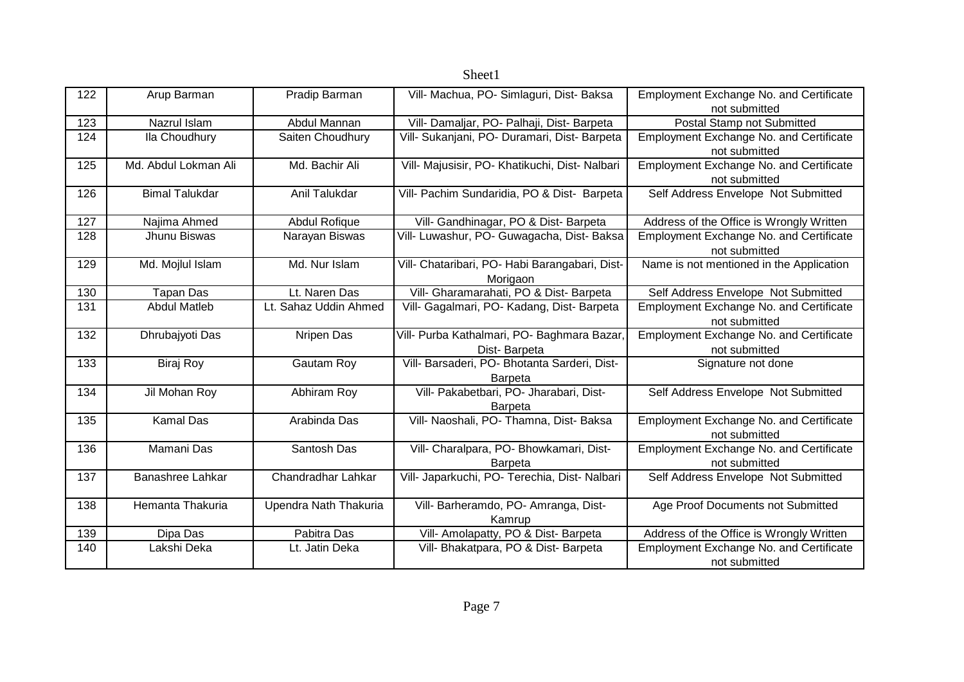| 122 | Arup Barman           | Pradip Barman         | Vill- Machua, PO- Simlaguri, Dist- Baksa       | <b>Employment Exchange No. and Certificate</b> |
|-----|-----------------------|-----------------------|------------------------------------------------|------------------------------------------------|
|     |                       |                       |                                                | not submitted                                  |
| 123 | Nazrul Islam          | Abdul Mannan          | Vill- Damaljar, PO- Palhaji, Dist- Barpeta     | Postal Stamp not Submitted                     |
| 124 | Ila Choudhury         | Saiten Choudhury      | Vill- Sukanjani, PO- Duramari, Dist- Barpeta   | Employment Exchange No. and Certificate        |
|     |                       |                       |                                                | not submitted                                  |
| 125 | Md. Abdul Lokman Ali  | Md. Bachir Ali        | Vill- Majusisir, PO- Khatikuchi, Dist- Nalbari | Employment Exchange No. and Certificate        |
|     |                       |                       |                                                | not submitted                                  |
| 126 | <b>Bimal Talukdar</b> | Anil Talukdar         | Vill- Pachim Sundaridia, PO & Dist- Barpeta    | Self Address Envelope Not Submitted            |
|     |                       |                       |                                                |                                                |
| 127 | Najima Ahmed          | Abdul Rofique         | Vill- Gandhinagar, PO & Dist- Barpeta          | Address of the Office is Wrongly Written       |
| 128 | Jhunu Biswas          | Narayan Biswas        | Vill- Luwashur, PO- Guwagacha, Dist- Baksa     | Employment Exchange No. and Certificate        |
|     |                       |                       |                                                | not submitted                                  |
| 129 | Md. Mojlul Islam      | Md. Nur Islam         | Vill- Chataribari, PO- Habi Barangabari, Dist- | Name is not mentioned in the Application       |
|     |                       |                       |                                                |                                                |
|     |                       |                       | Morigaon                                       |                                                |
| 130 | <b>Tapan Das</b>      | Lt. Naren Das         | Vill- Gharamarahati, PO & Dist- Barpeta        | Self Address Envelope Not Submitted            |
| 131 | <b>Abdul Matleb</b>   | Lt. Sahaz Uddin Ahmed | Vill- Gagalmari, PO- Kadang, Dist- Barpeta     | <b>Employment Exchange No. and Certificate</b> |
|     |                       |                       |                                                | not submitted                                  |
| 132 | Dhrubajyoti Das       | Nripen Das            | Vill- Purba Kathalmari, PO- Baghmara Bazar,    | Employment Exchange No. and Certificate        |
|     |                       |                       | Dist-Barpeta                                   | not submitted                                  |
| 133 | <b>Biraj Roy</b>      | Gautam Roy            | Vill- Barsaderi, PO- Bhotanta Sarderi, Dist-   | Signature not done                             |
|     |                       |                       | <b>Barpeta</b>                                 |                                                |
| 134 | Jil Mohan Roy         | Abhiram Roy           | Vill- Pakabetbari, PO- Jharabari, Dist-        | Self Address Envelope Not Submitted            |
|     |                       |                       | <b>Barpeta</b>                                 |                                                |
| 135 | <b>Kamal Das</b>      | Arabinda Das          | Vill- Naoshali, PO- Thamna, Dist- Baksa        | <b>Employment Exchange No. and Certificate</b> |
|     |                       |                       |                                                | not submitted                                  |
| 136 | Mamani Das            | Santosh Das           | Vill- Charalpara, PO- Bhowkamari, Dist-        | <b>Employment Exchange No. and Certificate</b> |
|     |                       |                       | <b>Barpeta</b>                                 | not submitted                                  |
| 137 | Banashree Lahkar      | Chandradhar Lahkar    | Vill- Japarkuchi, PO- Terechia, Dist- Nalbari  | Self Address Envelope Not Submitted            |
|     |                       |                       |                                                |                                                |
| 138 | Hemanta Thakuria      | Upendra Nath Thakuria | Vill- Barheramdo, PO- Amranga, Dist-           | Age Proof Documents not Submitted              |
|     |                       |                       | Kamrup                                         |                                                |
| 139 | Dipa Das              | Pabitra Das           | Vill- Amolapatty, PO & Dist- Barpeta           | Address of the Office is Wrongly Written       |
| 140 | Lakshi Deka           | Lt. Jatin Deka        | Vill- Bhakatpara, PO & Dist- Barpeta           | <b>Employment Exchange No. and Certificate</b> |
|     |                       |                       |                                                | not submitted                                  |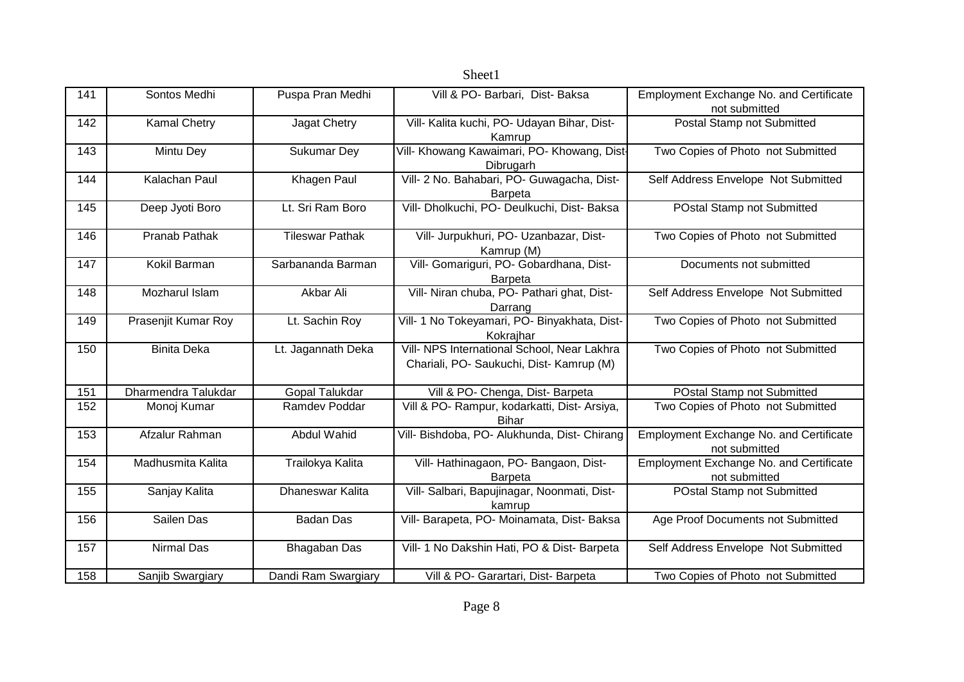| 141 | Sontos Medhi        | Puspa Pran Medhi       | Vill & PO- Barbari, Dist- Baksa                                                         | Employment Exchange No. and Certificate<br>not submitted |
|-----|---------------------|------------------------|-----------------------------------------------------------------------------------------|----------------------------------------------------------|
| 142 | <b>Kamal Chetry</b> | Jagat Chetry           | Vill- Kalita kuchi, PO- Udayan Bihar, Dist-<br>Kamrup                                   | Postal Stamp not Submitted                               |
| 143 | Mintu Dey           | <b>Sukumar Dey</b>     | Vill- Khowang Kawaimari, PO- Khowang, Dist-<br>Dibrugarh                                | Two Copies of Photo not Submitted                        |
| 144 | Kalachan Paul       | Khagen Paul            | Vill- 2 No. Bahabari, PO- Guwagacha, Dist-<br>Barpeta                                   | Self Address Envelope Not Submitted                      |
| 145 | Deep Jyoti Boro     | Lt. Sri Ram Boro       | Vill- Dholkuchi, PO- Deulkuchi, Dist- Baksa                                             | POstal Stamp not Submitted                               |
| 146 | Pranab Pathak       | <b>Tileswar Pathak</b> | Vill- Jurpukhuri, PO- Uzanbazar, Dist-<br>Kamrup (M)                                    | Two Copies of Photo not Submitted                        |
| 147 | Kokil Barman        | Sarbananda Barman      | Vill- Gomariguri, PO- Gobardhana, Dist-<br>Barpeta                                      | Documents not submitted                                  |
| 148 | Mozharul Islam      | Akbar Ali              | Vill- Niran chuba, PO- Pathari ghat, Dist-<br>Darrang                                   | Self Address Envelope Not Submitted                      |
| 149 | Prasenjit Kumar Roy | Lt. Sachin Roy         | Vill- 1 No Tokeyamari, PO- Binyakhata, Dist-<br>Kokrajhar                               | Two Copies of Photo not Submitted                        |
| 150 | <b>Binita Deka</b>  | Lt. Jagannath Deka     | Vill- NPS International School, Near Lakhra<br>Chariali, PO- Saukuchi, Dist- Kamrup (M) | Two Copies of Photo not Submitted                        |
| 151 | Dharmendra Talukdar | <b>Gopal Talukdar</b>  | Vill & PO- Chenga, Dist- Barpeta                                                        | POstal Stamp not Submitted                               |
| 152 | Monoj Kumar         | Ramdev Poddar          | Vill & PO- Rampur, kodarkatti, Dist- Arsiya,<br><b>Bihar</b>                            | Two Copies of Photo not Submitted                        |
| 153 | Afzalur Rahman      | Abdul Wahid            | Vill- Bishdoba, PO- Alukhunda, Dist- Chirang                                            | Employment Exchange No. and Certificate<br>not submitted |
| 154 | Madhusmita Kalita   | Trailokya Kalita       | Vill- Hathinagaon, PO- Bangaon, Dist-<br><b>Barpeta</b>                                 | Employment Exchange No. and Certificate<br>not submitted |
| 155 | Sanjay Kalita       | Dhaneswar Kalita       | Vill- Salbari, Bapujinagar, Noonmati, Dist-<br>kamrup                                   | POstal Stamp not Submitted                               |
| 156 | Sailen Das          | <b>Badan Das</b>       | Vill- Barapeta, PO- Moinamata, Dist- Baksa                                              | Age Proof Documents not Submitted                        |
| 157 | <b>Nirmal Das</b>   | <b>Bhagaban Das</b>    | Vill- 1 No Dakshin Hati, PO & Dist- Barpeta                                             | Self Address Envelope Not Submitted                      |
| 158 | Sanjib Swargiary    | Dandi Ram Swargiary    | Vill & PO- Garartari, Dist- Barpeta                                                     | Two Copies of Photo not Submitted                        |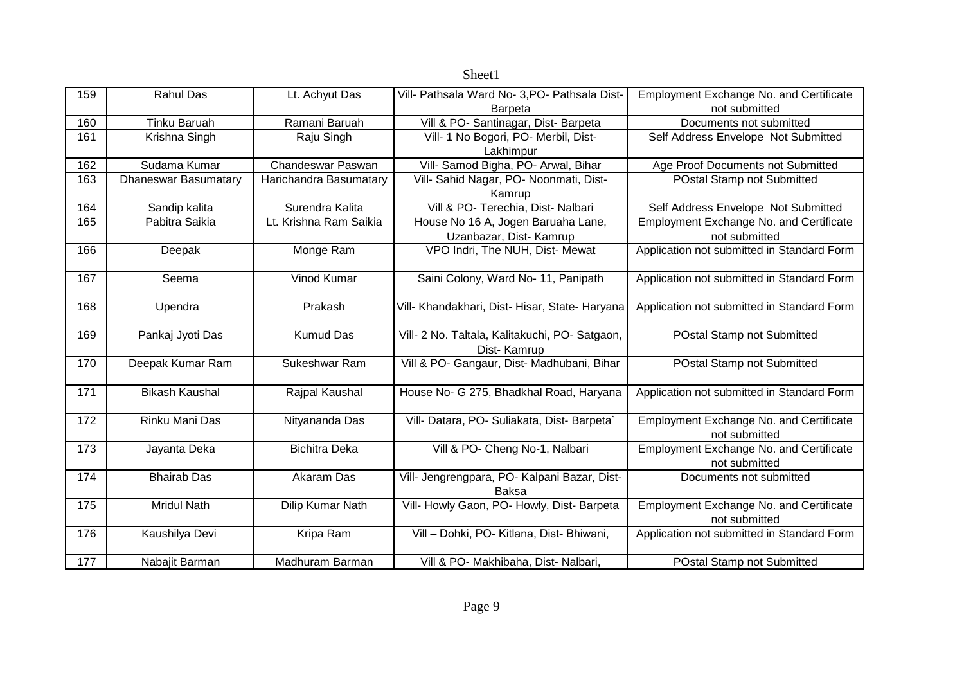| 159 | <b>Rahul Das</b>            | Lt. Achyut Das         | Vill- Pathsala Ward No- 3, PO- Pathsala Dist-  | Employment Exchange No. and Certificate        |
|-----|-----------------------------|------------------------|------------------------------------------------|------------------------------------------------|
|     |                             |                        | <b>Barpeta</b>                                 | not submitted                                  |
| 160 | <b>Tinku Baruah</b>         | Ramani Baruah          | Vill & PO- Santinagar, Dist- Barpeta           | Documents not submitted                        |
| 161 | Krishna Singh               | Raju Singh             | Vill- 1 No Bogori, PO- Merbil, Dist-           | Self Address Envelope Not Submitted            |
|     |                             |                        | Lakhimpur                                      |                                                |
| 162 | Sudama Kumar                | Chandeswar Paswan      | Vill- Samod Bigha, PO- Arwal, Bihar            | Age Proof Documents not Submitted              |
| 163 | <b>Dhaneswar Basumatary</b> | Harichandra Basumatary | Vill- Sahid Nagar, PO- Noonmati, Dist-         | POstal Stamp not Submitted                     |
|     |                             |                        | Kamrup                                         |                                                |
| 164 | Sandip kalita               | Surendra Kalita        | Vill & PO- Terechia, Dist- Nalbari             | Self Address Envelope Not Submitted            |
| 165 | Pabitra Saikia              | Lt. Krishna Ram Saikia | House No 16 A, Jogen Baruaha Lane,             | <b>Employment Exchange No. and Certificate</b> |
|     |                             |                        | Uzanbazar, Dist- Kamrup                        | not submitted                                  |
| 166 | Deepak                      | Monge Ram              | VPO Indri, The NUH, Dist- Mewat                | Application not submitted in Standard Form     |
|     |                             |                        |                                                |                                                |
| 167 | Seema                       | Vinod Kumar            | Saini Colony, Ward No- 11, Panipath            | Application not submitted in Standard Form     |
|     |                             |                        |                                                |                                                |
| 168 | Upendra                     | Prakash                | Vill- Khandakhari, Dist- Hisar, State- Haryana | Application not submitted in Standard Form     |
|     |                             |                        |                                                |                                                |
| 169 | Pankaj Jyoti Das            | <b>Kumud Das</b>       | Vill- 2 No. Taltala, Kalitakuchi, PO- Satgaon, | POstal Stamp not Submitted                     |
|     |                             |                        | Dist-Kamrup                                    |                                                |
| 170 | Deepak Kumar Ram            | Sukeshwar Ram          | Vill & PO- Gangaur, Dist- Madhubani, Bihar     | POstal Stamp not Submitted                     |
|     |                             |                        |                                                |                                                |
| 171 | <b>Bikash Kaushal</b>       | Rajpal Kaushal         | House No- G 275, Bhadkhal Road, Haryana        | Application not submitted in Standard Form     |
|     |                             |                        |                                                |                                                |
| 172 | Rinku Mani Das              | Nityananda Das         | Vill- Datara, PO- Suliakata, Dist- Barpeta`    | <b>Employment Exchange No. and Certificate</b> |
|     |                             |                        |                                                | not submitted                                  |
| 173 | Jayanta Deka                | <b>Bichitra Deka</b>   | Vill & PO- Cheng No-1, Nalbari                 | Employment Exchange No. and Certificate        |
|     |                             |                        |                                                | not submitted                                  |
| 174 | <b>Bhairab Das</b>          | Akaram Das             | Vill- Jengrengpara, PO- Kalpani Bazar, Dist-   | Documents not submitted                        |
|     |                             |                        | Baksa                                          |                                                |
| 175 | <b>Mridul Nath</b>          | Dilip Kumar Nath       | Vill- Howly Gaon, PO- Howly, Dist- Barpeta     | Employment Exchange No. and Certificate        |
|     |                             |                        |                                                | not submitted                                  |
| 176 | Kaushilya Devi              | Kripa Ram              | Vill - Dohki, PO- Kitlana, Dist- Bhiwani,      | Application not submitted in Standard Form     |
|     |                             |                        |                                                |                                                |
| 177 | Nabajit Barman              | Madhuram Barman        | Vill & PO- Makhibaha, Dist- Nalbari,           | POstal Stamp not Submitted                     |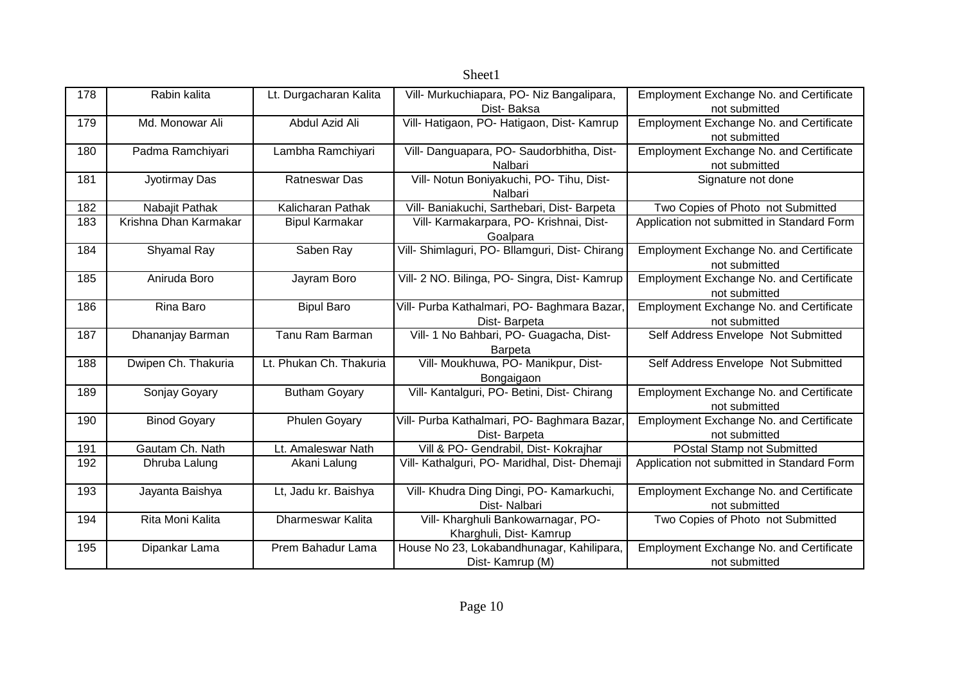| 178 | Rabin kalita          | Lt. Durgacharan Kalita  | Vill- Murkuchiapara, PO- Niz Bangalipara,      | Employment Exchange No. and Certificate        |
|-----|-----------------------|-------------------------|------------------------------------------------|------------------------------------------------|
|     |                       |                         | Dist-Baksa                                     | not submitted                                  |
| 179 | Md. Monowar Ali       | Abdul Azid Ali          | Vill- Hatigaon, PO- Hatigaon, Dist- Kamrup     | Employment Exchange No. and Certificate        |
|     |                       |                         |                                                | not submitted                                  |
| 180 | Padma Ramchiyari      | Lambha Ramchiyari       | Vill- Danguapara, PO- Saudorbhitha, Dist-      | Employment Exchange No. and Certificate        |
|     |                       |                         | Nalbari                                        | not submitted                                  |
| 181 | Jyotirmay Das         | <b>Ratneswar Das</b>    | Vill- Notun Boniyakuchi, PO- Tihu, Dist-       | Signature not done                             |
|     |                       |                         | Nalbari                                        |                                                |
| 182 | Nabajit Pathak        | Kalicharan Pathak       | Vill- Baniakuchi, Sarthebari, Dist- Barpeta    | Two Copies of Photo not Submitted              |
| 183 | Krishna Dhan Karmakar | <b>Bipul Karmakar</b>   | Vill- Karmakarpara, PO- Krishnai, Dist-        | Application not submitted in Standard Form     |
|     |                       |                         | Goalpara                                       |                                                |
| 184 | Shyamal Ray           | Saben Ray               | Vill- Shimlaguri, PO- Bllamguri, Dist- Chirang | Employment Exchange No. and Certificate        |
|     |                       |                         |                                                | not submitted                                  |
| 185 | Aniruda Boro          | Jayram Boro             | Vill- 2 NO. Bilinga, PO- Singra, Dist- Kamrup  | Employment Exchange No. and Certificate        |
|     |                       |                         |                                                | not submitted                                  |
| 186 | Rina Baro             | <b>Bipul Baro</b>       | Vill- Purba Kathalmari, PO- Baghmara Bazar,    | <b>Employment Exchange No. and Certificate</b> |
|     |                       |                         | Dist-Barpeta                                   | not submitted                                  |
| 187 | Dhananjay Barman      | Tanu Ram Barman         | Vill- 1 No Bahbari, PO- Guagacha, Dist-        | Self Address Envelope Not Submitted            |
|     |                       |                         | <b>Barpeta</b>                                 |                                                |
| 188 | Dwipen Ch. Thakuria   | Lt. Phukan Ch. Thakuria | Vill- Moukhuwa, PO- Manikpur, Dist-            | Self Address Envelope Not Submitted            |
|     |                       |                         | Bongaigaon                                     |                                                |
| 189 | Sonjay Goyary         | <b>Butham Goyary</b>    | Vill- Kantalguri, PO- Betini, Dist- Chirang    | Employment Exchange No. and Certificate        |
|     |                       |                         |                                                | not submitted                                  |
| 190 | <b>Binod Goyary</b>   | Phulen Goyary           | Vill- Purba Kathalmari, PO- Baghmara Bazar     | Employment Exchange No. and Certificate        |
|     |                       |                         | Dist-Barpeta                                   | not submitted                                  |
| 191 | Gautam Ch. Nath       | Lt. Amaleswar Nath      | Vill & PO- Gendrabil, Dist- Kokrajhar          | POstal Stamp not Submitted                     |
| 192 | Dhruba Lalung         | Akani Lalung            | Vill- Kathalguri, PO- Maridhal, Dist- Dhemaji  | Application not submitted in Standard Form     |
|     |                       |                         |                                                |                                                |
| 193 | Jayanta Baishya       | Lt, Jadu kr. Baishya    | Vill- Khudra Ding Dingi, PO- Kamarkuchi,       | Employment Exchange No. and Certificate        |
|     |                       |                         | Dist-Nalbari                                   | not submitted                                  |
| 194 | Rita Moni Kalita      | Dharmeswar Kalita       | Vill- Kharghuli Bankowarnagar, PO-             | Two Copies of Photo not Submitted              |
|     |                       |                         | Kharghuli, Dist- Kamrup                        |                                                |
| 195 | Dipankar Lama         | Prem Bahadur Lama       | House No 23, Lokabandhunagar, Kahilipara,      | <b>Employment Exchange No. and Certificate</b> |
|     |                       |                         | Dist-Kamrup (M)                                | not submitted                                  |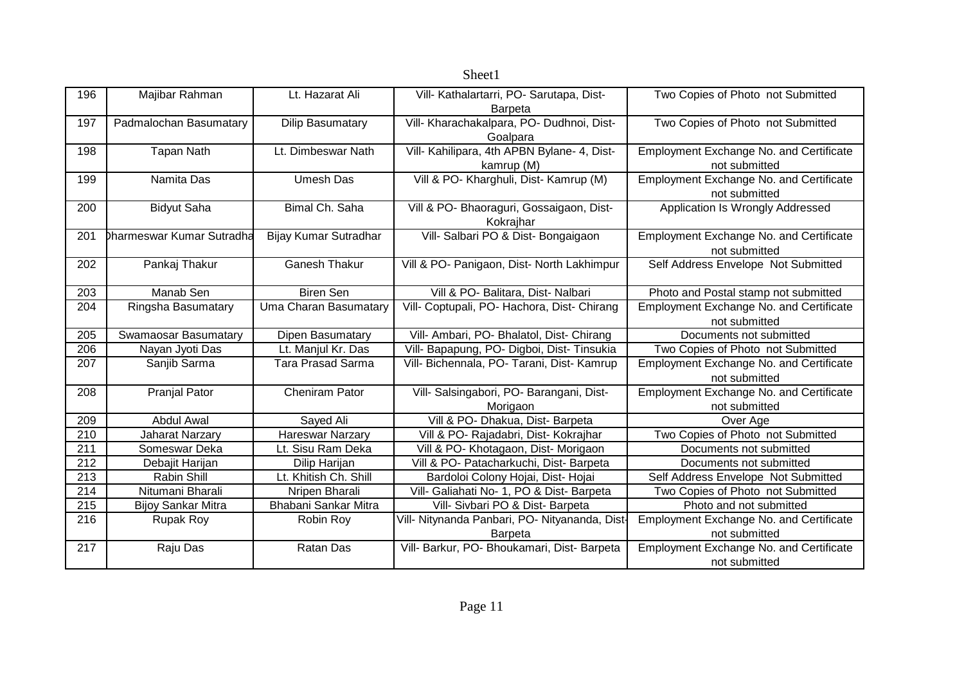|     |                           |                          | Sheet1                                        |                                                |
|-----|---------------------------|--------------------------|-----------------------------------------------|------------------------------------------------|
| 196 | Majibar Rahman            | Lt. Hazarat Ali          | Vill- Kathalartarri, PO- Sarutapa, Dist-      | Two Copies of Photo not Submitted              |
|     |                           |                          | Barpeta                                       |                                                |
| 197 | Padmalochan Basumatary    | <b>Dilip Basumatary</b>  | Vill- Kharachakalpara, PO- Dudhnoi, Dist-     | Two Copies of Photo not Submitted              |
|     |                           |                          | Goalpara                                      |                                                |
| 198 | <b>Tapan Nath</b>         | Lt. Dimbeswar Nath       | Vill- Kahilipara, 4th APBN Bylane- 4, Dist-   | Employment Exchange No. and Certificate        |
|     |                           |                          | kamrup (M)                                    | not submitted                                  |
| 199 | Namita Das                | <b>Umesh Das</b>         | Vill & PO- Kharghuli, Dist- Kamrup (M)        | Employment Exchange No. and Certificate        |
|     |                           |                          |                                               | not submitted                                  |
| 200 | <b>Bidyut Saha</b>        | Bimal Ch. Saha           | Vill & PO- Bhaoraguri, Gossaigaon, Dist-      | Application Is Wrongly Addressed               |
|     |                           |                          | Kokrajhar                                     |                                                |
| 201 | Dharmeswar Kumar Sutradha | Bijay Kumar Sutradhar    | Vill- Salbari PO & Dist- Bongaigaon           | <b>Employment Exchange No. and Certificate</b> |
|     |                           |                          |                                               | not submitted                                  |
| 202 | Pankaj Thakur             | <b>Ganesh Thakur</b>     | Vill & PO- Panigaon, Dist- North Lakhimpur    | Self Address Envelope Not Submitted            |
|     |                           |                          |                                               |                                                |
| 203 | Manab Sen                 | <b>Biren Sen</b>         | Vill & PO- Balitara, Dist- Nalbari            | Photo and Postal stamp not submitted           |
| 204 | Ringsha Basumatary        | Uma Charan Basumatary    | Vill- Coptupali, PO- Hachora, Dist- Chirang   | Employment Exchange No. and Certificate        |
|     |                           |                          |                                               | not submitted                                  |
| 205 | Swamaosar Basumatary      | Dipen Basumatary         | Vill- Ambari, PO- Bhalatol, Dist- Chirang     | Documents not submitted                        |
| 206 | Nayan Jyoti Das           | Lt. Manjul Kr. Das       | Vill- Bapapung, PO- Digboi, Dist- Tinsukia    | Two Copies of Photo not Submitted              |
| 207 | Sanjib Sarma              | <b>Tara Prasad Sarma</b> | Vill- Bichennala, PO- Tarani, Dist- Kamrup    | Employment Exchange No. and Certificate        |
|     |                           |                          |                                               | not submitted                                  |
| 208 | <b>Pranjal Pator</b>      | <b>Cheniram Pator</b>    | Vill- Salsingabori, PO- Barangani, Dist-      | Employment Exchange No. and Certificate        |
|     |                           |                          | Morigaon                                      | not submitted                                  |
| 209 | <b>Abdul Awal</b>         | Sayed Ali                | Vill & PO- Dhakua, Dist- Barpeta              | Over Age                                       |
| 210 | <b>Jaharat Narzary</b>    | Hareswar Narzary         | Vill & PO- Rajadabri, Dist- Kokrajhar         | Two Copies of Photo not Submitted              |
| 211 | Someswar Deka             | Lt. Sisu Ram Deka        | Vill & PO- Khotagaon, Dist- Morigaon          | Documents not submitted                        |
| 212 | Debajit Harijan           | Dilip Harijan            | Vill & PO- Patacharkuchi, Dist- Barpeta       | Documents not submitted                        |
| 213 | <b>Rabin Shill</b>        | Lt. Khitish Ch. Shill    | Bardoloi Colony Hojai, Dist- Hojai            | Self Address Envelope Not Submitted            |
| 214 | Nitumani Bharali          | Nripen Bharali           | Vill- Galiahati No- 1, PO & Dist- Barpeta     | Two Copies of Photo not Submitted              |
| 215 | <b>Bijoy Sankar Mitra</b> | Bhabani Sankar Mitra     | Vill- Sivbari PO & Dist- Barpeta              | Photo and not submitted                        |
| 216 | <b>Rupak Roy</b>          | Robin Roy                | Vill- Nitynanda Panbari, PO- Nityananda, Dist | Employment Exchange No. and Certificate        |
|     |                           |                          | Barpeta                                       | not submitted                                  |
| 217 | Raju Das                  | Ratan Das                | Vill- Barkur, PO- Bhoukamari, Dist- Barpeta   | Employment Exchange No. and Certificate        |
|     |                           |                          |                                               | not submitted                                  |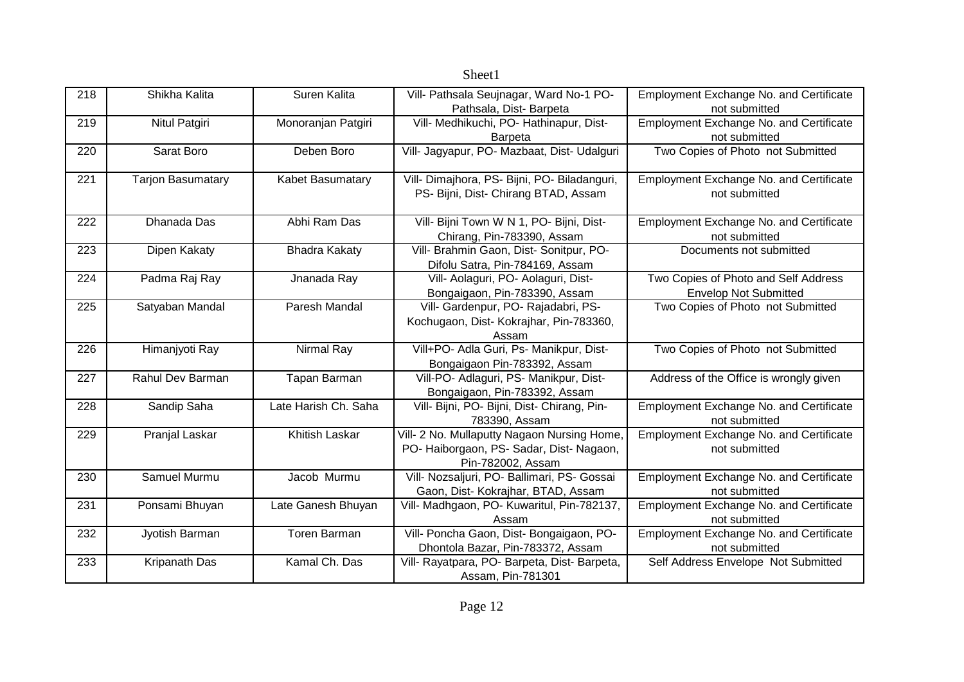| 218 | Shikha Kalita            | Suren Kalita         | Vill- Pathsala Seujnagar, Ward No-1 PO-      | <b>Employment Exchange No. and Certificate</b> |
|-----|--------------------------|----------------------|----------------------------------------------|------------------------------------------------|
|     |                          |                      | Pathsala, Dist-Barpeta                       | not submitted                                  |
| 219 | Nitul Patgiri            | Monoranjan Patgiri   | Vill- Medhikuchi, PO- Hathinapur, Dist-      | Employment Exchange No. and Certificate        |
|     |                          |                      | Barpeta                                      | not submitted                                  |
| 220 | Sarat Boro               | Deben Boro           | Vill- Jagyapur, PO- Mazbaat, Dist- Udalguri  | Two Copies of Photo not Submitted              |
| 221 | <b>Tarjon Basumatary</b> | Kabet Basumatary     | Vill- Dimajhora, PS- Bijni, PO- Biladanguri, | Employment Exchange No. and Certificate        |
|     |                          |                      | PS- Bijni, Dist- Chirang BTAD, Assam         | not submitted                                  |
| 222 | Dhanada Das              | Abhi Ram Das         | Vill- Bijni Town W N 1, PO- Bijni, Dist-     | Employment Exchange No. and Certificate        |
|     |                          |                      | Chirang, Pin-783390, Assam                   | not submitted                                  |
| 223 | Dipen Kakaty             | <b>Bhadra Kakaty</b> | Vill- Brahmin Gaon, Dist- Sonitpur, PO-      | Documents not submitted                        |
|     |                          |                      | Difolu Satra, Pin-784169, Assam              |                                                |
| 224 | Padma Raj Ray            | Jnanada Ray          | Vill- Aolaguri, PO- Aolaguri, Dist-          | Two Copies of Photo and Self Address           |
|     |                          |                      | Bongaigaon, Pin-783390, Assam                | <b>Envelop Not Submitted</b>                   |
| 225 | Satyaban Mandal          | Paresh Mandal        | Vill- Gardenpur, PO- Rajadabri, PS-          | Two Copies of Photo not Submitted              |
|     |                          |                      | Kochugaon, Dist- Kokrajhar, Pin-783360,      |                                                |
|     |                          |                      | Assam                                        |                                                |
| 226 | Himanjyoti Ray           | Nirmal Ray           | Vill+PO- Adla Guri, Ps- Manikpur, Dist-      | Two Copies of Photo not Submitted              |
|     |                          |                      | Bongaigaon Pin-783392, Assam                 |                                                |
| 227 | Rahul Dev Barman         | Tapan Barman         | Vill-PO- Adlaguri, PS- Manikpur, Dist-       | Address of the Office is wrongly given         |
|     |                          |                      | Bongaigaon, Pin-783392, Assam                |                                                |
| 228 | Sandip Saha              | Late Harish Ch. Saha | Vill- Bijni, PO- Bijni, Dist- Chirang, Pin-  | <b>Employment Exchange No. and Certificate</b> |
|     |                          |                      | 783390, Assam                                | not submitted                                  |
| 229 | Pranjal Laskar           | Khitish Laskar       | Vill- 2 No. Mullaputty Nagaon Nursing Home,  | Employment Exchange No. and Certificate        |
|     |                          |                      | PO- Haiborgaon, PS- Sadar, Dist- Nagaon,     | not submitted                                  |
|     |                          |                      | Pin-782002, Assam                            |                                                |
| 230 | Samuel Murmu             | Jacob Murmu          | Vill- Nozsaljuri, PO- Ballimari, PS- Gossai  | <b>Employment Exchange No. and Certificate</b> |
|     |                          |                      | Gaon, Dist- Kokrajhar, BTAD, Assam           | not submitted                                  |
| 231 | Ponsami Bhuyan           | Late Ganesh Bhuyan   | Vill- Madhgaon, PO- Kuwaritul, Pin-782137,   | Employment Exchange No. and Certificate        |
|     |                          |                      | Assam                                        | not submitted                                  |
| 232 | Jyotish Barman           | Toren Barman         | Vill- Poncha Gaon, Dist- Bongaigaon, PO-     | Employment Exchange No. and Certificate        |
|     |                          |                      | Dhontola Bazar, Pin-783372, Assam            | not submitted                                  |
| 233 | Kripanath Das            | Kamal Ch. Das        | Vill- Rayatpara, PO- Barpeta, Dist- Barpeta, | Self Address Envelope Not Submitted            |
|     |                          |                      | Assam, Pin-781301                            |                                                |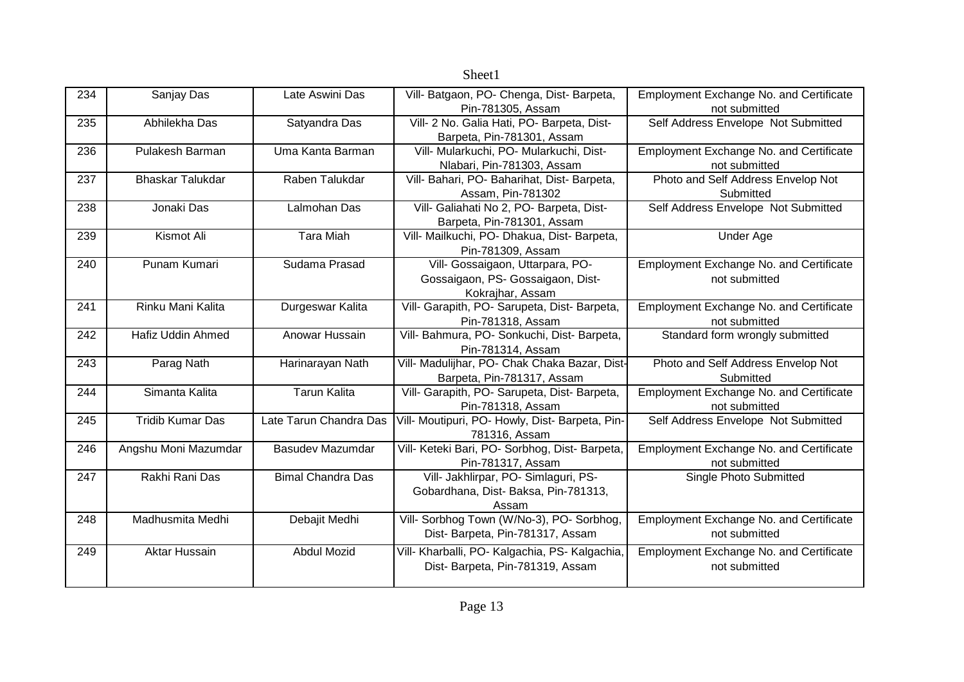|     |                         |                          | Sheet1                                                           |                                                |
|-----|-------------------------|--------------------------|------------------------------------------------------------------|------------------------------------------------|
| 234 | Sanjay Das              | Late Aswini Das          | Vill- Batgaon, PO- Chenga, Dist- Barpeta,                        | Employment Exchange No. and Certificate        |
|     |                         |                          | Pin-781305, Assam                                                | not submitted                                  |
| 235 | Abhilekha Das           | Satyandra Das            | Vill- 2 No. Galia Hati, PO- Barpeta, Dist-                       | Self Address Envelope Not Submitted            |
|     |                         |                          | Barpeta, Pin-781301, Assam                                       |                                                |
| 236 | Pulakesh Barman         | Uma Kanta Barman         | Vill- Mularkuchi, PO- Mularkuchi, Dist-                          | Employment Exchange No. and Certificate        |
|     |                         |                          | Nlabari, Pin-781303, Assam                                       | not submitted                                  |
| 237 | <b>Bhaskar Talukdar</b> | Raben Talukdar           | Vill- Bahari, PO- Baharihat, Dist- Barpeta,                      | Photo and Self Address Envelop Not             |
|     |                         |                          | Assam, Pin-781302                                                | Submitted                                      |
| 238 | Jonaki Das              | Lalmohan Das             | Vill- Galiahati No 2, PO- Barpeta, Dist-                         | Self Address Envelope Not Submitted            |
|     |                         |                          | Barpeta, Pin-781301, Assam                                       |                                                |
| 239 | Kismot Ali              | <b>Tara Miah</b>         | Vill- Mailkuchi, PO- Dhakua, Dist- Barpeta,                      | <b>Under Age</b>                               |
|     |                         |                          | Pin-781309, Assam                                                |                                                |
| 240 | Punam Kumari            | Sudama Prasad            | Vill- Gossaigaon, Uttarpara, PO-                                 | Employment Exchange No. and Certificate        |
|     |                         |                          | Gossaigaon, PS- Gossaigaon, Dist-                                | not submitted                                  |
|     |                         |                          | Kokrajhar, Assam                                                 |                                                |
| 241 | Rinku Mani Kalita       | Durgeswar Kalita         | Vill- Garapith, PO- Sarupeta, Dist- Barpeta,                     | <b>Employment Exchange No. and Certificate</b> |
|     |                         |                          | Pin-781318, Assam                                                | not submitted                                  |
| 242 | Hafiz Uddin Ahmed       | Anowar Hussain           | Vill- Bahmura, PO- Sonkuchi, Dist- Barpeta,<br>Pin-781314, Assam | Standard form wrongly submitted                |
| 243 | Parag Nath              | Harinarayan Nath         | Vill- Madulijhar, PO- Chak Chaka Bazar, Dist-                    | Photo and Self Address Envelop Not             |
|     |                         |                          | Barpeta, Pin-781317, Assam                                       | Submitted                                      |
| 244 | Simanta Kalita          | <b>Tarun Kalita</b>      | Vill- Garapith, PO- Sarupeta, Dist- Barpeta,                     | <b>Employment Exchange No. and Certificate</b> |
|     |                         |                          | Pin-781318, Assam                                                | not submitted                                  |
| 245 | <b>Tridib Kumar Das</b> | Late Tarun Chandra Das   | Vill- Moutipuri, PO- Howly, Dist- Barpeta, Pin-                  | Self Address Envelope Not Submitted            |
|     |                         |                          | 781316, Assam                                                    |                                                |
| 246 | Angshu Moni Mazumdar    | <b>Basudev Mazumdar</b>  | Vill- Keteki Bari, PO- Sorbhog, Dist- Barpeta,                   | Employment Exchange No. and Certificate        |
|     |                         |                          | Pin-781317, Assam                                                | not submitted                                  |
| 247 | Rakhi Rani Das          | <b>Bimal Chandra Das</b> | Vill- Jakhlirpar, PO- Simlaguri, PS-                             | Single Photo Submitted                         |
|     |                         |                          | Gobardhana, Dist-Baksa, Pin-781313,                              |                                                |
|     |                         |                          | Assam                                                            |                                                |
| 248 | Madhusmita Medhi        | Debajit Medhi            | Vill- Sorbhog Town (W/No-3), PO- Sorbhog,                        | Employment Exchange No. and Certificate        |
|     |                         |                          | Dist- Barpeta, Pin-781317, Assam                                 | not submitted                                  |
| 249 | Aktar Hussain           | <b>Abdul Mozid</b>       | Vill- Kharballi, PO- Kalgachia, PS- Kalgachia,                   | Employment Exchange No. and Certificate        |
|     |                         |                          | Dist- Barpeta, Pin-781319, Assam                                 | not submitted                                  |
|     |                         |                          |                                                                  |                                                |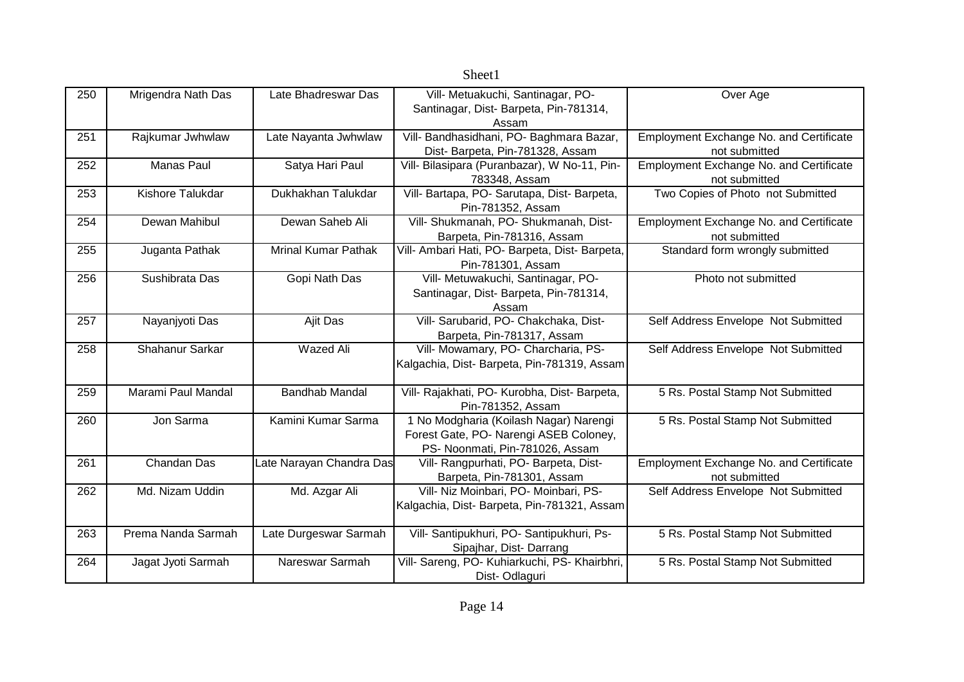|     |                    |                            | Sheet1                                         |                                                |
|-----|--------------------|----------------------------|------------------------------------------------|------------------------------------------------|
| 250 | Mrigendra Nath Das | Late Bhadreswar Das        | Vill- Metuakuchi, Santinagar, PO-              | Over Age                                       |
|     |                    |                            | Santinagar, Dist-Barpeta, Pin-781314,          |                                                |
|     |                    |                            | Assam                                          |                                                |
| 251 | Rajkumar Jwhwlaw   | Late Nayanta Jwhwlaw       | Vill- Bandhasidhani, PO- Baghmara Bazar,       | Employment Exchange No. and Certificate        |
|     |                    |                            | Dist- Barpeta, Pin-781328, Assam               | not submitted                                  |
| 252 | Manas Paul         | Satya Hari Paul            | Vill- Bilasipara (Puranbazar), W No-11, Pin-   | <b>Employment Exchange No. and Certificate</b> |
|     |                    |                            | 783348, Assam                                  | not submitted                                  |
| 253 | Kishore Talukdar   | Dukhakhan Talukdar         | Vill- Bartapa, PO- Sarutapa, Dist- Barpeta,    | Two Copies of Photo not Submitted              |
|     |                    |                            | Pin-781352, Assam                              |                                                |
| 254 | Dewan Mahibul      | Dewan Saheb Ali            | Vill- Shukmanah, PO- Shukmanah, Dist-          | <b>Employment Exchange No. and Certificate</b> |
|     |                    |                            | Barpeta, Pin-781316, Assam                     | not submitted                                  |
| 255 | Juganta Pathak     | <b>Mrinal Kumar Pathak</b> | Vill- Ambari Hati, PO- Barpeta, Dist- Barpeta, | Standard form wrongly submitted                |
|     |                    |                            | Pin-781301, Assam                              |                                                |
| 256 | Sushibrata Das     | Gopi Nath Das              | Vill- Metuwakuchi, Santinagar, PO-             | Photo not submitted                            |
|     |                    |                            | Santinagar, Dist- Barpeta, Pin-781314,         |                                                |
|     |                    |                            | Assam                                          |                                                |
| 257 | Nayanjyoti Das     | Ajit Das                   | Vill- Sarubarid, PO- Chakchaka, Dist-          | Self Address Envelope Not Submitted            |
|     |                    |                            | Barpeta, Pin-781317, Assam                     |                                                |
| 258 | Shahanur Sarkar    | <b>Wazed Ali</b>           | Vill- Mowamary, PO- Charcharia, PS-            | Self Address Envelope Not Submitted            |
|     |                    |                            | Kalgachia, Dist-Barpeta, Pin-781319, Assam     |                                                |
|     |                    |                            |                                                |                                                |
| 259 | Marami Paul Mandal | <b>Bandhab Mandal</b>      | Vill- Rajakhati, PO- Kurobha, Dist- Barpeta,   | 5 Rs. Postal Stamp Not Submitted               |
|     |                    |                            | Pin-781352, Assam                              |                                                |
| 260 | Jon Sarma          | Kamini Kumar Sarma         | 1 No Modgharia (Koilash Nagar) Narengi         | 5 Rs. Postal Stamp Not Submitted               |
|     |                    |                            | Forest Gate, PO- Narengi ASEB Coloney,         |                                                |
|     |                    |                            | PS- Noonmati, Pin-781026, Assam                |                                                |
| 261 | Chandan Das        | Late Narayan Chandra Das   | Vill- Rangpurhati, PO- Barpeta, Dist-          | Employment Exchange No. and Certificate        |
|     |                    |                            | Barpeta, Pin-781301, Assam                     | not submitted                                  |
| 262 | Md. Nizam Uddin    | Md. Azgar Ali              | Vill- Niz Moinbari, PO- Moinbari, PS-          | Self Address Envelope Not Submitted            |
|     |                    |                            | Kalgachia, Dist- Barpeta, Pin-781321, Assam    |                                                |
| 263 | Prema Nanda Sarmah | Late Durgeswar Sarmah      | Vill- Santipukhuri, PO- Santipukhuri, Ps-      | 5 Rs. Postal Stamp Not Submitted               |
|     |                    |                            | Sipajhar, Dist-Darrang                         |                                                |
| 264 | Jagat Jyoti Sarmah | Nareswar Sarmah            | Vill- Sareng, PO- Kuhiarkuchi, PS- Khairbhri,  | 5 Rs. Postal Stamp Not Submitted               |
|     |                    |                            | Dist-Odlaguri                                  |                                                |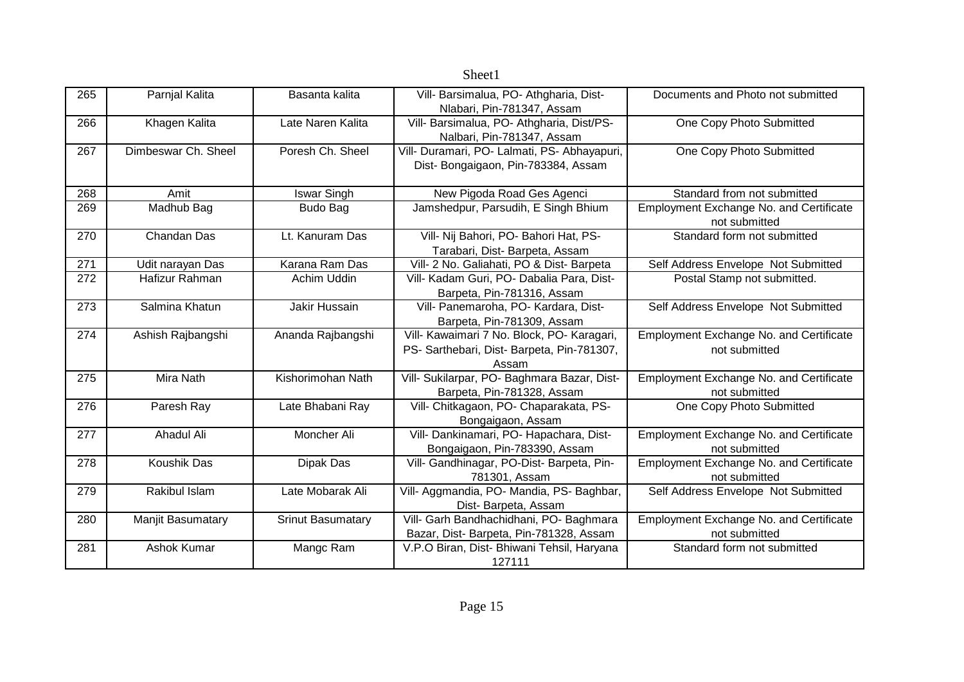|     |                     |                          | Sheet1                                                               |                                                |
|-----|---------------------|--------------------------|----------------------------------------------------------------------|------------------------------------------------|
| 265 | Parnjal Kalita      | Basanta kalita           | Vill- Barsimalua, PO- Athgharia, Dist-                               | Documents and Photo not submitted              |
|     |                     |                          | Nlabari, Pin-781347, Assam                                           |                                                |
| 266 | Khagen Kalita       | Late Naren Kalita        | Vill- Barsimalua, PO- Athgharia, Dist/PS-                            | One Copy Photo Submitted                       |
|     |                     |                          | Nalbari, Pin-781347, Assam                                           |                                                |
| 267 | Dimbeswar Ch. Sheel | Poresh Ch. Sheel         | Vill- Duramari, PO- Lalmati, PS- Abhayapuri,                         | One Copy Photo Submitted                       |
|     |                     |                          | Dist- Bongaigaon, Pin-783384, Assam                                  |                                                |
|     |                     |                          |                                                                      |                                                |
| 268 | Amit                | <b>Iswar Singh</b>       | New Pigoda Road Ges Agenci                                           | Standard from not submitted                    |
| 269 | Madhub Bag          | Budo Bag                 | Jamshedpur, Parsudih, E Singh Bhium                                  | <b>Employment Exchange No. and Certificate</b> |
|     |                     |                          |                                                                      | not submitted                                  |
| 270 | Chandan Das         | Lt. Kanuram Das          | Vill- Nij Bahori, PO- Bahori Hat, PS-                                | Standard form not submitted                    |
|     |                     |                          | Tarabari, Dist- Barpeta, Assam                                       |                                                |
| 271 | Udit narayan Das    | Karana Ram Das           | Vill- 2 No. Galiahati, PO & Dist- Barpeta                            | Self Address Envelope Not Submitted            |
| 272 | Hafizur Rahman      | Achim Uddin              | Vill- Kadam Guri, PO- Dabalia Para, Dist-                            | Postal Stamp not submitted.                    |
|     |                     |                          | Barpeta, Pin-781316, Assam                                           |                                                |
| 273 | Salmina Khatun      | Jakir Hussain            | Vill- Panemaroha, PO- Kardara, Dist-                                 | Self Address Envelope Not Submitted            |
|     |                     |                          | Barpeta, Pin-781309, Assam                                           |                                                |
| 274 | Ashish Rajbangshi   | Ananda Rajbangshi        | Vill- Kawaimari 7 No. Block, PO- Karagari,                           | Employment Exchange No. and Certificate        |
|     |                     |                          | PS- Sarthebari, Dist- Barpeta, Pin-781307,                           | not submitted                                  |
| 275 | Mira Nath           | Kishorimohan Nath        | Assam<br>Vill- Sukilarpar, PO- Baghmara Bazar, Dist-                 |                                                |
|     |                     |                          |                                                                      | Employment Exchange No. and Certificate        |
| 276 | Paresh Ray          | Late Bhabani Ray         | Barpeta, Pin-781328, Assam<br>Vill- Chitkagaon, PO- Chaparakata, PS- | not submitted<br>One Copy Photo Submitted      |
|     |                     |                          | Bongaigaon, Assam                                                    |                                                |
| 277 | Ahadul Ali          | Moncher Ali              | Vill- Dankinamari, PO- Hapachara, Dist-                              | Employment Exchange No. and Certificate        |
|     |                     |                          | Bongaigaon, Pin-783390, Assam                                        | not submitted                                  |
| 278 | Koushik Das         | Dipak Das                | Vill- Gandhinagar, PO-Dist- Barpeta, Pin-                            | <b>Employment Exchange No. and Certificate</b> |
|     |                     |                          | 781301, Assam                                                        | not submitted                                  |
| 279 | Rakibul Islam       | Late Mobarak Ali         | Vill- Aggmandia, PO- Mandia, PS- Baghbar,                            | Self Address Envelope Not Submitted            |
|     |                     |                          | Dist-Barpeta, Assam                                                  |                                                |
| 280 | Manjit Basumatary   | <b>Srinut Basumatary</b> | Vill- Garh Bandhachidhani, PO- Baghmara                              | Employment Exchange No. and Certificate        |
|     |                     |                          | Bazar, Dist- Barpeta, Pin-781328, Assam                              | not submitted                                  |
| 281 | Ashok Kumar         | Mangc Ram                | V.P.O Biran, Dist- Bhiwani Tehsil, Haryana                           | Standard form not submitted                    |
|     |                     |                          | 127111                                                               |                                                |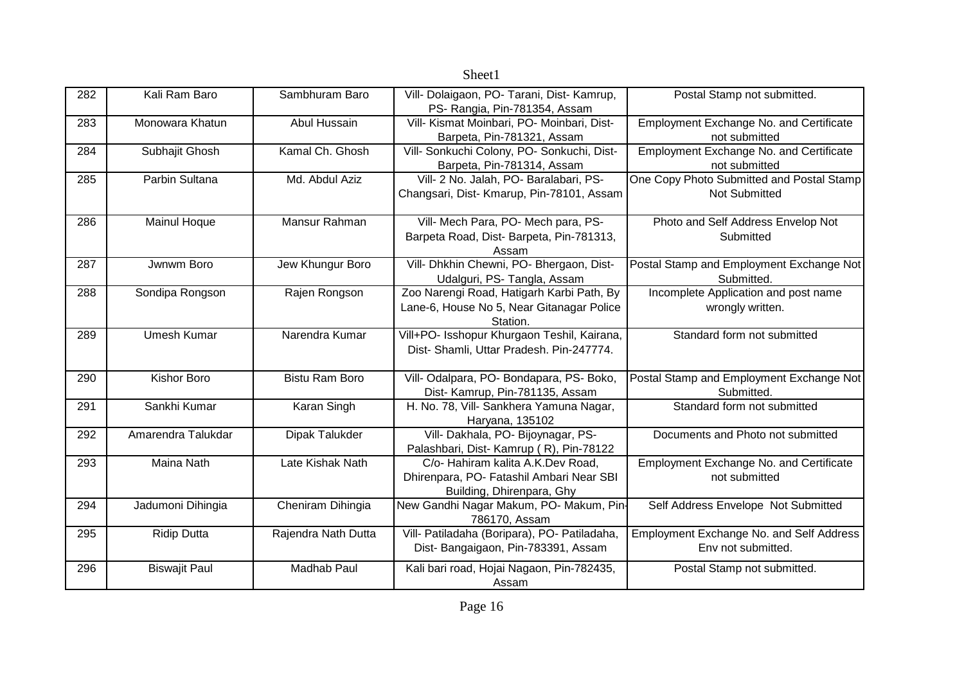|     |                      |                       | Sheet1                                                                                                     |                                                                 |
|-----|----------------------|-----------------------|------------------------------------------------------------------------------------------------------------|-----------------------------------------------------------------|
| 282 | Kali Ram Baro        | Sambhuram Baro        | Vill- Dolaigaon, PO- Tarani, Dist- Kamrup,<br>PS- Rangia, Pin-781354, Assam                                | Postal Stamp not submitted.                                     |
| 283 | Monowara Khatun      | Abul Hussain          | Vill- Kismat Moinbari, PO- Moinbari, Dist-<br>Barpeta, Pin-781321, Assam                                   | Employment Exchange No. and Certificate<br>not submitted        |
| 284 | Subhajit Ghosh       | Kamal Ch. Ghosh       | Vill- Sonkuchi Colony, PO- Sonkuchi, Dist-<br>Barpeta, Pin-781314, Assam                                   | Employment Exchange No. and Certificate<br>not submitted        |
| 285 | Parbin Sultana       | Md. Abdul Aziz        | Vill- 2 No. Jalah, PO- Baralabari, PS-<br>Changsari, Dist- Kmarup, Pin-78101, Assam                        | One Copy Photo Submitted and Postal Stamp<br>Not Submitted      |
| 286 | Mainul Hoque         | Mansur Rahman         | Vill- Mech Para, PO- Mech para, PS-<br>Barpeta Road, Dist- Barpeta, Pin-781313,<br>Assam                   | Photo and Self Address Envelop Not<br>Submitted                 |
| 287 | Jwnwm Boro           | Jew Khungur Boro      | Vill- Dhkhin Chewni, PO- Bhergaon, Dist-<br>Udalguri, PS- Tangla, Assam                                    | Postal Stamp and Employment Exchange Not<br>Submitted.          |
| 288 | Sondipa Rongson      | Rajen Rongson         | Zoo Narengi Road, Hatigarh Karbi Path, By<br>Lane-6, House No 5, Near Gitanagar Police<br>Station.         | Incomplete Application and post name<br>wrongly written.        |
| 289 | Umesh Kumar          | Narendra Kumar        | Vill+PO- Isshopur Khurgaon Teshil, Kairana,<br>Dist- Shamli, Uttar Pradesh. Pin-247774.                    | Standard form not submitted                                     |
| 290 | Kishor Boro          | <b>Bistu Ram Boro</b> | Vill- Odalpara, PO- Bondapara, PS- Boko,<br>Dist- Kamrup, Pin-781135, Assam                                | Postal Stamp and Employment Exchange Not<br>Submitted.          |
| 291 | Sankhi Kumar         | Karan Singh           | H. No. 78, Vill- Sankhera Yamuna Nagar,<br>Haryana, 135102                                                 | Standard form not submitted                                     |
| 292 | Amarendra Talukdar   | Dipak Talukder        | Vill- Dakhala, PO- Bijoynagar, PS-<br>Palashbari, Dist- Kamrup (R), Pin-78122                              | Documents and Photo not submitted                               |
| 293 | <b>Maina Nath</b>    | Late Kishak Nath      | C/o- Hahiram kalita A.K.Dev Road,<br>Dhirenpara, PO- Fatashil Ambari Near SBI<br>Building, Dhirenpara, Ghy | <b>Employment Exchange No. and Certificate</b><br>not submitted |
| 294 | Jadumoni Dihingia    | Cheniram Dihingia     | New Gandhi Nagar Makum, PO- Makum, Pin-<br>786170, Assam                                                   | Self Address Envelope Not Submitted                             |
| 295 | <b>Ridip Dutta</b>   | Rajendra Nath Dutta   | Vill- Patiladaha (Boripara), PO- Patiladaha,<br>Dist- Bangaigaon, Pin-783391, Assam                        | Employment Exchange No. and Self Address<br>Env not submitted.  |
| 296 | <b>Biswajit Paul</b> | <b>Madhab Paul</b>    | Kali bari road, Hojai Nagaon, Pin-782435,<br>Assam                                                         | Postal Stamp not submitted.                                     |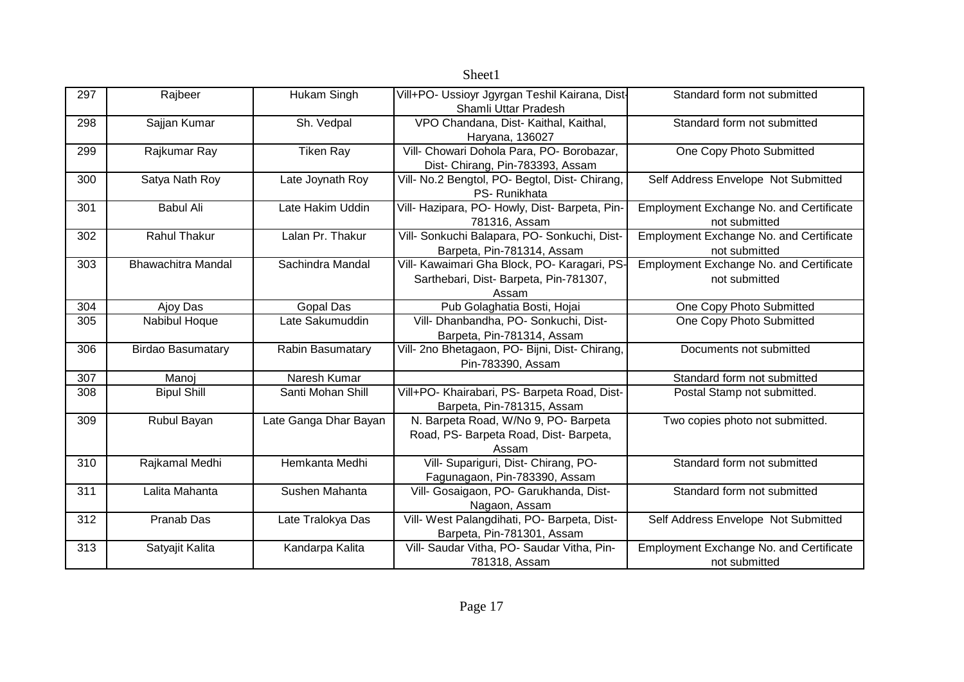| 297 | Rajbeer                   | Hukam Singh           | Vill+PO- Ussioyr Jgyrgan Teshil Kairana, Dist-<br>Shamli Uttar Pradesh                          | Standard form not submitted                              |
|-----|---------------------------|-----------------------|-------------------------------------------------------------------------------------------------|----------------------------------------------------------|
| 298 | Sajjan Kumar              | Sh. Vedpal            | VPO Chandana, Dist- Kaithal, Kaithal,<br>Haryana, 136027                                        | Standard form not submitted                              |
| 299 | Rajkumar Ray              | <b>Tiken Ray</b>      | Vill- Chowari Dohola Para, PO- Borobazar,<br>Dist- Chirang, Pin-783393, Assam                   | One Copy Photo Submitted                                 |
| 300 | Satya Nath Roy            | Late Joynath Roy      | Vill- No.2 Bengtol, PO- Begtol, Dist- Chirang,<br>PS-Runikhata                                  | Self Address Envelope Not Submitted                      |
| 301 | <b>Babul Ali</b>          | Late Hakim Uddin      | Vill- Hazipara, PO- Howly, Dist- Barpeta, Pin-<br>781316, Assam                                 | Employment Exchange No. and Certificate<br>not submitted |
| 302 | <b>Rahul Thakur</b>       | Lalan Pr. Thakur      | Vill- Sonkuchi Balapara, PO- Sonkuchi, Dist-<br>Barpeta, Pin-781314, Assam                      | Employment Exchange No. and Certificate<br>not submitted |
| 303 | <b>Bhawachitra Mandal</b> | Sachindra Mandal      | Vill- Kawaimari Gha Block, PO- Karagari, PS-<br>Sarthebari, Dist- Barpeta, Pin-781307,<br>Assam | Employment Exchange No. and Certificate<br>not submitted |
| 304 | Ajoy Das                  | <b>Gopal Das</b>      | Pub Golaghatia Bosti, Hojai                                                                     | One Copy Photo Submitted                                 |
| 305 | Nabibul Hoque             | Late Sakumuddin       | Vill- Dhanbandha, PO- Sonkuchi, Dist-<br>Barpeta, Pin-781314, Assam                             | One Copy Photo Submitted                                 |
| 306 | <b>Birdao Basumatary</b>  | Rabin Basumatary      | Vill- 2no Bhetagaon, PO- Bijni, Dist- Chirang,<br>Pin-783390, Assam                             | Documents not submitted                                  |
| 307 | Manoj                     | Naresh Kumar          |                                                                                                 | Standard form not submitted                              |
| 308 | <b>Bipul Shill</b>        | Santi Mohan Shill     | Vill+PO- Khairabari, PS- Barpeta Road, Dist-<br>Barpeta, Pin-781315, Assam                      | Postal Stamp not submitted.                              |
| 309 | Rubul Bayan               | Late Ganga Dhar Bayan | N. Barpeta Road, W/No 9, PO- Barpeta<br>Road, PS- Barpeta Road, Dist- Barpeta,<br>Assam         | Two copies photo not submitted.                          |
| 310 | Rajkamal Medhi            | Hemkanta Medhi        | Vill- Supariguri, Dist- Chirang, PO-<br>Fagunagaon, Pin-783390, Assam                           | Standard form not submitted                              |
| 311 | Lalita Mahanta            | Sushen Mahanta        | Vill- Gosaigaon, PO- Garukhanda, Dist-<br>Nagaon, Assam                                         | Standard form not submitted                              |
| 312 | Pranab Das                | Late Tralokya Das     | Vill- West Palangdihati, PO- Barpeta, Dist-<br>Barpeta, Pin-781301, Assam                       | Self Address Envelope Not Submitted                      |
| 313 | Satyajit Kalita           | Kandarpa Kalita       | Vill- Saudar Vitha, PO- Saudar Vitha, Pin-<br>781318, Assam                                     | Employment Exchange No. and Certificate<br>not submitted |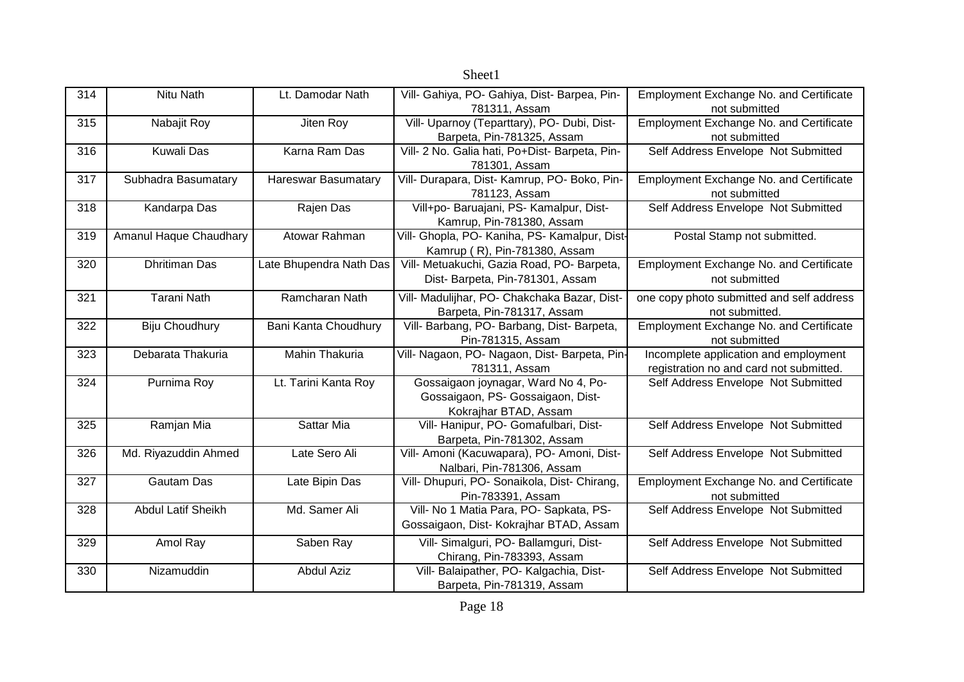|     |                           |                            | <b>DIICCLI</b>                                 |                                                |
|-----|---------------------------|----------------------------|------------------------------------------------|------------------------------------------------|
| 314 | Nitu Nath                 | Lt. Damodar Nath           | Vill- Gahiya, PO- Gahiya, Dist- Barpea, Pin-   | Employment Exchange No. and Certificate        |
|     |                           |                            | 781311, Assam                                  | not submitted                                  |
| 315 | Nabajit Roy               | Jiten Roy                  | Vill- Uparnoy (Teparttary), PO- Dubi, Dist-    | Employment Exchange No. and Certificate        |
|     |                           |                            | Barpeta, Pin-781325, Assam                     | not submitted                                  |
| 316 | <b>Kuwali Das</b>         | Karna Ram Das              | Vill- 2 No. Galia hati, Po+Dist- Barpeta, Pin- | Self Address Envelope Not Submitted            |
|     |                           |                            | 781301, Assam                                  |                                                |
| 317 | Subhadra Basumatary       | <b>Hareswar Basumatary</b> | Vill- Durapara, Dist- Kamrup, PO- Boko, Pin-   | Employment Exchange No. and Certificate        |
|     |                           |                            | 781123, Assam                                  | not submitted                                  |
| 318 | Kandarpa Das              | Rajen Das                  | Vill+po- Baruajani, PS- Kamalpur, Dist-        | Self Address Envelope Not Submitted            |
|     |                           |                            | Kamrup, Pin-781380, Assam                      |                                                |
| 319 | Amanul Haque Chaudhary    | Atowar Rahman              | Vill- Ghopla, PO- Kaniha, PS- Kamalpur, Dist-  | Postal Stamp not submitted.                    |
|     |                           |                            | Kamrup (R), Pin-781380, Assam                  |                                                |
| 320 | <b>Dhritiman Das</b>      | Late Bhupendra Nath Das    | Vill- Metuakuchi, Gazia Road, PO- Barpeta,     | Employment Exchange No. and Certificate        |
|     |                           |                            | Dist- Barpeta, Pin-781301, Assam               | not submitted                                  |
| 321 | <b>Tarani Nath</b>        | Ramcharan Nath             | Vill- Madulijhar, PO- Chakchaka Bazar, Dist-   | one copy photo submitted and self address      |
|     |                           |                            | Barpeta, Pin-781317, Assam                     | not submitted.                                 |
| 322 | Biju Choudhury            | Bani Kanta Choudhury       | Vill- Barbang, PO- Barbang, Dist- Barpeta,     | Employment Exchange No. and Certificate        |
|     |                           |                            | Pin-781315, Assam                              | not submitted                                  |
| 323 | Debarata Thakuria         | <b>Mahin Thakuria</b>      | Vill- Nagaon, PO- Nagaon, Dist- Barpeta, Pin-  | Incomplete application and employment          |
|     |                           |                            | 781311, Assam                                  | registration no and card not submitted.        |
| 324 | Purnima Roy               | Lt. Tarini Kanta Roy       | Gossaigaon joynagar, Ward No 4, Po-            | Self Address Envelope Not Submitted            |
|     |                           |                            | Gossaigaon, PS- Gossaigaon, Dist-              |                                                |
|     |                           |                            | Kokrajhar BTAD, Assam                          |                                                |
| 325 | Ramjan Mia                | Sattar Mia                 | Vill- Hanipur, PO- Gomafulbari, Dist-          | Self Address Envelope Not Submitted            |
|     |                           |                            | Barpeta, Pin-781302, Assam                     |                                                |
| 326 | Md. Riyazuddin Ahmed      | Late Sero Ali              | Vill- Amoni (Kacuwapara), PO- Amoni, Dist-     | Self Address Envelope Not Submitted            |
|     |                           |                            | Nalbari, Pin-781306, Assam                     |                                                |
| 327 | <b>Gautam Das</b>         | Late Bipin Das             | Vill- Dhupuri, PO- Sonaikola, Dist- Chirang,   | <b>Employment Exchange No. and Certificate</b> |
|     |                           |                            | Pin-783391, Assam                              | not submitted                                  |
| 328 | <b>Abdul Latif Sheikh</b> | Md. Samer Ali              | Vill- No 1 Matia Para, PO- Sapkata, PS-        | Self Address Envelope Not Submitted            |
|     |                           |                            | Gossaigaon, Dist- Kokrajhar BTAD, Assam        |                                                |
| 329 | Amol Ray                  | Saben Ray                  | Vill- Simalguri, PO- Ballamguri, Dist-         | Self Address Envelope Not Submitted            |
|     |                           |                            | Chirang, Pin-783393, Assam                     |                                                |
| 330 | Nizamuddin                | <b>Abdul Aziz</b>          | Vill- Balaipather, PO- Kalgachia, Dist-        | Self Address Envelope Not Submitted            |
|     |                           |                            | Barpeta, Pin-781319, Assam                     |                                                |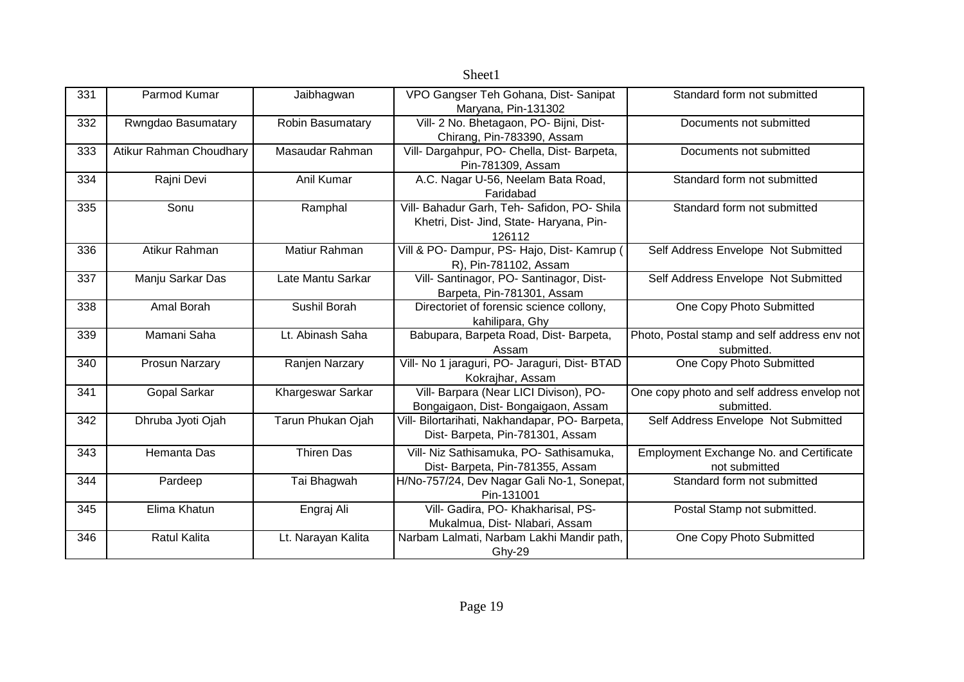| 331 | Parmod Kumar            | Jaibhagwan         | VPO Gangser Teh Gohana, Dist-Sanipat           | Standard form not submitted                    |
|-----|-------------------------|--------------------|------------------------------------------------|------------------------------------------------|
|     |                         |                    | Maryana, Pin-131302                            |                                                |
| 332 | Rwngdao Basumatary      | Robin Basumatary   | Vill- 2 No. Bhetagaon, PO- Bijni, Dist-        | Documents not submitted                        |
|     |                         |                    | Chirang, Pin-783390, Assam                     |                                                |
| 333 | Atikur Rahman Choudhary | Masaudar Rahman    | Vill- Dargahpur, PO- Chella, Dist- Barpeta,    | Documents not submitted                        |
|     |                         |                    | Pin-781309, Assam                              |                                                |
| 334 | Rajni Devi              | Anil Kumar         | A.C. Nagar U-56, Neelam Bata Road,             | Standard form not submitted                    |
|     |                         |                    | Faridabad                                      |                                                |
| 335 | Sonu                    | Ramphal            | Vill- Bahadur Garh, Teh- Safidon, PO- Shila    | Standard form not submitted                    |
|     |                         |                    | Khetri, Dist- Jind, State- Haryana, Pin-       |                                                |
|     |                         |                    | 126112                                         |                                                |
| 336 | Atikur Rahman           | Matiur Rahman      | Vill & PO- Dampur, PS- Hajo, Dist- Kamrup      | Self Address Envelope Not Submitted            |
|     |                         |                    | R), Pin-781102, Assam                          |                                                |
| 337 | Manju Sarkar Das        | Late Mantu Sarkar  | Vill- Santinagor, PO- Santinagor, Dist-        | Self Address Envelope Not Submitted            |
|     |                         |                    | Barpeta, Pin-781301, Assam                     |                                                |
| 338 | Amal Borah              | Sushil Borah       | Directoriet of forensic science collony,       | One Copy Photo Submitted                       |
|     |                         |                    | kahilipara, Ghy                                |                                                |
| 339 | Mamani Saha             | Lt. Abinash Saha   | Babupara, Barpeta Road, Dist- Barpeta,         | Photo, Postal stamp and self address env not   |
|     |                         |                    | Assam                                          | submitted.                                     |
| 340 | Prosun Narzary          | Ranjen Narzary     | Vill- No 1 jaraguri, PO- Jaraguri, Dist- BTAD  | One Copy Photo Submitted                       |
|     |                         |                    | Kokrajhar, Assam                               |                                                |
| 341 | Gopal Sarkar            | Khargeswar Sarkar  | Vill- Barpara (Near LICI Divison), PO-         | One copy photo and self address envelop not    |
|     |                         |                    | Bongaigaon, Dist- Bongaigaon, Assam            | submitted.                                     |
| 342 | Dhruba Jyoti Ojah       | Tarun Phukan Ojah  | Vill- Bilortarihati, Nakhandapar, PO- Barpeta, | Self Address Envelope Not Submitted            |
|     |                         |                    | Dist- Barpeta, Pin-781301, Assam               |                                                |
| 343 | Hemanta Das             | <b>Thiren Das</b>  | Vill- Niz Sathisamuka, PO- Sathisamuka,        | <b>Employment Exchange No. and Certificate</b> |
|     |                         |                    | Dist- Barpeta, Pin-781355, Assam               | not submitted                                  |
| 344 | Pardeep                 | Tai Bhagwah        | H/No-757/24, Dev Nagar Gali No-1, Sonepat,     | Standard form not submitted                    |
|     |                         |                    | Pin-131001                                     |                                                |
| 345 | Elima Khatun            | Engraj Ali         | Vill- Gadira, PO- Khakharisal, PS-             | Postal Stamp not submitted.                    |
|     |                         |                    | Mukalmua, Dist- Nlabari, Assam                 |                                                |
| 346 | <b>Ratul Kalita</b>     | Lt. Narayan Kalita | Narbam Lalmati, Narbam Lakhi Mandir path,      | One Copy Photo Submitted                       |
|     |                         |                    | Ghy-29                                         |                                                |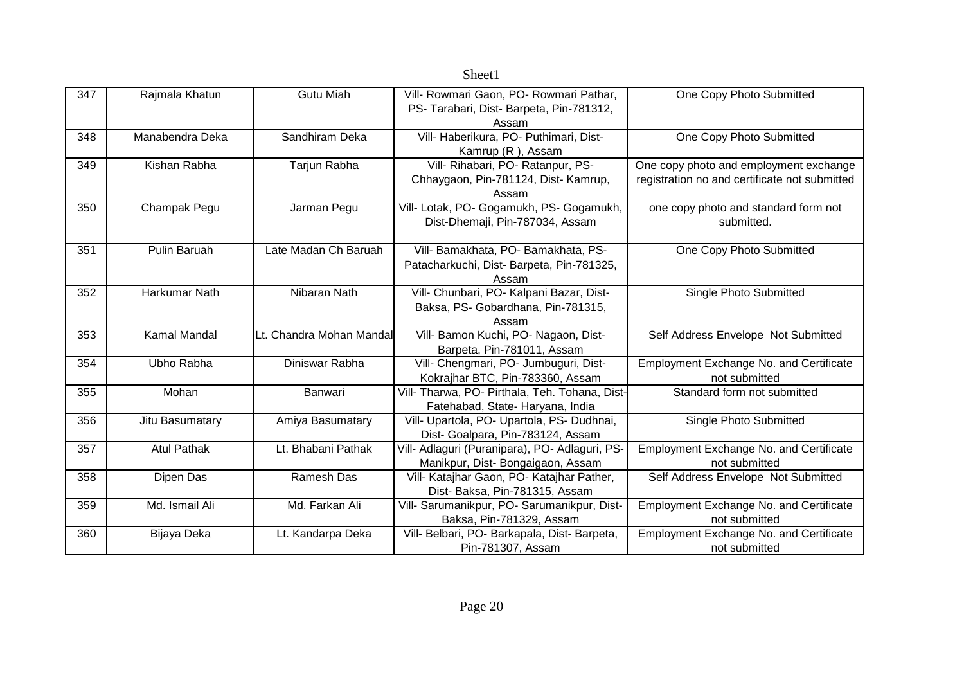|     |                    |                          | niccii                                                                                       |                                                                                         |
|-----|--------------------|--------------------------|----------------------------------------------------------------------------------------------|-----------------------------------------------------------------------------------------|
| 347 | Rajmala Khatun     | <b>Gutu Miah</b>         | Vill- Rowmari Gaon, PO- Rowmari Pathar,<br>PS- Tarabari, Dist- Barpeta, Pin-781312,<br>Assam | One Copy Photo Submitted                                                                |
| 348 | Manabendra Deka    | Sandhiram Deka           | Vill- Haberikura, PO- Puthimari, Dist-<br>Kamrup (R), Assam                                  | One Copy Photo Submitted                                                                |
| 349 | Kishan Rabha       | Tarjun Rabha             | Vill- Rihabari, PO- Ratanpur, PS-<br>Chhaygaon, Pin-781124, Dist- Kamrup,<br>Assam           | One copy photo and employment exchange<br>registration no and certificate not submitted |
| 350 | Champak Pegu       | Jarman Pegu              | Vill- Lotak, PO- Gogamukh, PS- Gogamukh,<br>Dist-Dhemaji, Pin-787034, Assam                  | one copy photo and standard form not<br>submitted.                                      |
| 351 | Pulin Baruah       | Late Madan Ch Baruah     | Vill- Bamakhata, PO- Bamakhata, PS-<br>Patacharkuchi, Dist-Barpeta, Pin-781325,<br>Assam     | One Copy Photo Submitted                                                                |
| 352 | Harkumar Nath      | Nibaran Nath             | Vill- Chunbari, PO- Kalpani Bazar, Dist-<br>Baksa, PS- Gobardhana, Pin-781315,<br>Assam      | Single Photo Submitted                                                                  |
| 353 | Kamal Mandal       | Lt. Chandra Mohan Mandal | Vill- Bamon Kuchi, PO- Nagaon, Dist-<br>Barpeta, Pin-781011, Assam                           | Self Address Envelope Not Submitted                                                     |
| 354 | Ubho Rabha         | Diniswar Rabha           | Vill- Chengmari, PO- Jumbuguri, Dist-<br>Kokrajhar BTC, Pin-783360, Assam                    | Employment Exchange No. and Certificate<br>not submitted                                |
| 355 | Mohan              | Banwari                  | Vill- Tharwa, PO- Pirthala, Teh. Tohana, Dist-<br>Fatehabad, State- Haryana, India           | Standard form not submitted                                                             |
| 356 | Jitu Basumatary    | Amiya Basumatary         | Vill- Upartola, PO- Upartola, PS- Dudhnai,<br>Dist- Goalpara, Pin-783124, Assam              | Single Photo Submitted                                                                  |
| 357 | <b>Atul Pathak</b> | Lt. Bhabani Pathak       | Vill- Adlaguri (Puranipara), PO- Adlaguri, PS-<br>Manikpur, Dist-Bongaigaon, Assam           | Employment Exchange No. and Certificate<br>not submitted                                |
| 358 | Dipen Das          | Ramesh Das               | Vill- Katajhar Gaon, PO- Katajhar Pather,<br>Dist- Baksa, Pin-781315, Assam                  | Self Address Envelope Not Submitted                                                     |
| 359 | Md. Ismail Ali     | Md. Farkan Ali           | Vill- Sarumanikpur, PO- Sarumanikpur, Dist-<br>Baksa, Pin-781329, Assam                      | Employment Exchange No. and Certificate<br>not submitted                                |
| 360 | Bijaya Deka        | Lt. Kandarpa Deka        | Vill- Belbari, PO- Barkapala, Dist- Barpeta,<br>Pin-781307, Assam                            | Employment Exchange No. and Certificate<br>not submitted                                |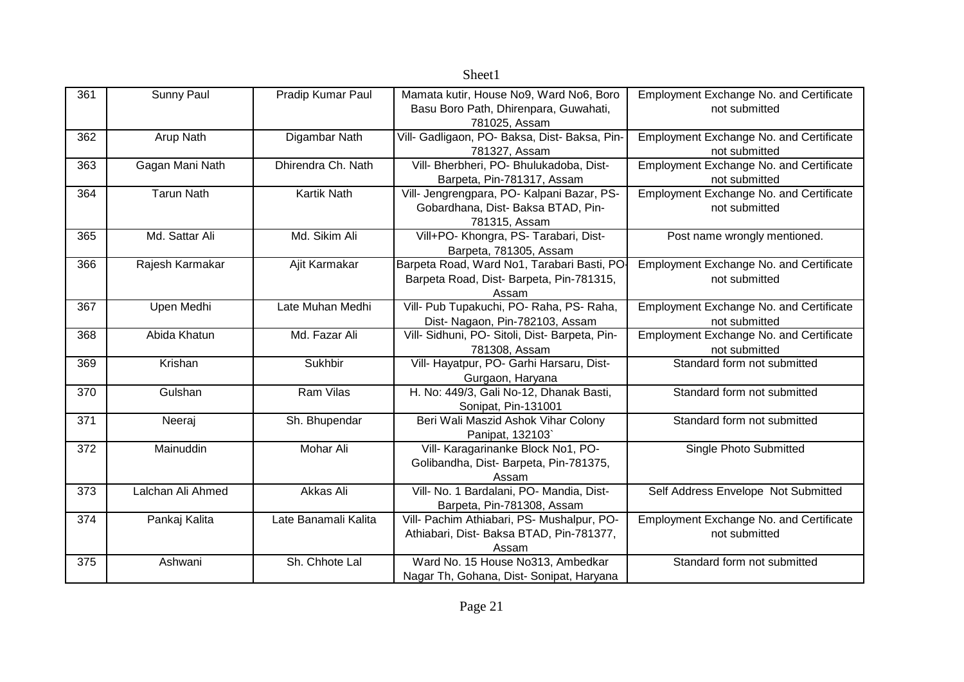|     |                   |                      | Sheet1                                            |                                                          |
|-----|-------------------|----------------------|---------------------------------------------------|----------------------------------------------------------|
| 361 | <b>Sunny Paul</b> | Pradip Kumar Paul    | Mamata kutir, House No9, Ward No6, Boro           | Employment Exchange No. and Certificate                  |
|     |                   |                      | Basu Boro Path, Dhirenpara, Guwahati,             | not submitted                                            |
|     |                   |                      | 781025, Assam                                     |                                                          |
| 362 | Arup Nath         | Digambar Nath        | Vill- Gadligaon, PO- Baksa, Dist- Baksa, Pin-     | Employment Exchange No. and Certificate                  |
|     |                   |                      | 781327, Assam                                     | not submitted                                            |
| 363 | Gagan Mani Nath   | Dhirendra Ch. Nath   | Vill- Bherbheri, PO- Bhulukadoba, Dist-           | Employment Exchange No. and Certificate                  |
|     |                   |                      | Barpeta, Pin-781317, Assam                        | not submitted                                            |
| 364 | <b>Tarun Nath</b> | <b>Kartik Nath</b>   | Vill- Jengrengpara, PO- Kalpani Bazar, PS-        | Employment Exchange No. and Certificate                  |
|     |                   |                      | Gobardhana, Dist- Baksa BTAD, Pin-                | not submitted                                            |
|     |                   |                      | 781315, Assam                                     |                                                          |
| 365 | Md. Sattar Ali    | Md. Sikim Ali        | Vill+PO- Khongra, PS- Tarabari, Dist-             | Post name wrongly mentioned.                             |
|     |                   |                      | Barpeta, 781305, Assam                            |                                                          |
| 366 | Rajesh Karmakar   | Ajit Karmakar        | Barpeta Road, Ward No1, Tarabari Basti, PO-       | Employment Exchange No. and Certificate                  |
|     |                   |                      | Barpeta Road, Dist- Barpeta, Pin-781315,          | not submitted                                            |
|     |                   | Late Muhan Medhi     | Assam<br>Vill- Pub Tupakuchi, PO- Raha, PS- Raha, |                                                          |
| 367 | Upen Medhi        |                      | Dist- Nagaon, Pin-782103, Assam                   | Employment Exchange No. and Certificate<br>not submitted |
| 368 | Abida Khatun      | Md. Fazar Ali        | Vill- Sidhuni, PO- Sitoli, Dist- Barpeta, Pin-    | Employment Exchange No. and Certificate                  |
|     |                   |                      | 781308, Assam                                     | not submitted                                            |
| 369 | Krishan           | Sukhbir              | Vill- Hayatpur, PO- Garhi Harsaru, Dist-          | Standard form not submitted                              |
|     |                   |                      | Gurgaon, Haryana                                  |                                                          |
| 370 | Gulshan           | Ram Vilas            | H. No: 449/3, Gali No-12, Dhanak Basti,           | Standard form not submitted                              |
|     |                   |                      | Sonipat, Pin-131001                               |                                                          |
| 371 | Neeraj            | Sh. Bhupendar        | Beri Wali Maszid Ashok Vihar Colony               | Standard form not submitted                              |
|     |                   |                      | Panipat, 132103                                   |                                                          |
| 372 | Mainuddin         | Mohar Ali            | Vill- Karagarinanke Block No1, PO-                | Single Photo Submitted                                   |
|     |                   |                      | Golibandha, Dist- Barpeta, Pin-781375,            |                                                          |
|     |                   |                      | Assam                                             |                                                          |
| 373 | Lalchan Ali Ahmed | Akkas Ali            | Vill- No. 1 Bardalani, PO- Mandia, Dist-          | Self Address Envelope Not Submitted                      |
|     |                   |                      | Barpeta, Pin-781308, Assam                        |                                                          |
| 374 | Pankaj Kalita     | Late Banamali Kalita | Vill- Pachim Athiabari, PS- Mushalpur, PO-        | Employment Exchange No. and Certificate                  |
|     |                   |                      | Athiabari, Dist- Baksa BTAD, Pin-781377,          | not submitted                                            |
|     |                   |                      | Assam                                             |                                                          |
| 375 | Ashwani           | Sh. Chhote Lal       | Ward No. 15 House No313, Ambedkar                 | Standard form not submitted                              |
|     |                   |                      | Nagar Th, Gohana, Dist- Sonipat, Haryana          |                                                          |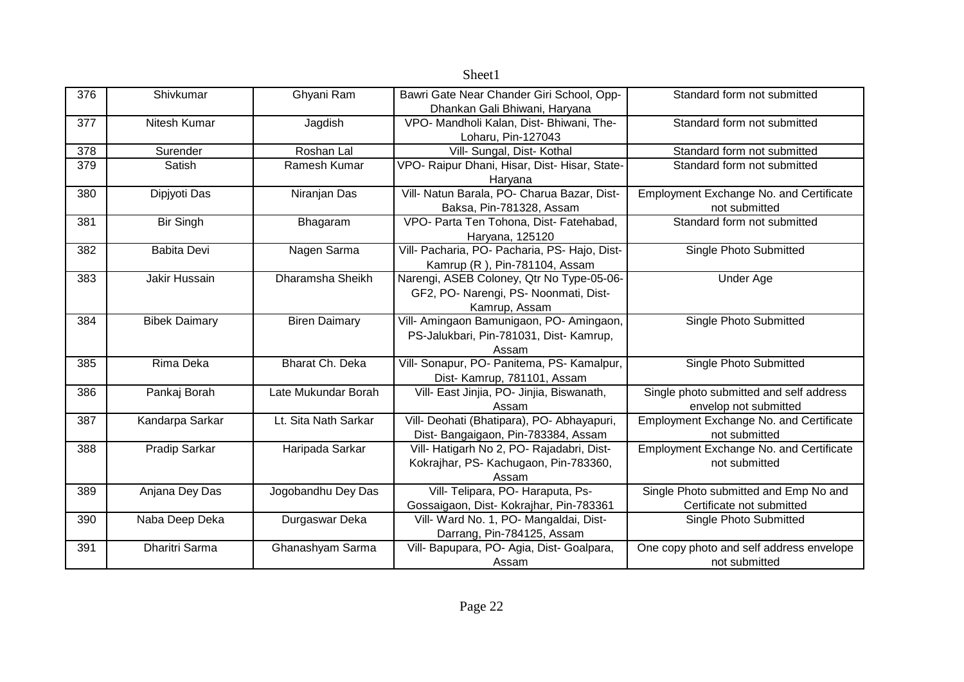| 376 | Shivkumar            | Ghyani Ram           | Bawri Gate Near Chander Giri School, Opp-     | Standard form not submitted                    |
|-----|----------------------|----------------------|-----------------------------------------------|------------------------------------------------|
|     |                      |                      | Dhankan Gali Bhiwani, Haryana                 |                                                |
| 377 | Nitesh Kumar         | Jagdish              | VPO- Mandholi Kalan, Dist- Bhiwani, The-      | Standard form not submitted                    |
|     |                      |                      | Loharu, Pin-127043                            |                                                |
| 378 | Surender             | Roshan Lal           | Vill- Sungal, Dist- Kothal                    | Standard form not submitted                    |
| 379 | Satish               | Ramesh Kumar         | VPO- Raipur Dhani, Hisar, Dist- Hisar, State- | Standard form not submitted                    |
|     |                      |                      | Haryana                                       |                                                |
| 380 | Dipjyoti Das         | Niranjan Das         | Vill- Natun Barala, PO- Charua Bazar, Dist-   | Employment Exchange No. and Certificate        |
|     |                      |                      | Baksa, Pin-781328, Assam                      | not submitted                                  |
| 381 | <b>Bir Singh</b>     | Bhagaram             | VPO- Parta Ten Tohona, Dist- Fatehabad,       | Standard form not submitted                    |
|     |                      |                      | Haryana, 125120                               |                                                |
| 382 | <b>Babita Devi</b>   | Nagen Sarma          | Vill- Pacharia, PO- Pacharia, PS- Hajo, Dist- | Single Photo Submitted                         |
|     |                      |                      | Kamrup (R), Pin-781104, Assam                 |                                                |
| 383 | Jakir Hussain        | Dharamsha Sheikh     | Narengi, ASEB Coloney, Qtr No Type-05-06-     | Under Age                                      |
|     |                      |                      | GF2, PO- Narengi, PS- Noonmati, Dist-         |                                                |
|     |                      |                      | Kamrup, Assam                                 |                                                |
| 384 | <b>Bibek Daimary</b> | <b>Biren Daimary</b> | Vill- Amingaon Bamunigaon, PO- Amingaon,      | Single Photo Submitted                         |
|     |                      |                      | PS-Jalukbari, Pin-781031, Dist- Kamrup,       |                                                |
|     |                      |                      | Assam                                         |                                                |
| 385 | Rima Deka            | Bharat Ch. Deka      | Vill- Sonapur, PO- Panitema, PS- Kamalpur,    | Single Photo Submitted                         |
|     |                      |                      | Dist- Kamrup, 781101, Assam                   |                                                |
| 386 | Pankaj Borah         | Late Mukundar Borah  | Vill- East Jinjia, PO- Jinjia, Biswanath,     | Single photo submitted and self address        |
|     |                      |                      | Assam                                         | envelop not submitted                          |
| 387 | Kandarpa Sarkar      | Lt. Sita Nath Sarkar | Vill- Deohati (Bhatipara), PO- Abhayapuri,    | Employment Exchange No. and Certificate        |
|     |                      |                      | Dist- Bangaigaon, Pin-783384, Assam           | not submitted                                  |
| 388 | Pradip Sarkar        | Haripada Sarkar      | Vill- Hatigarh No 2, PO- Rajadabri, Dist-     | <b>Employment Exchange No. and Certificate</b> |
|     |                      |                      | Kokrajhar, PS- Kachugaon, Pin-783360,         | not submitted                                  |
|     |                      |                      | Assam                                         |                                                |
| 389 | Anjana Dey Das       | Jogobandhu Dey Das   | Vill- Telipara, PO- Haraputa, Ps-             | Single Photo submitted and Emp No and          |
|     |                      |                      | Gossaigaon, Dist- Kokrajhar, Pin-783361       | Certificate not submitted                      |
| 390 | Naba Deep Deka       | Durgaswar Deka       | Vill- Ward No. 1, PO- Mangaldai, Dist-        | Single Photo Submitted                         |
|     |                      |                      | Darrang, Pin-784125, Assam                    |                                                |
| 391 | Dharitri Sarma       | Ghanashyam Sarma     | Vill- Bapupara, PO- Agia, Dist- Goalpara,     | One copy photo and self address envelope       |
|     |                      |                      | Assam                                         | not submitted                                  |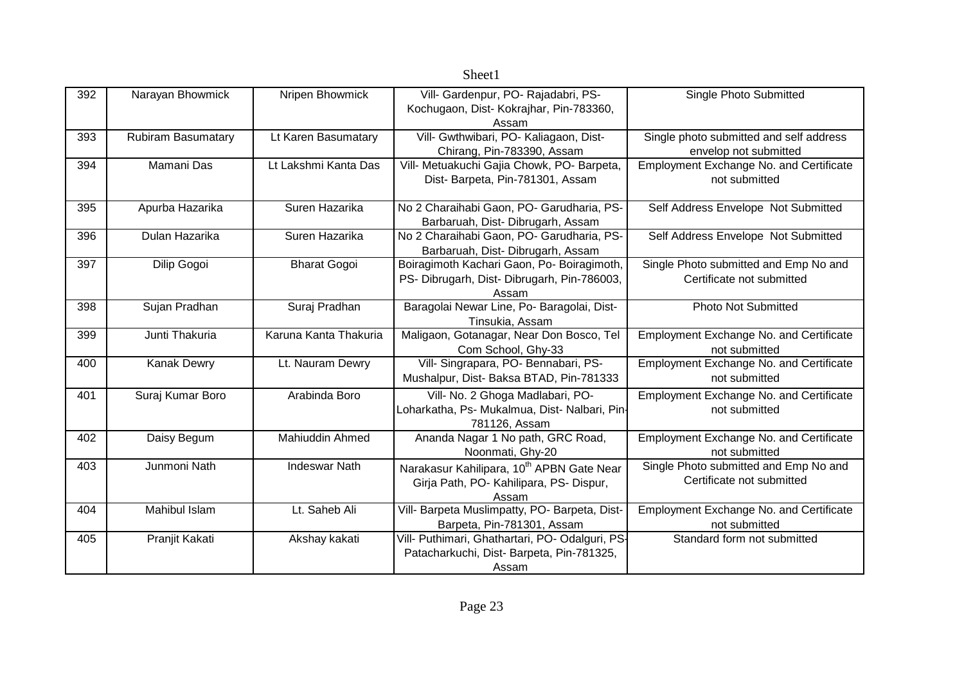|     |                           |                        | Sheet1                                                                                                    |                                                                    |
|-----|---------------------------|------------------------|-----------------------------------------------------------------------------------------------------------|--------------------------------------------------------------------|
| 392 | Narayan Bhowmick          | Nripen Bhowmick        | Vill- Gardenpur, PO- Rajadabri, PS-<br>Kochugaon, Dist- Kokrajhar, Pin-783360,<br>Assam                   | Single Photo Submitted                                             |
| 393 | <b>Rubiram Basumatary</b> | Lt Karen Basumatary    | Vill- Gwthwibari, PO- Kaliagaon, Dist-<br>Chirang, Pin-783390, Assam                                      | Single photo submitted and self address<br>envelop not submitted   |
| 394 | Mamani Das                | Lt Lakshmi Kanta Das   | Vill- Metuakuchi Gajia Chowk, PO- Barpeta,<br>Dist- Barpeta, Pin-781301, Assam                            | Employment Exchange No. and Certificate<br>not submitted           |
| 395 | Apurba Hazarika           | Suren Hazarika         | No 2 Charaihabi Gaon, PO- Garudharia, PS-<br>Barbaruah, Dist- Dibrugarh, Assam                            | Self Address Envelope Not Submitted                                |
| 396 | Dulan Hazarika            | Suren Hazarika         | No 2 Charaihabi Gaon, PO- Garudharia, PS-<br>Barbaruah, Dist- Dibrugarh, Assam                            | Self Address Envelope Not Submitted                                |
| 397 | Dilip Gogoi               | <b>Bharat Gogoi</b>    | Boiragimoth Kachari Gaon, Po- Boiragimoth,<br>PS- Dibrugarh, Dist- Dibrugarh, Pin-786003,<br>Assam        | Single Photo submitted and Emp No and<br>Certificate not submitted |
| 398 | Sujan Pradhan             | Suraj Pradhan          | Baragolai Newar Line, Po- Baragolai, Dist-<br>Tinsukia, Assam                                             | <b>Photo Not Submitted</b>                                         |
| 399 | Junti Thakuria            | Karuna Kanta Thakuria  | Maligaon, Gotanagar, Near Don Bosco, Tel<br>Com School, Ghy-33                                            | <b>Employment Exchange No. and Certificate</b><br>not submitted    |
| 400 | Kanak Dewry               | Lt. Nauram Dewry       | Vill- Singrapara, PO- Bennabari, PS-<br>Mushalpur, Dist- Baksa BTAD, Pin-781333                           | <b>Employment Exchange No. and Certificate</b><br>not submitted    |
| 401 | Suraj Kumar Boro          | Arabinda Boro          | Vill- No. 2 Ghoga Madlabari, PO-<br>Loharkatha, Ps- Mukalmua, Dist- Nalbari, Pin-<br>781126, Assam        | Employment Exchange No. and Certificate<br>not submitted           |
| 402 | Daisy Begum               | <b>Mahiuddin Ahmed</b> | Ananda Nagar 1 No path, GRC Road,<br>Noonmati, Ghy-20                                                     | Employment Exchange No. and Certificate<br>not submitted           |
| 403 | Junmoni Nath              | <b>Indeswar Nath</b>   | Narakasur Kahilipara, 10 <sup>th</sup> APBN Gate Near<br>Girja Path, PO- Kahilipara, PS- Dispur,<br>Assam | Single Photo submitted and Emp No and<br>Certificate not submitted |
| 404 | Mahibul Islam             | Lt. Saheb Ali          | Vill- Barpeta Muslimpatty, PO- Barpeta, Dist-<br>Barpeta, Pin-781301, Assam                               | Employment Exchange No. and Certificate<br>not submitted           |
| 405 | Pranjit Kakati            | Akshay kakati          | Vill- Puthimari, Ghathartari, PO- Odalguri, PS-<br>Patacharkuchi, Dist-Barpeta, Pin-781325,<br>Assam      | Standard form not submitted                                        |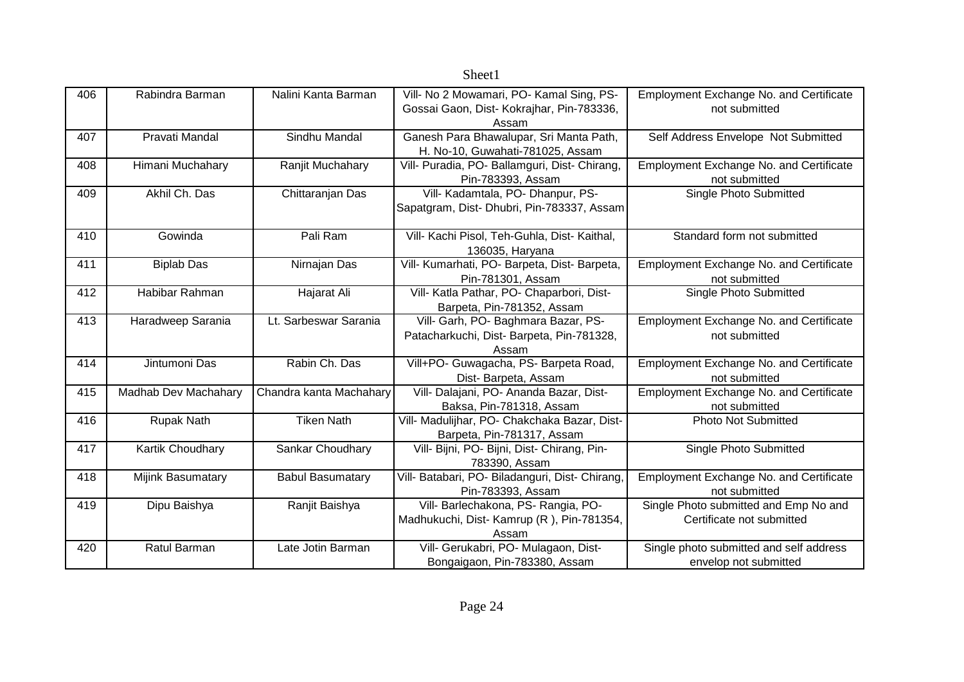|     |                      |                         | OIICCLI                                                                                        |                                                                    |
|-----|----------------------|-------------------------|------------------------------------------------------------------------------------------------|--------------------------------------------------------------------|
| 406 | Rabindra Barman      | Nalini Kanta Barman     | Vill- No 2 Mowamari, PO- Kamal Sing, PS-<br>Gossai Gaon, Dist- Kokrajhar, Pin-783336,<br>Assam | <b>Employment Exchange No. and Certificate</b><br>not submitted    |
| 407 | Pravati Mandal       | Sindhu Mandal           | Ganesh Para Bhawalupar, Sri Manta Path,<br>H. No-10, Guwahati-781025, Assam                    | Self Address Envelope Not Submitted                                |
| 408 | Himani Muchahary     | Ranjit Muchahary        | Vill- Puradia, PO- Ballamguri, Dist- Chirang,<br>Pin-783393, Assam                             | Employment Exchange No. and Certificate<br>not submitted           |
| 409 | Akhil Ch. Das        | Chittaranjan Das        | Vill- Kadamtala, PO- Dhanpur, PS-<br>Sapatgram, Dist- Dhubri, Pin-783337, Assam                | Single Photo Submitted                                             |
| 410 | Gowinda              | Pali Ram                | Vill- Kachi Pisol, Teh-Guhla, Dist- Kaithal,<br>136035, Haryana                                | Standard form not submitted                                        |
| 411 | <b>Biplab Das</b>    | Nirnajan Das            | Vill- Kumarhati, PO- Barpeta, Dist- Barpeta,<br>Pin-781301, Assam                              | <b>Employment Exchange No. and Certificate</b><br>not submitted    |
| 412 | Habibar Rahman       | Hajarat Ali             | Vill- Katla Pathar, PO- Chaparbori, Dist-<br>Barpeta, Pin-781352, Assam                        | Single Photo Submitted                                             |
| 413 | Haradweep Sarania    | Lt. Sarbeswar Sarania   | Vill- Garh, PO- Baghmara Bazar, PS-<br>Patacharkuchi, Dist-Barpeta, Pin-781328,<br>Assam       | <b>Employment Exchange No. and Certificate</b><br>not submitted    |
| 414 | Jintumoni Das        | Rabin Ch. Das           | Vill+PO- Guwagacha, PS- Barpeta Road,<br>Dist-Barpeta, Assam                                   | Employment Exchange No. and Certificate<br>not submitted           |
| 415 | Madhab Dev Machahary | Chandra kanta Machahary | Vill- Dalajani, PO- Ananda Bazar, Dist-<br>Baksa, Pin-781318, Assam                            | Employment Exchange No. and Certificate<br>not submitted           |
| 416 | Rupak Nath           | <b>Tiken Nath</b>       | Vill- Madulijhar, PO- Chakchaka Bazar, Dist-<br>Barpeta, Pin-781317, Assam                     | <b>Photo Not Submitted</b>                                         |
| 417 | Kartik Choudhary     | Sankar Choudhary        | Vill- Bijni, PO- Bijni, Dist- Chirang, Pin-<br>783390, Assam                                   | Single Photo Submitted                                             |
| 418 | Mijink Basumatary    | <b>Babul Basumatary</b> | Vill- Batabari, PO- Biladanguri, Dist- Chirang,<br>Pin-783393, Assam                           | Employment Exchange No. and Certificate<br>not submitted           |
| 419 | Dipu Baishya         | Ranjit Baishya          | Vill- Barlechakona, PS- Rangia, PO-<br>Madhukuchi, Dist-Kamrup (R), Pin-781354,<br>Assam       | Single Photo submitted and Emp No and<br>Certificate not submitted |
| 420 | Ratul Barman         | Late Jotin Barman       | Vill- Gerukabri, PO- Mulagaon, Dist-<br>Bongaigaon, Pin-783380, Assam                          | Single photo submitted and self address<br>envelop not submitted   |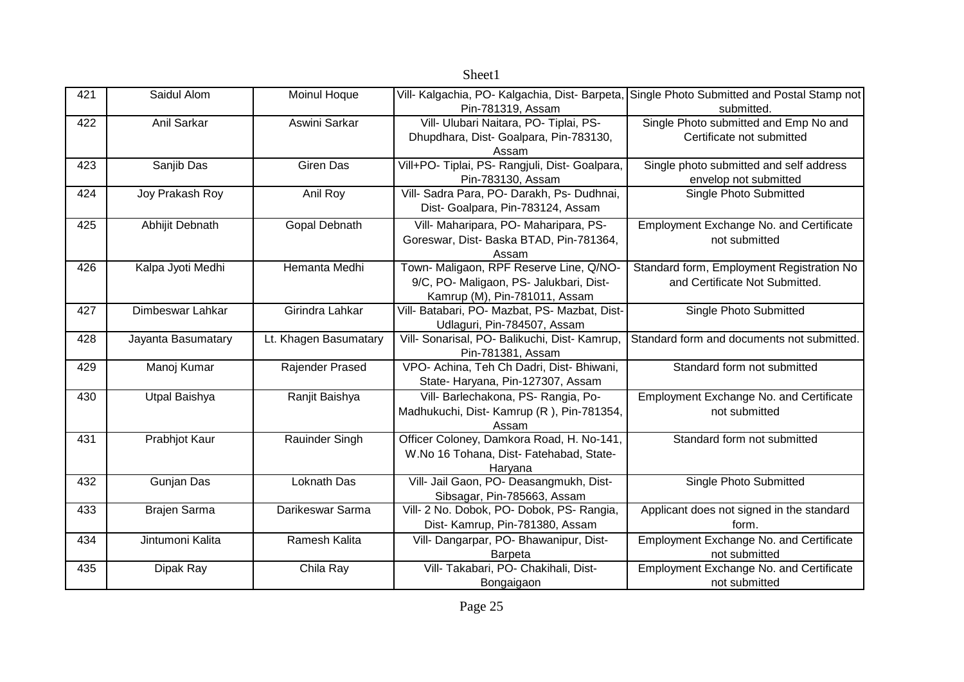|     |                     |                       | Sheet1                                                                                                              |                                                                             |
|-----|---------------------|-----------------------|---------------------------------------------------------------------------------------------------------------------|-----------------------------------------------------------------------------|
| 421 | Saidul Alom         | Moinul Hoque          | Vill- Kalgachia, PO- Kalgachia, Dist- Barpeta,<br>Pin-781319, Assam                                                 | Single Photo Submitted and Postal Stamp not<br>submitted.                   |
| 422 | Anil Sarkar         | Aswini Sarkar         | Vill- Ulubari Naitara, PO- Tiplai, PS-<br>Dhupdhara, Dist- Goalpara, Pin-783130,<br>Assam                           | Single Photo submitted and Emp No and<br>Certificate not submitted          |
| 423 | Sanjib Das          | <b>Giren Das</b>      | Vill+PO- Tiplai, PS- Rangjuli, Dist- Goalpara,<br>Pin-783130, Assam                                                 | Single photo submitted and self address<br>envelop not submitted            |
| 424 | Joy Prakash Roy     | Anil Roy              | Vill- Sadra Para, PO- Darakh, Ps- Dudhnai,<br>Dist- Goalpara, Pin-783124, Assam                                     | Single Photo Submitted                                                      |
| 425 | Abhijit Debnath     | Gopal Debnath         | Vill- Maharipara, PO- Maharipara, PS-<br>Goreswar, Dist- Baska BTAD, Pin-781364,<br>Assam                           | Employment Exchange No. and Certificate<br>not submitted                    |
| 426 | Kalpa Jyoti Medhi   | Hemanta Medhi         | Town- Maligaon, RPF Reserve Line, Q/NO-<br>9/C, PO- Maligaon, PS- Jalukbari, Dist-<br>Kamrup (M), Pin-781011, Assam | Standard form, Employment Registration No<br>and Certificate Not Submitted. |
| 427 | Dimbeswar Lahkar    | Girindra Lahkar       | Vill- Batabari, PO- Mazbat, PS- Mazbat, Dist-<br>Udlaguri, Pin-784507, Assam                                        | Single Photo Submitted                                                      |
| 428 | Jayanta Basumatary  | Lt. Khagen Basumatary | Vill- Sonarisal, PO- Balikuchi, Dist- Kamrup,<br>Pin-781381, Assam                                                  | Standard form and documents not submitted.                                  |
| 429 | Manoj Kumar         | Rajender Prased       | VPO- Achina, Teh Ch Dadri, Dist- Bhiwani,<br>State- Haryana, Pin-127307, Assam                                      | Standard form not submitted                                                 |
| 430 | Utpal Baishya       | Ranjit Baishya        | Vill- Barlechakona, PS- Rangia, Po-<br>Madhukuchi, Dist- Kamrup (R), Pin-781354,<br>Assam                           | Employment Exchange No. and Certificate<br>not submitted                    |
| 431 | Prabhjot Kaur       | Rauinder Singh        | Officer Coloney, Damkora Road, H. No-141,<br>W.No 16 Tohana, Dist- Fatehabad, State-<br>Haryana                     | Standard form not submitted                                                 |
| 432 | Gunjan Das          | Loknath Das           | Vill- Jail Gaon, PO- Deasangmukh, Dist-<br>Sibsagar, Pin-785663, Assam                                              | <b>Single Photo Submitted</b>                                               |
| 433 | <b>Brajen Sarma</b> | Darikeswar Sarma      | Vill- 2 No. Dobok, PO- Dobok, PS- Rangia,<br>Dist- Kamrup, Pin-781380, Assam                                        | Applicant does not signed in the standard<br>form.                          |
| 434 | Jintumoni Kalita    | Ramesh Kalita         | Vill- Dangarpar, PO- Bhawanipur, Dist-<br><b>Barpeta</b>                                                            | Employment Exchange No. and Certificate<br>not submitted                    |
| 435 | Dipak Ray           | Chila Ray             | Vill- Takabari, PO- Chakihali, Dist-<br>Bongaigaon                                                                  | Employment Exchange No. and Certificate<br>not submitted                    |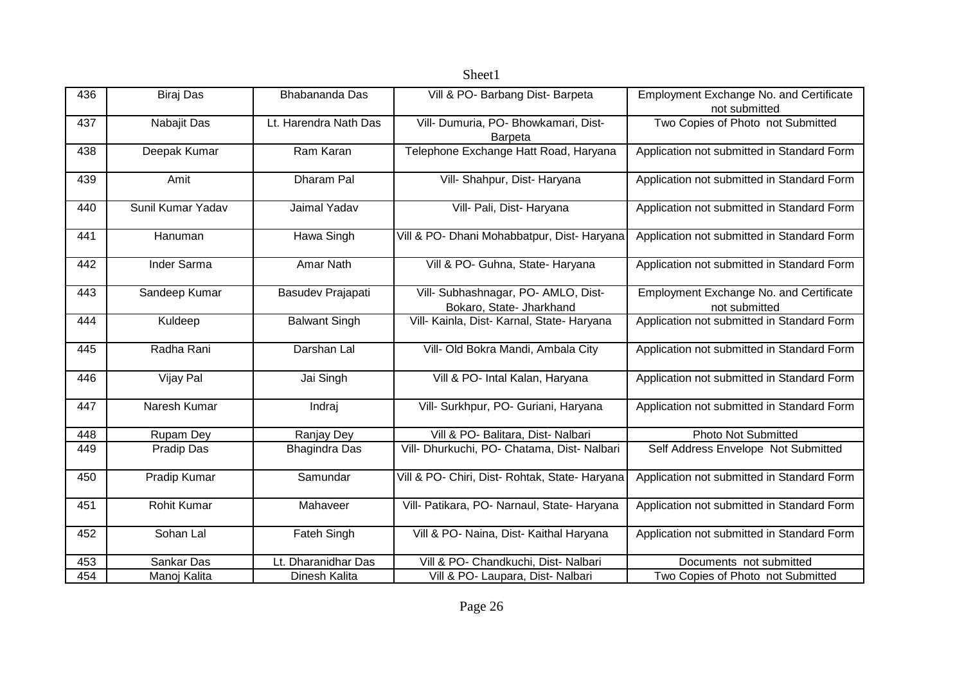|     |                   |                       | Sheet1                                                          |                                                                 |
|-----|-------------------|-----------------------|-----------------------------------------------------------------|-----------------------------------------------------------------|
| 436 | <b>Biraj Das</b>  | Bhabananda Das        | Vill & PO- Barbang Dist- Barpeta                                | <b>Employment Exchange No. and Certificate</b><br>not submitted |
| 437 | Nabajit Das       | Lt. Harendra Nath Das | Vill- Dumuria, PO- Bhowkamari, Dist-<br><b>Barpeta</b>          | Two Copies of Photo not Submitted                               |
| 438 | Deepak Kumar      | Ram Karan             | Telephone Exchange Hatt Road, Haryana                           | Application not submitted in Standard Form                      |
| 439 | Amit              | Dharam Pal            | Vill- Shahpur, Dist- Haryana                                    | Application not submitted in Standard Form                      |
| 440 | Sunil Kumar Yadav | Jaimal Yadav          | Vill- Pali, Dist- Haryana                                       | Application not submitted in Standard Form                      |
| 441 | Hanuman           | Hawa Singh            | Vill & PO- Dhani Mohabbatpur, Dist- Haryana                     | Application not submitted in Standard Form                      |
| 442 | Inder Sarma       | Amar Nath             | Vill & PO- Guhna, State- Haryana                                | Application not submitted in Standard Form                      |
| 443 | Sandeep Kumar     | Basudev Prajapati     | Vill- Subhashnagar, PO- AMLO, Dist-<br>Bokaro, State- Jharkhand | <b>Employment Exchange No. and Certificate</b><br>not submitted |
| 444 | Kuldeep           | <b>Balwant Singh</b>  | Vill- Kainla, Dist- Karnal, State- Haryana                      | Application not submitted in Standard Form                      |
| 445 | Radha Rani        | Darshan Lal           | Vill- Old Bokra Mandi, Ambala City                              | Application not submitted in Standard Form                      |
| 446 | Vijay Pal         | Jai Singh             | Vill & PO- Intal Kalan, Haryana                                 | Application not submitted in Standard Form                      |
| 447 | Naresh Kumar      | Indraj                | Vill- Surkhpur, PO- Guriani, Haryana                            | Application not submitted in Standard Form                      |
| 448 | Rupam Dey         | Ranjay Dey            | Vill & PO- Balitara, Dist- Nalbari                              | <b>Photo Not Submitted</b>                                      |
| 449 | Pradip Das        | <b>Bhagindra Das</b>  | Vill- Dhurkuchi, PO- Chatama, Dist- Nalbari                     | Self Address Envelope Not Submitted                             |
| 450 | Pradip Kumar      | Samundar              | Vill & PO- Chiri, Dist- Rohtak, State- Haryana                  | Application not submitted in Standard Form                      |
| 451 | Rohit Kumar       | Mahaveer              | Vill- Patikara, PO- Narnaul, State- Haryana                     | Application not submitted in Standard Form                      |
| 452 | Sohan Lal         | Fateh Singh           | Vill & PO- Naina, Dist- Kaithal Haryana                         | Application not submitted in Standard Form                      |
| 453 | Sankar Das        | Lt. Dharanidhar Das   | Vill & PO- Chandkuchi, Dist- Nalbari                            | Documents not submitted                                         |
| 454 | Manoj Kalita      | Dinesh Kalita         | Vill & PO- Laupara, Dist- Nalbari                               | Two Copies of Photo not Submitted                               |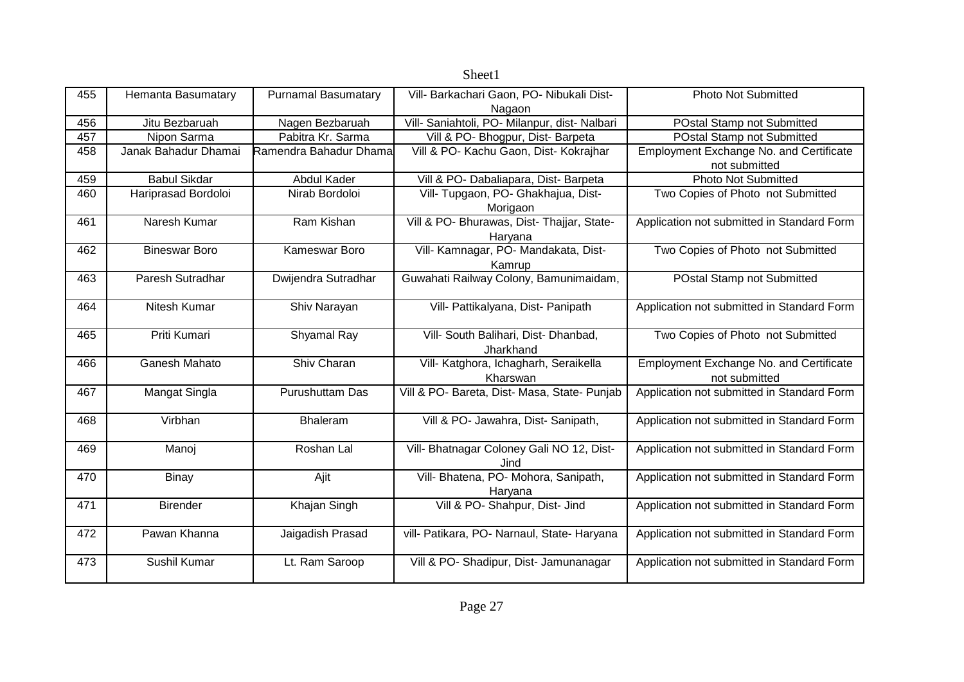| 455 | Hemanta Basumatary   | <b>Purnamal Basumatary</b> | Vill- Barkachari Gaon, PO- Nibukali Dist-     | <b>Photo Not Submitted</b>                     |
|-----|----------------------|----------------------------|-----------------------------------------------|------------------------------------------------|
|     |                      |                            | Nagaon                                        |                                                |
| 456 | Jitu Bezbaruah       | Nagen Bezbaruah            | Vill- Saniahtoli, PO- Milanpur, dist- Nalbari | POstal Stamp not Submitted                     |
| 457 | Nipon Sarma          | Pabitra Kr. Sarma          | Vill & PO- Bhogpur, Dist- Barpeta             | POstal Stamp not Submitted                     |
| 458 | Janak Bahadur Dhamai | Ramendra Bahadur Dhama     | Vill & PO- Kachu Gaon, Dist- Kokrajhar        | <b>Employment Exchange No. and Certificate</b> |
|     |                      |                            |                                               | not submitted                                  |
| 459 | <b>Babul Sikdar</b>  | Abdul Kader                | Vill & PO- Dabaliapara, Dist- Barpeta         | <b>Photo Not Submitted</b>                     |
| 460 | Hariprasad Bordoloi  | Nirab Bordoloi             | Vill- Tupgaon, PO- Ghakhajua, Dist-           | Two Copies of Photo not Submitted              |
|     |                      |                            | Morigaon                                      |                                                |
| 461 | Naresh Kumar         | Ram Kishan                 | Vill & PO- Bhurawas, Dist- Thajjar, State-    | Application not submitted in Standard Form     |
|     |                      |                            | Haryana                                       |                                                |
| 462 | <b>Bineswar Boro</b> | Kameswar Boro              | Vill- Kamnagar, PO- Mandakata, Dist-          | Two Copies of Photo not Submitted              |
|     |                      |                            | Kamrup                                        |                                                |
| 463 | Paresh Sutradhar     | Dwijendra Sutradhar        | Guwahati Railway Colony, Bamunimaidam,        | POstal Stamp not Submitted                     |
|     |                      |                            |                                               |                                                |
| 464 | Nitesh Kumar         |                            | Vill- Pattikalyana, Dist- Panipath            |                                                |
|     |                      | Shiv Narayan               |                                               | Application not submitted in Standard Form     |
|     |                      |                            |                                               |                                                |
| 465 | Priti Kumari         | Shyamal Ray                | Vill- South Balihari, Dist- Dhanbad,          | Two Copies of Photo not Submitted              |
|     |                      |                            | Jharkhand                                     |                                                |
| 466 | Ganesh Mahato        | Shiv Charan                | Vill- Katghora, Ichagharh, Seraikella         | <b>Employment Exchange No. and Certificate</b> |
|     |                      |                            | Kharswan                                      | not submitted                                  |
| 467 | Mangat Singla        | Purushuttam Das            | Vill & PO- Bareta, Dist- Masa, State- Punjab  | Application not submitted in Standard Form     |
|     |                      |                            |                                               |                                                |
| 468 | Virbhan              | Bhaleram                   | Vill & PO- Jawahra, Dist- Sanipath,           | Application not submitted in Standard Form     |
|     |                      |                            |                                               |                                                |
| 469 | Manoj                | Roshan Lal                 | Vill- Bhatnagar Coloney Gali NO 12, Dist-     | Application not submitted in Standard Form     |
|     |                      |                            | Jind                                          |                                                |
| 470 | <b>Binay</b>         | Ajit                       | Vill- Bhatena, PO- Mohora, Sanipath,          | Application not submitted in Standard Form     |
|     |                      |                            | Haryana                                       |                                                |
| 471 | <b>Birender</b>      | Khajan Singh               | Vill & PO- Shahpur, Dist- Jind                | Application not submitted in Standard Form     |
|     |                      |                            |                                               |                                                |
|     | Pawan Khanna         |                            |                                               |                                                |
| 472 |                      | Jaigadish Prasad           | vill- Patikara, PO- Narnaul, State- Haryana   | Application not submitted in Standard Form     |
|     |                      |                            |                                               |                                                |
| 473 | Sushil Kumar         | Lt. Ram Saroop             | Vill & PO- Shadipur, Dist- Jamunanagar        | Application not submitted in Standard Form     |
|     |                      |                            |                                               |                                                |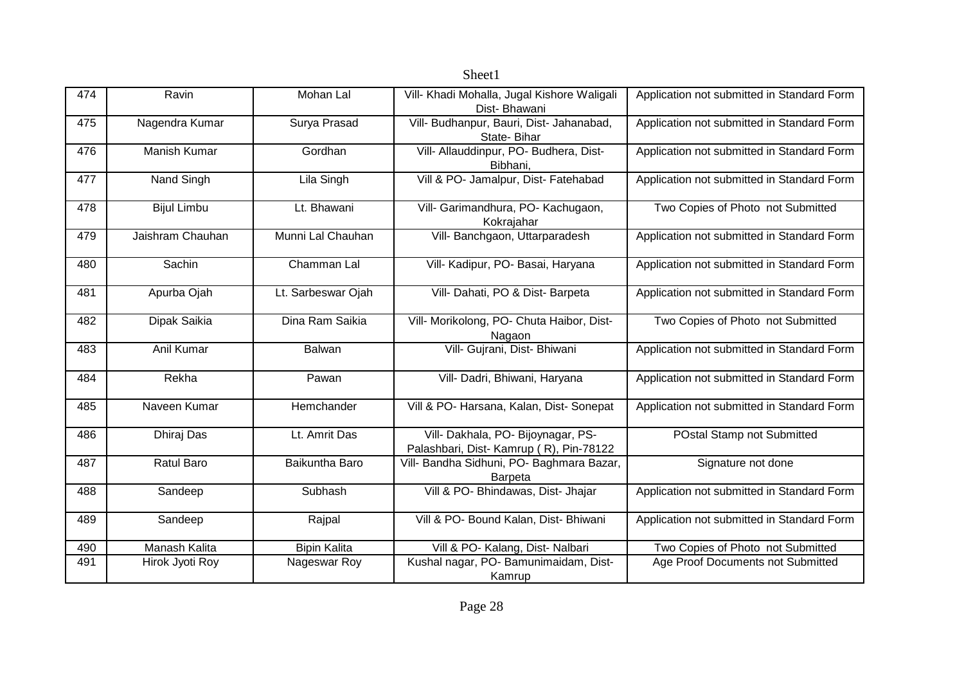|     |                      |                     | Sheet1                                                                        |                                            |
|-----|----------------------|---------------------|-------------------------------------------------------------------------------|--------------------------------------------|
| 474 | Ravin                | Mohan Lal           | Vill- Khadi Mohalla, Jugal Kishore Waligali<br>Dist-Bhawani                   | Application not submitted in Standard Form |
| 475 | Nagendra Kumar       | Surya Prasad        | Vill- Budhanpur, Bauri, Dist- Jahanabad,<br>State-Bihar                       | Application not submitted in Standard Form |
| 476 | Manish Kumar         | Gordhan             | Vill- Allauddinpur, PO- Budhera, Dist-<br>Bibhani,                            | Application not submitted in Standard Form |
| 477 | Nand Singh           | Lila Singh          | Vill & PO- Jamalpur, Dist- Fatehabad                                          | Application not submitted in Standard Form |
| 478 | <b>Bijul Limbu</b>   | Lt. Bhawani         | Vill- Garimandhura, PO- Kachugaon,<br>Kokrajahar                              | Two Copies of Photo not Submitted          |
| 479 | Jaishram Chauhan     | Munni Lal Chauhan   | Vill- Banchgaon, Uttarparadesh                                                | Application not submitted in Standard Form |
| 480 | Sachin               | Chamman Lal         | Vill- Kadipur, PO- Basai, Haryana                                             | Application not submitted in Standard Form |
| 481 | Apurba Ojah          | Lt. Sarbeswar Ojah  | Vill- Dahati, PO & Dist- Barpeta                                              | Application not submitted in Standard Form |
| 482 | Dipak Saikia         | Dina Ram Saikia     | Vill- Morikolong, PO- Chuta Haibor, Dist-<br>Nagaon                           | Two Copies of Photo not Submitted          |
| 483 | Anil Kumar           | Balwan              | Vill- Gujrani, Dist- Bhiwani                                                  | Application not submitted in Standard Form |
| 484 | Rekha                | Pawan               | Vill- Dadri, Bhiwani, Haryana                                                 | Application not submitted in Standard Form |
| 485 | Naveen Kumar         | Hemchander          | Vill & PO- Harsana, Kalan, Dist- Sonepat                                      | Application not submitted in Standard Form |
| 486 | Dhiraj Das           | Lt. Amrit Das       | Vill- Dakhala, PO- Bijoynagar, PS-<br>Palashbari, Dist- Kamrup (R), Pin-78122 | POstal Stamp not Submitted                 |
| 487 | <b>Ratul Baro</b>    | Baikuntha Baro      | Vill- Bandha Sidhuni, PO- Baghmara Bazar,<br>Barpeta                          | Signature not done                         |
| 488 | Sandeep              | Subhash             | Vill & PO- Bhindawas, Dist- Jhajar                                            | Application not submitted in Standard Form |
| 489 | Sandeep              | Rajpal              | Vill & PO- Bound Kalan, Dist- Bhiwani                                         | Application not submitted in Standard Form |
| 490 | <b>Manash Kalita</b> | <b>Bipin Kalita</b> | Vill & PO- Kalang, Dist- Nalbari                                              | Two Copies of Photo not Submitted          |
| 491 | Hirok Jyoti Roy      | Nageswar Roy        | Kushal nagar, PO- Bamunimaidam, Dist-<br>Kamrup                               | Age Proof Documents not Submitted          |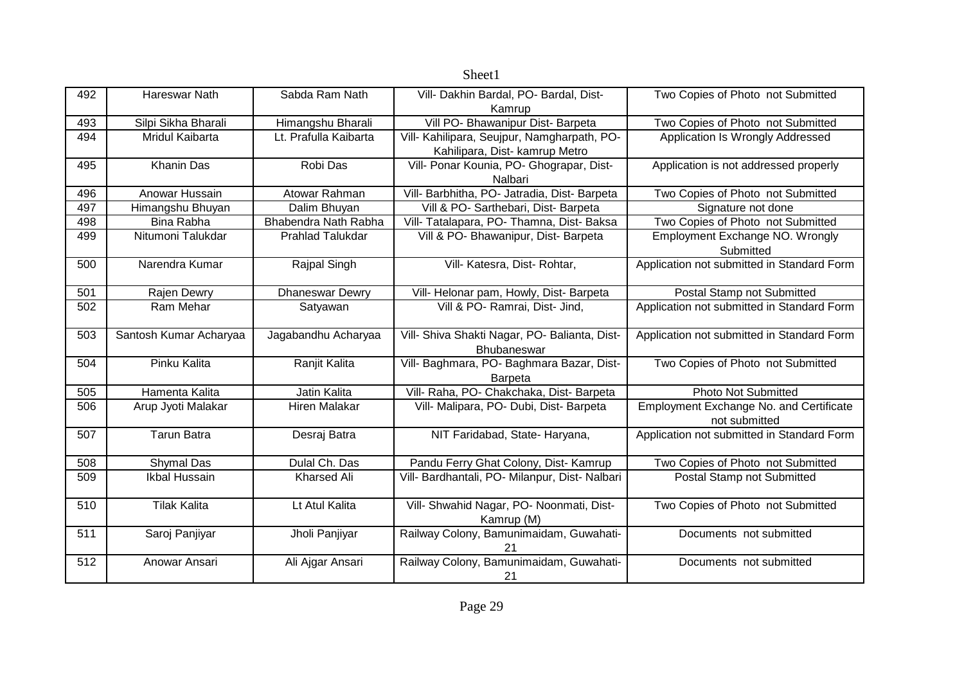| 492 | Hareswar Nath          | Sabda Ram Nath          | Vill- Dakhin Bardal, PO- Bardal, Dist-         | Two Copies of Photo not Submitted              |
|-----|------------------------|-------------------------|------------------------------------------------|------------------------------------------------|
|     |                        |                         | Kamrup                                         |                                                |
| 493 | Silpi Sikha Bharali    | Himangshu Bharali       | Vill PO- Bhawanipur Dist- Barpeta              | Two Copies of Photo not Submitted              |
| 494 | Mridul Kaibarta        | Lt. Prafulla Kaibarta   | Vill- Kahilipara, Seujpur, Namgharpath, PO-    | Application Is Wrongly Addressed               |
|     |                        |                         | Kahilipara, Dist- kamrup Metro                 |                                                |
| 495 | <b>Khanin Das</b>      | Robi Das                | Vill- Ponar Kounia, PO- Ghograpar, Dist-       | Application is not addressed properly          |
|     |                        |                         | Nalbari                                        |                                                |
| 496 | Anowar Hussain         | Atowar Rahman           | Vill- Barbhitha, PO- Jatradia, Dist- Barpeta   | Two Copies of Photo not Submitted              |
| 497 | Himangshu Bhuyan       | Dalim Bhuyan            | Vill & PO- Sarthebari, Dist- Barpeta           | Signature not done                             |
| 498 | <b>Bina Rabha</b>      | Bhabendra Nath Rabha    | Vill- Tatalapara, PO- Thamna, Dist- Baksa      | Two Copies of Photo not Submitted              |
| 499 | Nitumoni Talukdar      | <b>Prahlad Talukdar</b> | Vill & PO- Bhawanipur, Dist- Barpeta           | Employment Exchange NO. Wrongly                |
|     |                        |                         |                                                | Submitted                                      |
| 500 | Narendra Kumar         | Rajpal Singh            | Vill- Katesra, Dist- Rohtar,                   | Application not submitted in Standard Form     |
|     |                        |                         |                                                |                                                |
| 501 | Rajen Dewry            | <b>Dhaneswar Dewry</b>  | Vill- Helonar pam, Howly, Dist- Barpeta        | Postal Stamp not Submitted                     |
| 502 | Ram Mehar              | Satyawan                | Vill & PO- Ramrai, Dist- Jind,                 | Application not submitted in Standard Form     |
|     |                        |                         |                                                |                                                |
| 503 | Santosh Kumar Acharyaa | Jagabandhu Acharyaa     | Vill- Shiva Shakti Nagar, PO- Balianta, Dist-  | Application not submitted in Standard Form     |
|     |                        |                         | Bhubaneswar                                    |                                                |
| 504 | Pinku Kalita           | Ranjit Kalita           | Vill- Baghmara, PO- Baghmara Bazar, Dist-      | Two Copies of Photo not Submitted              |
|     |                        |                         | <b>Barpeta</b>                                 |                                                |
| 505 | Hamenta Kalita         | Jatin Kalita            | Vill- Raha, PO- Chakchaka, Dist- Barpeta       | <b>Photo Not Submitted</b>                     |
| 506 | Arup Jyoti Malakar     | <b>Hiren Malakar</b>    | Vill- Malipara, PO- Dubi, Dist- Barpeta        | <b>Employment Exchange No. and Certificate</b> |
|     |                        |                         |                                                | not submitted                                  |
| 507 | <b>Tarun Batra</b>     | Desraj Batra            | NIT Faridabad, State- Haryana,                 | Application not submitted in Standard Form     |
|     |                        |                         |                                                |                                                |
| 508 | Shymal Das             | Dulal Ch. Das           | Pandu Ferry Ghat Colony, Dist- Kamrup          | Two Copies of Photo not Submitted              |
| 509 | Ikbal Hussain          | <b>Kharsed Ali</b>      | Vill- Bardhantali, PO- Milanpur, Dist- Nalbari | Postal Stamp not Submitted                     |
|     |                        |                         |                                                |                                                |
| 510 | <b>Tilak Kalita</b>    | Lt Atul Kalita          | Vill- Shwahid Nagar, PO- Noonmati, Dist-       | Two Copies of Photo not Submitted              |
|     |                        |                         | Kamrup (M)                                     |                                                |
| 511 | Saroj Panjiyar         | Jholi Panjiyar          | Railway Colony, Bamunimaidam, Guwahati-        | Documents not submitted                        |
|     |                        |                         | 21                                             |                                                |
| 512 | Anowar Ansari          | Ali Ajgar Ansari        | Railway Colony, Bamunimaidam, Guwahati-        | Documents not submitted                        |
|     |                        |                         | 21                                             |                                                |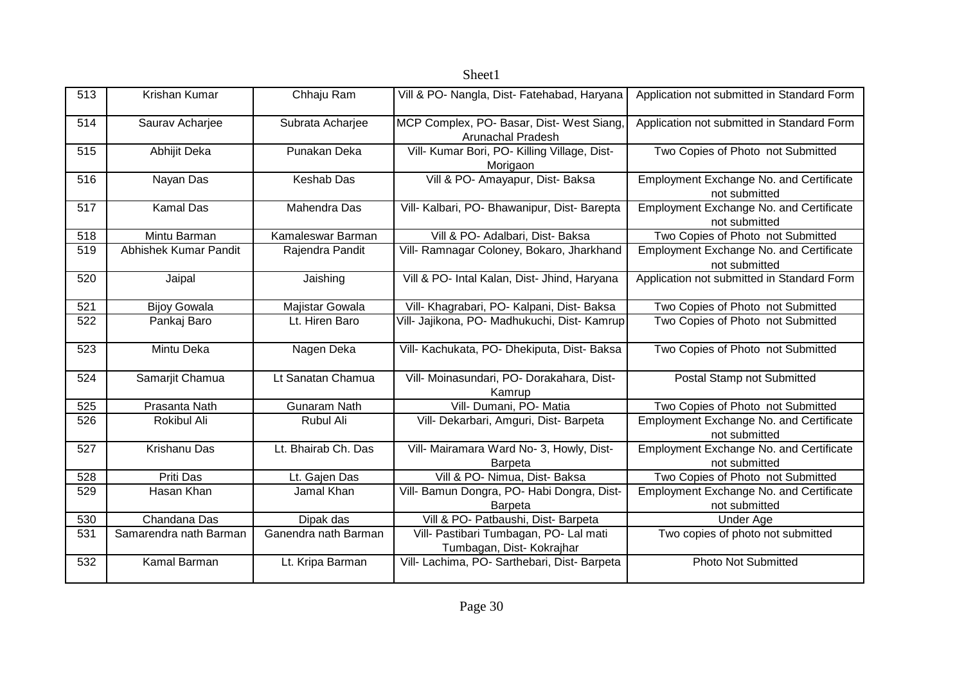| 513 | Krishan Kumar          | Chhaju Ram           | Vill & PO- Nangla, Dist- Fatehabad, Haryana                           | Application not submitted in Standard Form                      |  |
|-----|------------------------|----------------------|-----------------------------------------------------------------------|-----------------------------------------------------------------|--|
| 514 | Saurav Acharjee        | Subrata Acharjee     | MCP Complex, PO- Basar, Dist- West Siang,<br><b>Arunachal Pradesh</b> | Application not submitted in Standard Form                      |  |
| 515 | Abhijit Deka           | Punakan Deka         | Vill- Kumar Bori, PO- Killing Village, Dist-<br>Morigaon              | Two Copies of Photo not Submitted                               |  |
| 516 | Nayan Das              | <b>Keshab Das</b>    | Vill & PO- Amayapur, Dist- Baksa                                      | <b>Employment Exchange No. and Certificate</b><br>not submitted |  |
| 517 | <b>Kamal Das</b>       | Mahendra Das         | Vill- Kalbari, PO- Bhawanipur, Dist- Barepta                          | Employment Exchange No. and Certificate<br>not submitted        |  |
| 518 | Mintu Barman           | Kamaleswar Barman    | Vill & PO- Adalbari, Dist- Baksa                                      | Two Copies of Photo not Submitted                               |  |
| 519 | Abhishek Kumar Pandit  | Rajendra Pandit      | Vill- Ramnagar Coloney, Bokaro, Jharkhand                             | Employment Exchange No. and Certificate<br>not submitted        |  |
| 520 | Jaipal                 | Jaishing             | Vill & PO- Intal Kalan, Dist- Jhind, Haryana                          | Application not submitted in Standard Form                      |  |
| 521 | <b>Bijoy Gowala</b>    | Majistar Gowala      | Vill- Khagrabari, PO- Kalpani, Dist- Baksa                            | Two Copies of Photo not Submitted                               |  |
| 522 | Pankaj Baro            | Lt. Hiren Baro       | Vill- Jajikona, PO- Madhukuchi, Dist- Kamrup                          | Two Copies of Photo not Submitted                               |  |
| 523 | Mintu Deka             | Nagen Deka           | Vill- Kachukata, PO- Dhekiputa, Dist- Baksa                           | Two Copies of Photo not Submitted                               |  |
| 524 | Samarjit Chamua        | Lt Sanatan Chamua    | Vill- Moinasundari, PO- Dorakahara, Dist-<br>Kamrup                   | Postal Stamp not Submitted                                      |  |
| 525 | Prasanta Nath          | <b>Gunaram Nath</b>  | Vill- Dumani, PO- Matia                                               | Two Copies of Photo not Submitted                               |  |
| 526 | Rokibul Ali            | Rubul Ali            | Vill- Dekarbari, Amguri, Dist- Barpeta                                | Employment Exchange No. and Certificate<br>not submitted        |  |
| 527 | Krishanu Das           | Lt. Bhairab Ch. Das  | Vill- Mairamara Ward No- 3, Howly, Dist-<br><b>Barpeta</b>            | Employment Exchange No. and Certificate<br>not submitted        |  |
| 528 | Priti Das              | Lt. Gajen Das        | Vill & PO- Nimua, Dist- Baksa                                         | Two Copies of Photo not Submitted                               |  |
| 529 | Hasan Khan             | Jamal Khan           | Vill- Bamun Dongra, PO- Habi Dongra, Dist-<br>Barpeta                 | Employment Exchange No. and Certificate<br>not submitted        |  |
| 530 | Chandana Das           | Dipak das            | Vill & PO- Patbaushi, Dist- Barpeta                                   | <b>Under Age</b>                                                |  |
| 531 | Samarendra nath Barman | Ganendra nath Barman | Vill- Pastibari Tumbagan, PO- Lal mati<br>Tumbagan, Dist- Kokrajhar   | Two copies of photo not submitted                               |  |
| 532 | Kamal Barman           | Lt. Kripa Barman     | Vill- Lachima, PO- Sarthebari, Dist- Barpeta                          | <b>Photo Not Submitted</b>                                      |  |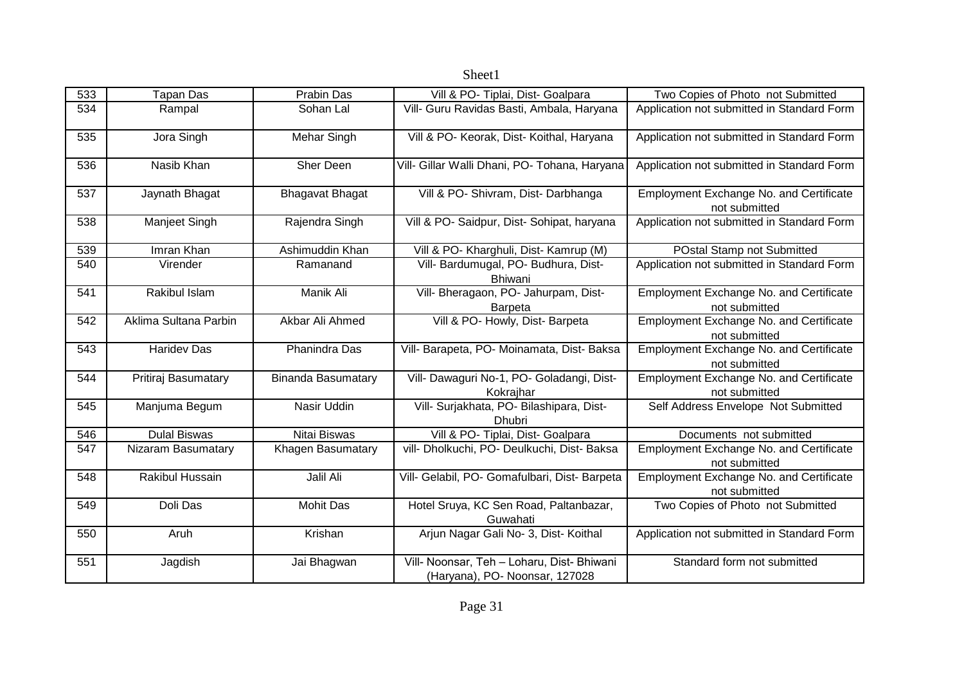|     |                       |                           | Sheet1                                                                       |                                                                 |
|-----|-----------------------|---------------------------|------------------------------------------------------------------------------|-----------------------------------------------------------------|
| 533 | <b>Tapan Das</b>      | Prabin Das                | Vill & PO- Tiplai, Dist- Goalpara                                            | Two Copies of Photo not Submitted                               |
| 534 | Rampal                | Sohan Lal                 | Vill- Guru Ravidas Basti, Ambala, Haryana                                    | Application not submitted in Standard Form                      |
| 535 | Jora Singh            | <b>Mehar Singh</b>        | Vill & PO- Keorak, Dist- Koithal, Haryana                                    | Application not submitted in Standard Form                      |
| 536 | Nasib Khan            | Sher Deen                 | Vill- Gillar Walli Dhani, PO- Tohana, Haryana                                | Application not submitted in Standard Form                      |
| 537 | Jaynath Bhagat        | <b>Bhagavat Bhagat</b>    | Vill & PO- Shivram, Dist- Darbhanga                                          | Employment Exchange No. and Certificate<br>not submitted        |
| 538 | Manjeet Singh         | Rajendra Singh            | Vill & PO- Saidpur, Dist- Sohipat, haryana                                   | Application not submitted in Standard Form                      |
| 539 | Imran Khan            | Ashimuddin Khan           | Vill & PO- Kharghuli, Dist- Kamrup (M)                                       | POstal Stamp not Submitted                                      |
| 540 | Virender              | Ramanand                  | Vill- Bardumugal, PO- Budhura, Dist-<br><b>Bhiwani</b>                       | Application not submitted in Standard Form                      |
| 541 | Rakibul Islam         | Manik Ali                 | Vill- Bheragaon, PO- Jahurpam, Dist-<br><b>Barpeta</b>                       | Employment Exchange No. and Certificate<br>not submitted        |
| 542 | Aklima Sultana Parbin | Akbar Ali Ahmed           | Vill & PO- Howly, Dist- Barpeta                                              | Employment Exchange No. and Certificate<br>not submitted        |
| 543 | <b>Haridev Das</b>    | Phanindra Das             | Vill- Barapeta, PO- Moinamata, Dist- Baksa                                   | Employment Exchange No. and Certificate<br>not submitted        |
| 544 | Pritiraj Basumatary   | <b>Binanda Basumatary</b> | Vill- Dawaguri No-1, PO- Goladangi, Dist-<br>Kokrajhar                       | <b>Employment Exchange No. and Certificate</b><br>not submitted |
| 545 | Manjuma Begum         | Nasir Uddin               | Vill- Surjakhata, PO- Bilashipara, Dist-<br><b>Dhubri</b>                    | Self Address Envelope Not Submitted                             |
| 546 | <b>Dulal Biswas</b>   | Nitai Biswas              | Vill & PO- Tiplai, Dist- Goalpara                                            | Documents not submitted                                         |
| 547 | Nizaram Basumatary    | Khagen Basumatary         | vill- Dholkuchi, PO- Deulkuchi, Dist- Baksa                                  | Employment Exchange No. and Certificate<br>not submitted        |
| 548 | Rakibul Hussain       | Jalil Ali                 | Vill- Gelabil, PO- Gomafulbari, Dist- Barpeta                                | Employment Exchange No. and Certificate<br>not submitted        |
| 549 | Doli Das              | Mohit Das                 | Hotel Sruya, KC Sen Road, Paltanbazar,<br>Guwahati                           | Two Copies of Photo not Submitted                               |
| 550 | Aruh                  | Krishan                   | Arjun Nagar Gali No- 3, Dist- Koithal                                        | Application not submitted in Standard Form                      |
| 551 | Jagdish               | Jai Bhagwan               | Vill- Noonsar, Teh - Loharu, Dist- Bhiwani<br>(Haryana), PO- Noonsar, 127028 | Standard form not submitted                                     |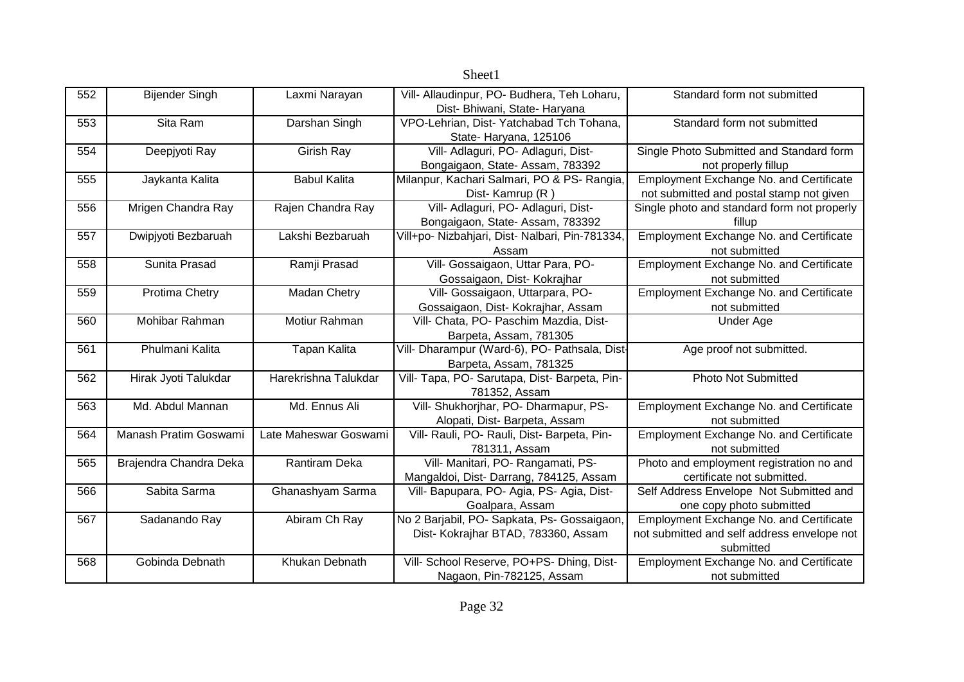|     |                        |                       | OIICCLI                                         |                                                |
|-----|------------------------|-----------------------|-------------------------------------------------|------------------------------------------------|
| 552 | <b>Bijender Singh</b>  | Laxmi Narayan         | Vill- Allaudinpur, PO- Budhera, Teh Loharu,     | Standard form not submitted                    |
|     |                        |                       | Dist- Bhiwani, State- Haryana                   |                                                |
| 553 | Sita Ram               | Darshan Singh         | VPO-Lehrian, Dist- Yatchabad Tch Tohana,        | Standard form not submitted                    |
|     |                        |                       | State-Haryana, 125106                           |                                                |
| 554 | Deepjyoti Ray          | Girish Ray            | Vill- Adlaguri, PO- Adlaguri, Dist-             | Single Photo Submitted and Standard form       |
|     |                        |                       | Bongaigaon, State-Assam, 783392                 | not properly fillup                            |
| 555 | Jaykanta Kalita        | <b>Babul Kalita</b>   | Milanpur, Kachari Salmari, PO & PS- Rangia,     | <b>Employment Exchange No. and Certificate</b> |
|     |                        |                       | Dist-Kamrup (R)                                 | not submitted and postal stamp not given       |
| 556 | Mrigen Chandra Ray     | Rajen Chandra Ray     | Vill- Adlaguri, PO- Adlaguri, Dist-             | Single photo and standard form not properly    |
|     |                        |                       | Bongaigaon, State-Assam, 783392                 | fillup                                         |
| 557 | Dwipjyoti Bezbaruah    | Lakshi Bezbaruah      | Vill+po- Nizbahjari, Dist- Nalbari, Pin-781334, | Employment Exchange No. and Certificate        |
|     |                        |                       | Assam                                           | not submitted                                  |
| 558 | Sunita Prasad          | Ramji Prasad          | Vill- Gossaigaon, Uttar Para, PO-               | Employment Exchange No. and Certificate        |
|     |                        |                       | Gossaigaon, Dist- Kokrajhar                     | not submitted                                  |
| 559 | Protima Chetry         | Madan Chetry          | Vill- Gossaigaon, Uttarpara, PO-                | Employment Exchange No. and Certificate        |
|     |                        |                       | Gossaigaon, Dist- Kokrajhar, Assam              | not submitted                                  |
| 560 | Mohibar Rahman         | Motiur Rahman         | Vill- Chata, PO- Paschim Mazdia, Dist-          | Under Age                                      |
|     |                        |                       | Barpeta, Assam, 781305                          |                                                |
| 561 | Phulmani Kalita        | <b>Tapan Kalita</b>   | Vill- Dharampur (Ward-6), PO- Pathsala, Dist-   | Age proof not submitted.                       |
|     |                        |                       | Barpeta, Assam, 781325                          |                                                |
| 562 | Hirak Jyoti Talukdar   | Harekrishna Talukdar  | Vill- Tapa, PO- Sarutapa, Dist- Barpeta, Pin-   | <b>Photo Not Submitted</b>                     |
|     |                        |                       | 781352, Assam                                   |                                                |
| 563 | Md. Abdul Mannan       | Md. Ennus Ali         | Vill- Shukhorjhar, PO- Dharmapur, PS-           | Employment Exchange No. and Certificate        |
|     |                        |                       | Alopati, Dist-Barpeta, Assam                    | not submitted                                  |
| 564 | Manash Pratim Goswami  | Late Maheswar Goswami | Vill- Rauli, PO- Rauli, Dist- Barpeta, Pin-     | <b>Employment Exchange No. and Certificate</b> |
|     |                        |                       | 781311, Assam                                   | not submitted                                  |
| 565 | Brajendra Chandra Deka | <b>Rantiram Deka</b>  | Vill- Manitari, PO- Rangamati, PS-              | Photo and employment registration no and       |
|     |                        |                       | Mangaldoi, Dist- Darrang, 784125, Assam         | certificate not submitted.                     |
| 566 | Sabita Sarma           | Ghanashyam Sarma      | Vill- Bapupara, PO- Agia, PS- Agia, Dist-       | Self Address Envelope Not Submitted and        |
|     |                        |                       | Goalpara, Assam                                 | one copy photo submitted                       |
| 567 | Sadanando Ray          | Abiram Ch Ray         | No 2 Barjabil, PO- Sapkata, Ps- Gossaigaon,     | <b>Employment Exchange No. and Certificate</b> |
|     |                        |                       | Dist- Kokrajhar BTAD, 783360, Assam             | not submitted and self address envelope not    |
|     |                        |                       |                                                 | submitted                                      |
| 568 | Gobinda Debnath        | Khukan Debnath        | Vill- School Reserve, PO+PS- Dhing, Dist-       | Employment Exchange No. and Certificate        |
|     |                        |                       | Nagaon, Pin-782125, Assam                       | not submitted                                  |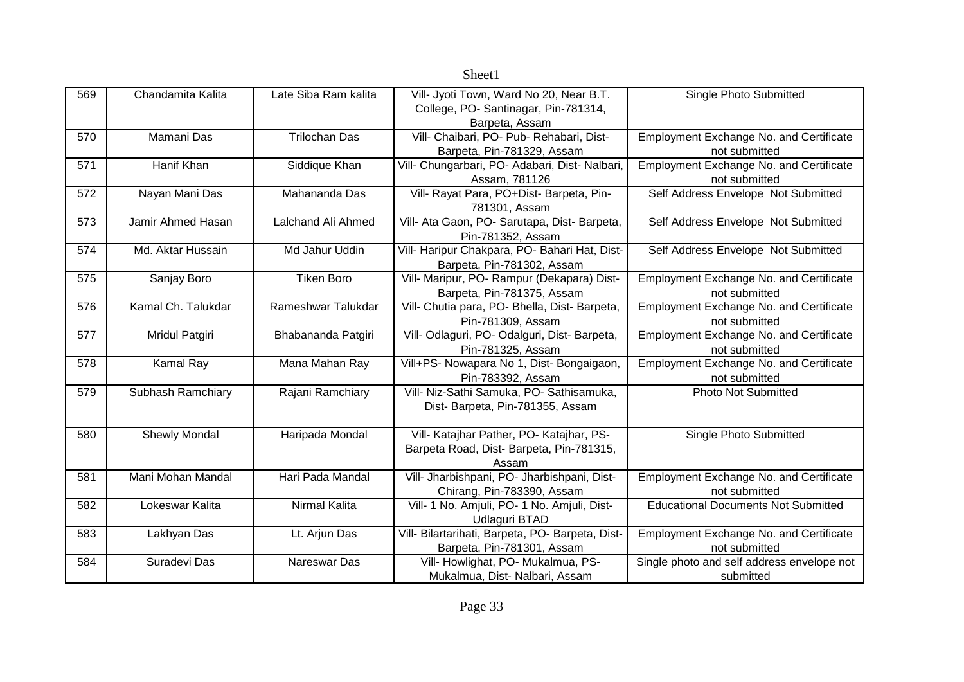|     |                       |                      | Sheet1                                                                                           |                                                                 |
|-----|-----------------------|----------------------|--------------------------------------------------------------------------------------------------|-----------------------------------------------------------------|
| 569 | Chandamita Kalita     | Late Siba Ram kalita | Vill- Jyoti Town, Ward No 20, Near B.T.<br>College, PO-Santinagar, Pin-781314,<br>Barpeta, Assam | Single Photo Submitted                                          |
| 570 | Mamani Das            | <b>Trilochan Das</b> | Vill- Chaibari, PO- Pub- Rehabari, Dist-<br>Barpeta, Pin-781329, Assam                           | Employment Exchange No. and Certificate<br>not submitted        |
| 571 | Hanif Khan            | Siddique Khan        | Vill- Chungarbari, PO- Adabari, Dist- Nalbari,<br>Assam, 781126                                  | <b>Employment Exchange No. and Certificate</b><br>not submitted |
| 572 | Nayan Mani Das        | Mahananda Das        | Vill- Rayat Para, PO+Dist- Barpeta, Pin-<br>781301, Assam                                        | Self Address Envelope Not Submitted                             |
| 573 | Jamir Ahmed Hasan     | Lalchand Ali Ahmed   | Vill- Ata Gaon, PO- Sarutapa, Dist- Barpeta,<br>Pin-781352, Assam                                | Self Address Envelope Not Submitted                             |
| 574 | Md. Aktar Hussain     | Md Jahur Uddin       | Vill- Haripur Chakpara, PO- Bahari Hat, Dist-<br>Barpeta, Pin-781302, Assam                      | Self Address Envelope Not Submitted                             |
| 575 | Sanjay Boro           | <b>Tiken Boro</b>    | Vill- Maripur, PO- Rampur (Dekapara) Dist-<br>Barpeta, Pin-781375, Assam                         | <b>Employment Exchange No. and Certificate</b><br>not submitted |
| 576 | Kamal Ch. Talukdar    | Rameshwar Talukdar   | Vill- Chutia para, PO- Bhella, Dist- Barpeta,<br>Pin-781309, Assam                               | <b>Employment Exchange No. and Certificate</b><br>not submitted |
| 577 | <b>Mridul Patgiri</b> | Bhabananda Patgiri   | Vill- Odlaguri, PO- Odalguri, Dist- Barpeta,<br>Pin-781325, Assam                                | <b>Employment Exchange No. and Certificate</b><br>not submitted |
| 578 | Kamal Ray             | Mana Mahan Ray       | Vill+PS- Nowapara No 1, Dist- Bongaigaon,<br>Pin-783392, Assam                                   | Employment Exchange No. and Certificate<br>not submitted        |
| 579 | Subhash Ramchiary     | Rajani Ramchiary     | Vill- Niz-Sathi Samuka, PO- Sathisamuka,<br>Dist- Barpeta, Pin-781355, Assam                     | <b>Photo Not Submitted</b>                                      |
| 580 | <b>Shewly Mondal</b>  | Haripada Mondal      | Vill- Katajhar Pather, PO- Katajhar, PS-<br>Barpeta Road, Dist- Barpeta, Pin-781315,<br>Assam    | Single Photo Submitted                                          |
| 581 | Mani Mohan Mandal     | Hari Pada Mandal     | Vill- Jharbishpani, PO- Jharbishpani, Dist-<br>Chirang, Pin-783390, Assam                        | Employment Exchange No. and Certificate<br>not submitted        |
| 582 | Lokeswar Kalita       | <b>Nirmal Kalita</b> | Vill- 1 No. Amjuli, PO- 1 No. Amjuli, Dist-<br><b>Udlaguri BTAD</b>                              | <b>Educational Documents Not Submitted</b>                      |
| 583 | Lakhyan Das           | Lt. Arjun Das        | Vill- Bilartarihati, Barpeta, PO- Barpeta, Dist-<br>Barpeta, Pin-781301, Assam                   | <b>Employment Exchange No. and Certificate</b><br>not submitted |
| 584 | Suradevi Das          | Nareswar Das         | Vill- Howlighat, PO- Mukalmua, PS-<br>Mukalmua, Dist- Nalbari, Assam                             | Single photo and self address envelope not<br>submitted         |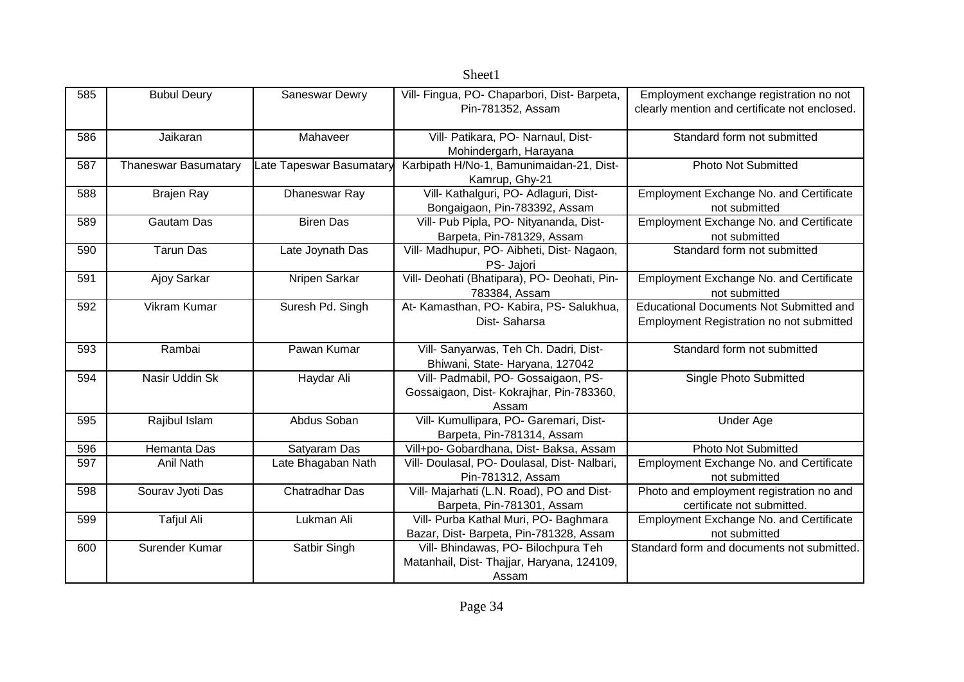|     | pheel                       |                          |                                              |                                                |  |
|-----|-----------------------------|--------------------------|----------------------------------------------|------------------------------------------------|--|
| 585 | <b>Bubul Deury</b>          | Saneswar Dewry           | Vill- Fingua, PO- Chaparbori, Dist- Barpeta, | Employment exchange registration no not        |  |
|     |                             |                          | Pin-781352, Assam                            | clearly mention and certificate not enclosed.  |  |
|     |                             |                          |                                              |                                                |  |
| 586 | Jaikaran                    | Mahaveer                 | Vill- Patikara, PO- Narnaul, Dist-           | Standard form not submitted                    |  |
|     |                             |                          | Mohindergarh, Harayana                       |                                                |  |
| 587 | <b>Thaneswar Basumatary</b> | Late Tapeswar Basumatary | Karbipath H/No-1, Bamunimaidan-21, Dist-     | <b>Photo Not Submitted</b>                     |  |
|     |                             |                          | Kamrup, Ghy-21                               |                                                |  |
| 588 | <b>Brajen Ray</b>           | Dhaneswar Ray            | Vill- Kathalguri, PO- Adlaguri, Dist-        | Employment Exchange No. and Certificate        |  |
|     |                             |                          | Bongaigaon, Pin-783392, Assam                | not submitted                                  |  |
| 589 | <b>Gautam Das</b>           | <b>Biren Das</b>         | Vill- Pub Pipla, PO- Nityananda, Dist-       | Employment Exchange No. and Certificate        |  |
|     |                             |                          | Barpeta, Pin-781329, Assam                   | not submitted                                  |  |
| 590 | <b>Tarun Das</b>            | Late Joynath Das         | Vill- Madhupur, PO- Aibheti, Dist- Nagaon,   | Standard form not submitted                    |  |
|     |                             |                          | PS- Jajori                                   |                                                |  |
| 591 | Ajoy Sarkar                 | Nripen Sarkar            | Vill- Deohati (Bhatipara), PO- Deohati, Pin- | Employment Exchange No. and Certificate        |  |
|     |                             |                          | 783384, Assam                                | not submitted                                  |  |
| 592 | Vikram Kumar                | Suresh Pd. Singh         | At- Kamasthan, PO- Kabira, PS- Salukhua,     | <b>Educational Documents Not Submitted and</b> |  |
|     |                             |                          | Dist-Saharsa                                 | Employment Registration no not submitted       |  |
|     |                             |                          |                                              |                                                |  |
| 593 | Rambai                      | Pawan Kumar              | Vill- Sanyarwas, Teh Ch. Dadri, Dist-        | Standard form not submitted                    |  |
|     |                             |                          | Bhiwani, State- Haryana, 127042              |                                                |  |
| 594 | Nasir Uddin Sk              | Haydar Ali               | Vill- Padmabil, PO- Gossaigaon, PS-          | Single Photo Submitted                         |  |
|     |                             |                          | Gossaigaon, Dist- Kokrajhar, Pin-783360,     |                                                |  |
|     |                             |                          | Assam                                        |                                                |  |
| 595 | Rajibul Islam               | Abdus Soban              | Vill- Kumullipara, PO- Garemari, Dist-       | <b>Under Age</b>                               |  |
|     |                             |                          | Barpeta, Pin-781314, Assam                   |                                                |  |
| 596 | Hemanta Das                 | Satyaram Das             | Vill+po- Gobardhana, Dist- Baksa, Assam      | <b>Photo Not Submitted</b>                     |  |
| 597 | Anil Nath                   | Late Bhagaban Nath       | Vill- Doulasal, PO- Doulasal, Dist- Nalbari, | Employment Exchange No. and Certificate        |  |
|     |                             |                          | Pin-781312, Assam                            | not submitted                                  |  |
| 598 | Sourav Jyoti Das            | Chatradhar Das           | Vill- Majarhati (L.N. Road), PO and Dist-    | Photo and employment registration no and       |  |
|     |                             |                          | Barpeta, Pin-781301, Assam                   | certificate not submitted.                     |  |
| 599 | Tafjul Ali                  | Lukman Ali               | Vill- Purba Kathal Muri, PO- Baghmara        | Employment Exchange No. and Certificate        |  |
|     |                             |                          | Bazar, Dist- Barpeta, Pin-781328, Assam      | not submitted                                  |  |
| 600 | Surender Kumar              | Satbir Singh             | Vill- Bhindawas, PO- Bilochpura Teh          | Standard form and documents not submitted.     |  |
|     |                             |                          | Matanhail, Dist- Thajjar, Haryana, 124109,   |                                                |  |
|     |                             |                          | Assam                                        |                                                |  |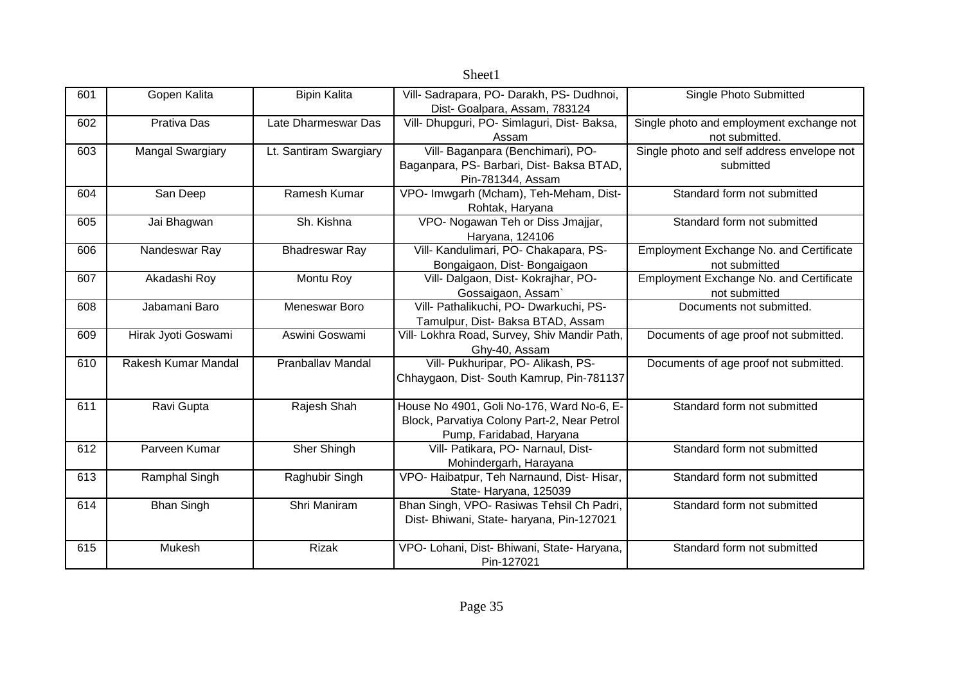| 601 | Gopen Kalita            | <b>Bipin Kalita</b>    | Vill- Sadrapara, PO- Darakh, PS- Dudhnoi,    | Single Photo Submitted                         |
|-----|-------------------------|------------------------|----------------------------------------------|------------------------------------------------|
|     |                         |                        | Dist- Goalpara, Assam, 783124                |                                                |
| 602 | Prativa Das             | Late Dharmeswar Das    | Vill- Dhupguri, PO- Simlaguri, Dist- Baksa,  | Single photo and employment exchange not       |
|     |                         |                        | Assam                                        | not submitted.                                 |
| 603 | <b>Mangal Swargiary</b> | Lt. Santiram Swargiary | Vill- Baganpara (Benchimari), PO-            | Single photo and self address envelope not     |
|     |                         |                        | Baganpara, PS- Barbari, Dist- Baksa BTAD,    | submitted                                      |
|     |                         |                        | Pin-781344, Assam                            |                                                |
| 604 | San Deep                | Ramesh Kumar           | VPO- Imwgarh (Mcham), Teh-Meham, Dist-       | Standard form not submitted                    |
|     |                         |                        | Rohtak, Haryana                              |                                                |
| 605 | Jai Bhagwan             | Sh. Kishna             | VPO- Nogawan Teh or Diss Jmajjar,            | Standard form not submitted                    |
|     |                         |                        | Haryana, 124106                              |                                                |
| 606 | Nandeswar Ray           | <b>Bhadreswar Ray</b>  | Vill- Kandulimari, PO- Chakapara, PS-        | <b>Employment Exchange No. and Certificate</b> |
|     |                         |                        | Bongaigaon, Dist-Bongaigaon                  | not submitted                                  |
| 607 | Akadashi Roy            | Montu Roy              | Vill- Dalgaon, Dist- Kokrajhar, PO-          | <b>Employment Exchange No. and Certificate</b> |
|     |                         |                        | Gossaigaon, Assam`                           | not submitted                                  |
| 608 | Jabamani Baro           | Meneswar Boro          | Vill- Pathalikuchi, PO- Dwarkuchi, PS-       | Documents not submitted.                       |
|     |                         |                        | Tamulpur, Dist- Baksa BTAD, Assam            |                                                |
| 609 | Hirak Jyoti Goswami     | Aswini Goswami         | Vill- Lokhra Road, Survey, Shiv Mandir Path, | Documents of age proof not submitted.          |
|     |                         |                        | Ghy-40, Assam                                |                                                |
| 610 | Rakesh Kumar Mandal     | Pranballav Mandal      | Vill- Pukhuripar, PO- Alikash, PS-           | Documents of age proof not submitted.          |
|     |                         |                        | Chhaygaon, Dist- South Kamrup, Pin-781137    |                                                |
|     |                         |                        |                                              |                                                |
| 611 | Ravi Gupta              | Rajesh Shah            | House No 4901, Goli No-176, Ward No-6, E-    | Standard form not submitted                    |
|     |                         |                        | Block, Parvatiya Colony Part-2, Near Petrol  |                                                |
|     |                         |                        | Pump, Faridabad, Haryana                     |                                                |
| 612 | Parveen Kumar           | Sher Shingh            | Vill- Patikara, PO- Narnaul, Dist-           | Standard form not submitted                    |
|     |                         |                        | Mohindergarh, Harayana                       |                                                |
| 613 | Ramphal Singh           | Raghubir Singh         | VPO- Haibatpur, Teh Narnaund, Dist- Hisar,   | Standard form not submitted                    |
|     |                         |                        | State-Haryana, 125039                        |                                                |
| 614 | <b>Bhan Singh</b>       | Shri Maniram           | Bhan Singh, VPO- Rasiwas Tehsil Ch Padri,    | Standard form not submitted                    |
|     |                         |                        | Dist- Bhiwani, State- haryana, Pin-127021    |                                                |
|     |                         |                        |                                              |                                                |
| 615 | Mukesh                  | <b>Rizak</b>           | VPO- Lohani, Dist- Bhiwani, State- Haryana,  | Standard form not submitted                    |
|     |                         |                        | Pin-127021                                   |                                                |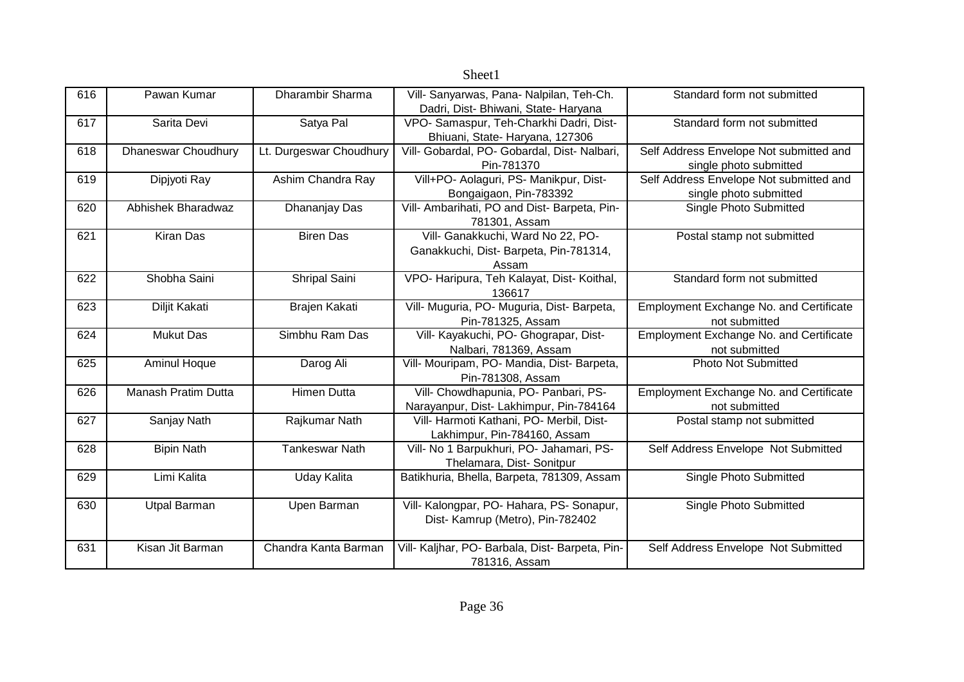|     |                     |                         | Sheet1                                          |                                                |
|-----|---------------------|-------------------------|-------------------------------------------------|------------------------------------------------|
| 616 | Pawan Kumar         | Dharambir Sharma        | Vill- Sanyarwas, Pana- Nalpilan, Teh-Ch.        | Standard form not submitted                    |
|     |                     |                         | Dadri, Dist- Bhiwani, State- Haryana            |                                                |
| 617 | Sarita Devi         | Satya Pal               | VPO- Samaspur, Teh-Charkhi Dadri, Dist-         | Standard form not submitted                    |
|     |                     |                         | Bhiuani, State- Haryana, 127306                 |                                                |
| 618 | Dhaneswar Choudhury | Lt. Durgeswar Choudhury | Vill- Gobardal, PO- Gobardal, Dist- Nalbari,    | Self Address Envelope Not submitted and        |
|     |                     |                         | Pin-781370                                      | single photo submitted                         |
| 619 | Dipjyoti Ray        | Ashim Chandra Ray       | Vill+PO- Aolaguri, PS- Manikpur, Dist-          | Self Address Envelope Not submitted and        |
|     |                     |                         | Bongaigaon, Pin-783392                          | single photo submitted                         |
| 620 | Abhishek Bharadwaz  | Dhananjay Das           | Vill- Ambarihati, PO and Dist- Barpeta, Pin-    | Single Photo Submitted                         |
|     |                     |                         | 781301, Assam                                   |                                                |
| 621 | <b>Kiran Das</b>    | <b>Biren Das</b>        | Vill- Ganakkuchi, Ward No 22, PO-               | Postal stamp not submitted                     |
|     |                     |                         | Ganakkuchi, Dist- Barpeta, Pin-781314,          |                                                |
|     |                     |                         | Assam                                           |                                                |
| 622 | Shobha Saini        | Shripal Saini           | VPO- Haripura, Teh Kalayat, Dist- Koithal,      | Standard form not submitted                    |
|     |                     |                         | 136617                                          |                                                |
| 623 | Diljit Kakati       | Brajen Kakati           | Vill- Muguria, PO- Muguria, Dist- Barpeta,      | Employment Exchange No. and Certificate        |
|     |                     |                         | Pin-781325, Assam                               | not submitted                                  |
| 624 | <b>Mukut Das</b>    | Simbhu Ram Das          | Vill- Kayakuchi, PO- Ghograpar, Dist-           | Employment Exchange No. and Certificate        |
|     |                     |                         | Nalbari, 781369, Assam                          | not submitted                                  |
| 625 | <b>Aminul Hoque</b> | Darog Ali               | Vill- Mouripam, PO- Mandia, Dist- Barpeta,      | Photo Not Submitted                            |
|     |                     |                         | Pin-781308, Assam                               |                                                |
| 626 | Manash Pratim Dutta | <b>Himen Dutta</b>      | Vill- Chowdhapunia, PO- Panbari, PS-            | <b>Employment Exchange No. and Certificate</b> |
|     |                     |                         | Narayanpur, Dist- Lakhimpur, Pin-784164         | not submitted                                  |
| 627 | Sanjay Nath         | Rajkumar Nath           | Vill- Harmoti Kathani, PO- Merbil, Dist-        | Postal stamp not submitted                     |
|     |                     |                         | Lakhimpur, Pin-784160, Assam                    |                                                |
| 628 | <b>Bipin Nath</b>   | <b>Tankeswar Nath</b>   | Vill- No 1 Barpukhuri, PO- Jahamari, PS-        | Self Address Envelope Not Submitted            |
|     |                     |                         | Thelamara, Dist-Sonitpur                        |                                                |
| 629 | Limi Kalita         | Uday Kalita             | Batikhuria, Bhella, Barpeta, 781309, Assam      | Single Photo Submitted                         |
|     |                     |                         |                                                 |                                                |
| 630 | <b>Utpal Barman</b> | Upen Barman             | Vill- Kalongpar, PO- Hahara, PS- Sonapur,       | Single Photo Submitted                         |
|     |                     |                         | Dist- Kamrup (Metro), Pin-782402                |                                                |
| 631 | Kisan Jit Barman    | Chandra Kanta Barman    | Vill- Kaljhar, PO- Barbala, Dist- Barpeta, Pin- | Self Address Envelope Not Submitted            |
|     |                     |                         | 781316, Assam                                   |                                                |
|     |                     |                         |                                                 |                                                |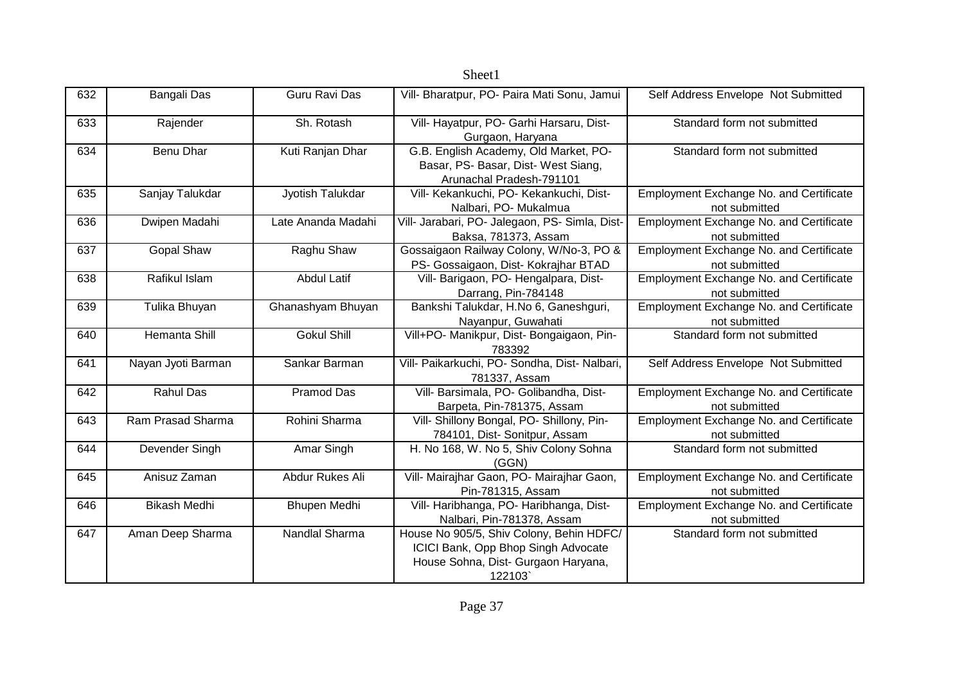|     |                      |                    | Sheet1                                                                                                                           |                                                          |
|-----|----------------------|--------------------|----------------------------------------------------------------------------------------------------------------------------------|----------------------------------------------------------|
| 632 | Bangali Das          | Guru Ravi Das      | Vill- Bharatpur, PO- Paira Mati Sonu, Jamui                                                                                      | Self Address Envelope Not Submitted                      |
| 633 | Rajender             | Sh. Rotash         | Vill- Hayatpur, PO- Garhi Harsaru, Dist-<br>Gurgaon, Haryana                                                                     | Standard form not submitted                              |
| 634 | Benu Dhar            | Kuti Ranjan Dhar   | G.B. English Academy, Old Market, PO-<br>Basar, PS- Basar, Dist- West Siang,<br>Arunachal Pradesh-791101                         | Standard form not submitted                              |
| 635 | Sanjay Talukdar      | Jyotish Talukdar   | Vill- Kekankuchi, PO- Kekankuchi, Dist-<br>Nalbari, PO- Mukalmua                                                                 | Employment Exchange No. and Certificate<br>not submitted |
| 636 | Dwipen Madahi        | Late Ananda Madahi | Vill- Jarabari, PO- Jalegaon, PS- Simla, Dist-<br>Baksa, 781373, Assam                                                           | Employment Exchange No. and Certificate<br>not submitted |
| 637 | <b>Gopal Shaw</b>    | Raghu Shaw         | Gossaigaon Railway Colony, W/No-3, PO &<br>PS- Gossaigaon, Dist- Kokrajhar BTAD                                                  | Employment Exchange No. and Certificate<br>not submitted |
| 638 | Rafikul Islam        | <b>Abdul Latif</b> | Vill- Barigaon, PO- Hengalpara, Dist-<br>Darrang, Pin-784148                                                                     | Employment Exchange No. and Certificate<br>not submitted |
| 639 | Tulika Bhuyan        | Ghanashyam Bhuyan  | Bankshi Talukdar, H.No 6, Ganeshguri,<br>Nayanpur, Guwahati                                                                      | Employment Exchange No. and Certificate<br>not submitted |
| 640 | <b>Hemanta Shill</b> | <b>Gokul Shill</b> | Vill+PO- Manikpur, Dist- Bongaigaon, Pin-<br>783392                                                                              | Standard form not submitted                              |
| 641 | Nayan Jyoti Barman   | Sankar Barman      | Vill- Paikarkuchi, PO- Sondha, Dist- Nalbari,<br>781337, Assam                                                                   | Self Address Envelope Not Submitted                      |
| 642 | <b>Rahul Das</b>     | <b>Pramod Das</b>  | Vill- Barsimala, PO- Golibandha, Dist-<br>Barpeta, Pin-781375, Assam                                                             | Employment Exchange No. and Certificate<br>not submitted |
| 643 | Ram Prasad Sharma    | Rohini Sharma      | Vill- Shillony Bongal, PO- Shillony, Pin-<br>784101, Dist- Sonitpur, Assam                                                       | Employment Exchange No. and Certificate<br>not submitted |
| 644 | Devender Singh       | Amar Singh         | H. No 168, W. No 5, Shiv Colony Sohna<br>(GGN)                                                                                   | Standard form not submitted                              |
| 645 | Anisuz Zaman         | Abdur Rukes Ali    | Vill- Mairajhar Gaon, PO- Mairajhar Gaon,<br>Pin-781315, Assam                                                                   | Employment Exchange No. and Certificate<br>not submitted |
| 646 | <b>Bikash Medhi</b>  | Bhupen Medhi       | Vill- Haribhanga, PO- Haribhanga, Dist-<br>Nalbari, Pin-781378, Assam                                                            | Employment Exchange No. and Certificate<br>not submitted |
| 647 | Aman Deep Sharma     | Nandlal Sharma     | House No 905/5, Shiv Colony, Behin HDFC/<br>ICICI Bank, Opp Bhop Singh Advocate<br>House Sohna, Dist- Gurgaon Haryana,<br>122103 | Standard form not submitted                              |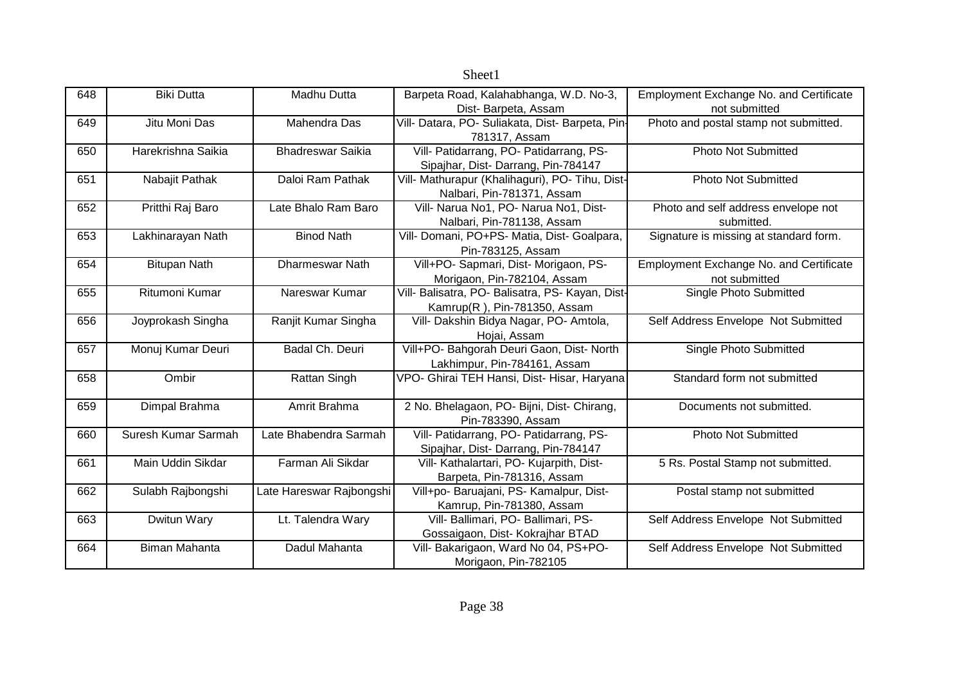| 648 | <b>Biki Dutta</b>    | Madhu Dutta              | Barpeta Road, Kalahabhanga, W.D. No-3,           | <b>Employment Exchange No. and Certificate</b> |
|-----|----------------------|--------------------------|--------------------------------------------------|------------------------------------------------|
|     |                      |                          | Dist-Barpeta, Assam                              | not submitted                                  |
| 649 | Jitu Moni Das        | Mahendra Das             | Vill- Datara, PO- Suliakata, Dist- Barpeta, Pin- | Photo and postal stamp not submitted.          |
|     |                      |                          | 781317, Assam                                    |                                                |
| 650 | Harekrishna Saikia   | <b>Bhadreswar Saikia</b> | Vill- Patidarrang, PO- Patidarrang, PS-          | <b>Photo Not Submitted</b>                     |
|     |                      |                          | Sipajhar, Dist-Darrang, Pin-784147               |                                                |
| 651 | Nabajit Pathak       | Daloi Ram Pathak         | Vill- Mathurapur (Khalihaguri), PO- Tihu, Dist-  | <b>Photo Not Submitted</b>                     |
|     |                      |                          | Nalbari, Pin-781371, Assam                       |                                                |
| 652 | Pritthi Raj Baro     | Late Bhalo Ram Baro      | Vill- Narua No1, PO- Narua No1, Dist-            | Photo and self address envelope not            |
|     |                      |                          | Nalbari, Pin-781138, Assam                       | submitted.                                     |
| 653 | Lakhinarayan Nath    | <b>Binod Nath</b>        | Vill- Domani, PO+PS- Matia, Dist- Goalpara,      | Signature is missing at standard form.         |
|     |                      |                          | Pin-783125, Assam                                |                                                |
| 654 | <b>Bitupan Nath</b>  | Dharmeswar Nath          | Vill+PO- Sapmari, Dist- Morigaon, PS-            | Employment Exchange No. and Certificate        |
|     |                      |                          | Morigaon, Pin-782104, Assam                      | not submitted                                  |
| 655 | Ritumoni Kumar       | Nareswar Kumar           | Vill- Balisatra, PO- Balisatra, PS- Kayan, Dist- | Single Photo Submitted                         |
|     |                      |                          | Kamrup(R), Pin-781350, Assam                     |                                                |
| 656 | Joyprokash Singha    | Ranjit Kumar Singha      | Vill- Dakshin Bidya Nagar, PO- Amtola,           | Self Address Envelope Not Submitted            |
|     |                      |                          | Hojai, Assam                                     |                                                |
| 657 | Monuj Kumar Deuri    | Badal Ch. Deuri          | Vill+PO- Bahgorah Deuri Gaon, Dist- North        | Single Photo Submitted                         |
|     |                      |                          | Lakhimpur, Pin-784161, Assam                     |                                                |
| 658 | Ombir                | Rattan Singh             | VPO- Ghirai TEH Hansi, Dist- Hisar, Haryana      | Standard form not submitted                    |
|     |                      |                          |                                                  |                                                |
| 659 | Dimpal Brahma        | Amrit Brahma             | 2 No. Bhelagaon, PO- Bijni, Dist- Chirang,       | Documents not submitted.                       |
|     |                      |                          | Pin-783390, Assam                                |                                                |
| 660 | Suresh Kumar Sarmah  | Late Bhabendra Sarmah    | Vill- Patidarrang, PO- Patidarrang, PS-          | <b>Photo Not Submitted</b>                     |
|     |                      |                          | Sipajhar, Dist-Darrang, Pin-784147               |                                                |
| 661 | Main Uddin Sikdar    | Farman Ali Sikdar        | Vill- Kathalartari, PO- Kujarpith, Dist-         | 5 Rs. Postal Stamp not submitted.              |
|     |                      |                          | Barpeta, Pin-781316, Assam                       |                                                |
| 662 | Sulabh Rajbongshi    | Late Hareswar Rajbongshi | Vill+po- Baruajani, PS- Kamalpur, Dist-          | Postal stamp not submitted                     |
|     |                      |                          | Kamrup, Pin-781380, Assam                        |                                                |
| 663 | Dwitun Wary          | Lt. Talendra Wary        | Vill- Ballimari, PO- Ballimari, PS-              | Self Address Envelope Not Submitted            |
|     |                      |                          | Gossaigaon, Dist- Kokrajhar BTAD                 |                                                |
| 664 | <b>Biman Mahanta</b> | Dadul Mahanta            | Vill- Bakarigaon, Ward No 04, PS+PO-             | Self Address Envelope Not Submitted            |
|     |                      |                          | Morigaon, Pin-782105                             |                                                |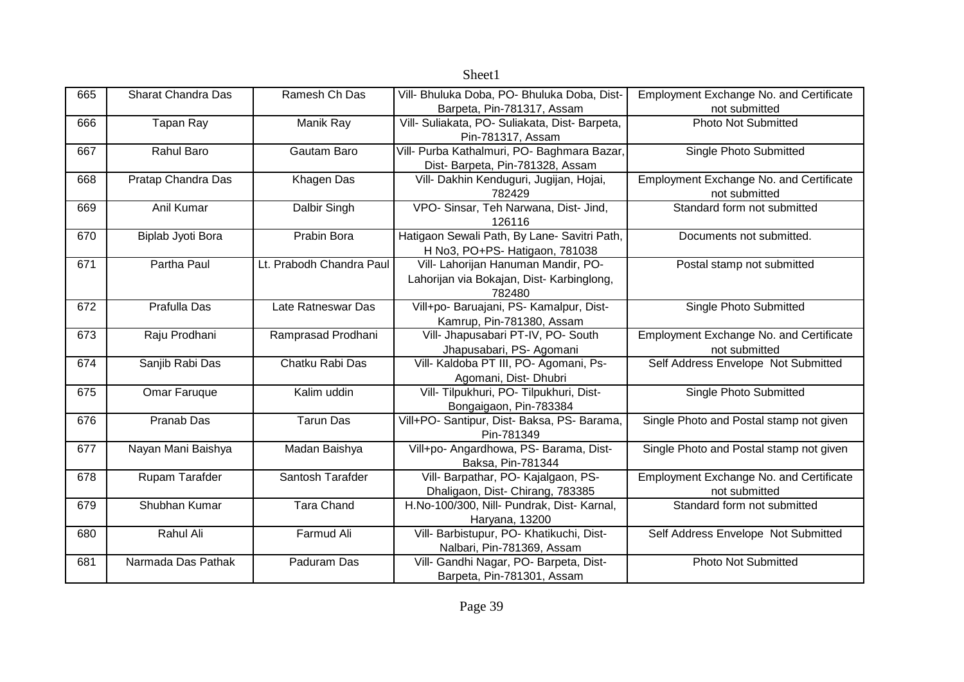|     |                           |                          | Sheet1                                         |                                                |
|-----|---------------------------|--------------------------|------------------------------------------------|------------------------------------------------|
| 665 | <b>Sharat Chandra Das</b> | Ramesh Ch Das            | Vill- Bhuluka Doba, PO- Bhuluka Doba, Dist-    | <b>Employment Exchange No. and Certificate</b> |
|     |                           |                          | Barpeta, Pin-781317, Assam                     | not submitted                                  |
| 666 | Tapan Ray                 | Manik Ray                | Vill- Suliakata, PO- Suliakata, Dist- Barpeta, | <b>Photo Not Submitted</b>                     |
|     |                           |                          | Pin-781317, Assam                              |                                                |
| 667 | Rahul Baro                | Gautam Baro              | Vill- Purba Kathalmuri, PO- Baghmara Bazar,    | Single Photo Submitted                         |
|     |                           |                          | Dist- Barpeta, Pin-781328, Assam               |                                                |
| 668 | Pratap Chandra Das        | Khagen Das               | Vill- Dakhin Kenduguri, Jugijan, Hojai,        | Employment Exchange No. and Certificate        |
|     |                           |                          | 782429                                         | not submitted                                  |
| 669 | Anil Kumar                | Dalbir Singh             | VPO- Sinsar, Teh Narwana, Dist- Jind,          | Standard form not submitted                    |
|     |                           |                          | 126116                                         |                                                |
| 670 | Biplab Jyoti Bora         | Prabin Bora              | Hatigaon Sewali Path, By Lane- Savitri Path,   | Documents not submitted.                       |
|     |                           |                          | H No3, PO+PS- Hatigaon, 781038                 |                                                |
| 671 | Partha Paul               | Lt. Prabodh Chandra Paul | Vill- Lahorijan Hanuman Mandir, PO-            | Postal stamp not submitted                     |
|     |                           |                          | Lahorijan via Bokajan, Dist- Karbinglong,      |                                                |
|     |                           |                          | 782480                                         |                                                |
| 672 | Prafulla Das              | Late Ratneswar Das       | Vill+po- Baruajani, PS- Kamalpur, Dist-        | Single Photo Submitted                         |
|     |                           |                          | Kamrup, Pin-781380, Assam                      |                                                |
| 673 | Raju Prodhani             | Ramprasad Prodhani       | Vill- Jhapusabari PT-IV, PO- South             | Employment Exchange No. and Certificate        |
|     |                           |                          | Jhapusabari, PS- Agomani                       | not submitted                                  |
| 674 | Sanjib Rabi Das           | Chatku Rabi Das          | Vill- Kaldoba PT III, PO- Agomani, Ps-         | Self Address Envelope Not Submitted            |
|     |                           |                          | Agomani, Dist- Dhubri                          |                                                |
| 675 | Omar Faruque              | Kalim uddin              | Vill- Tilpukhuri, PO- Tilpukhuri, Dist-        | Single Photo Submitted                         |
|     |                           |                          | Bongaigaon, Pin-783384                         |                                                |
| 676 | Pranab Das                | <b>Tarun Das</b>         | Vill+PO- Santipur, Dist- Baksa, PS- Barama,    | Single Photo and Postal stamp not given        |
|     |                           |                          | Pin-781349                                     |                                                |
| 677 | Nayan Mani Baishya        | Madan Baishya            | Vill+po- Angardhowa, PS- Barama, Dist-         | Single Photo and Postal stamp not given        |
|     |                           |                          | Baksa, Pin-781344                              |                                                |
| 678 | Rupam Tarafder            | Santosh Tarafder         | Vill- Barpathar, PO- Kajalgaon, PS-            | <b>Employment Exchange No. and Certificate</b> |
|     |                           |                          | Dhaligaon, Dist- Chirang, 783385               | not submitted                                  |
| 679 | Shubhan Kumar             | <b>Tara Chand</b>        | H.No-100/300, Nill- Pundrak, Dist- Karnal,     | Standard form not submitted                    |
|     |                           |                          | Haryana, 13200                                 |                                                |
| 680 | Rahul Ali                 | Farmud Ali               | Vill- Barbistupur, PO- Khatikuchi, Dist-       | Self Address Envelope Not Submitted            |
|     |                           |                          | Nalbari, Pin-781369, Assam                     |                                                |
| 681 | Narmada Das Pathak        | Paduram Das              | Vill- Gandhi Nagar, PO- Barpeta, Dist-         | <b>Photo Not Submitted</b>                     |
|     |                           |                          | Barpeta, Pin-781301, Assam                     |                                                |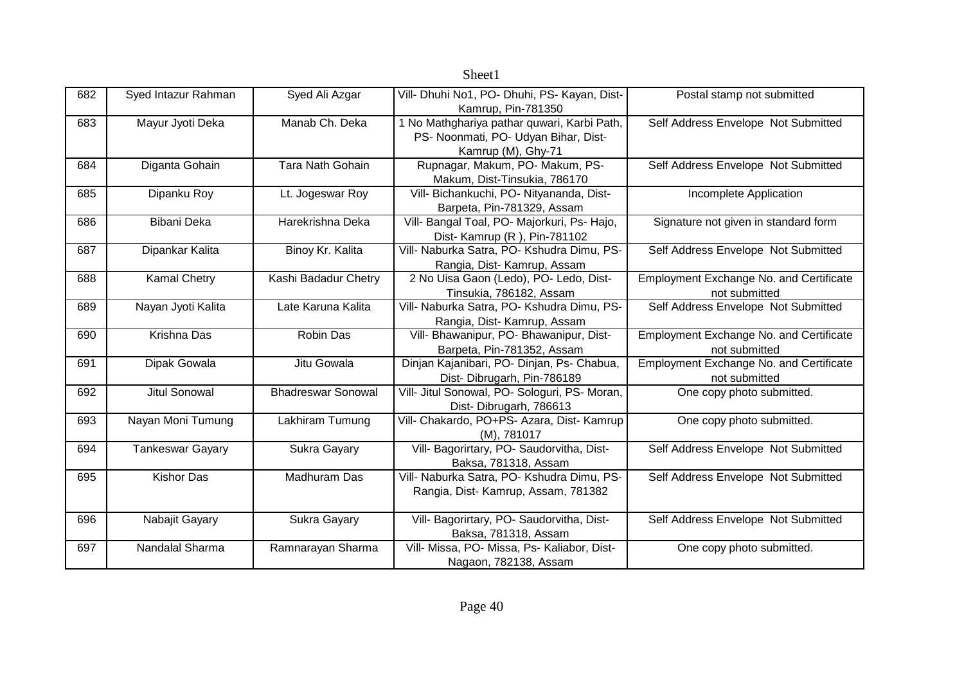|     |                         |                           | Sheet1                                        |                                                |
|-----|-------------------------|---------------------------|-----------------------------------------------|------------------------------------------------|
| 682 | Syed Intazur Rahman     | Syed Ali Azgar            | Vill- Dhuhi No1, PO- Dhuhi, PS- Kayan, Dist-  | Postal stamp not submitted                     |
|     |                         |                           | Kamrup, Pin-781350                            |                                                |
| 683 | Mayur Jyoti Deka        | Manab Ch. Deka            | 1 No Mathghariya pathar quwari, Karbi Path,   | Self Address Envelope Not Submitted            |
|     |                         |                           | PS- Noonmati, PO- Udyan Bihar, Dist-          |                                                |
|     |                         |                           | Kamrup (M), Ghy-71                            |                                                |
| 684 | Diganta Gohain          | Tara Nath Gohain          | Rupnagar, Makum, PO- Makum, PS-               | Self Address Envelope Not Submitted            |
|     |                         |                           | Makum, Dist-Tinsukia, 786170                  |                                                |
| 685 | Dipanku Roy             | Lt. Jogeswar Roy          | Vill- Bichankuchi, PO- Nityananda, Dist-      | Incomplete Application                         |
|     |                         |                           | Barpeta, Pin-781329, Assam                    |                                                |
| 686 | Bibani Deka             | Harekrishna Deka          | Vill- Bangal Toal, PO- Majorkuri, Ps- Hajo,   | Signature not given in standard form           |
|     |                         |                           | Dist- Kamrup (R), Pin-781102                  |                                                |
| 687 | Dipankar Kalita         | Binoy Kr. Kalita          | Vill- Naburka Satra, PO- Kshudra Dimu, PS-    | Self Address Envelope Not Submitted            |
|     |                         |                           | Rangia, Dist- Kamrup, Assam                   |                                                |
| 688 | <b>Kamal Chetry</b>     | Kashi Badadur Chetry      | 2 No Uisa Gaon (Ledo), PO- Ledo, Dist-        | <b>Employment Exchange No. and Certificate</b> |
|     |                         |                           | Tinsukia, 786182, Assam                       | not submitted                                  |
| 689 | Nayan Jyoti Kalita      | Late Karuna Kalita        | Vill- Naburka Satra, PO- Kshudra Dimu, PS-    | Self Address Envelope Not Submitted            |
|     |                         |                           | Rangia, Dist- Kamrup, Assam                   |                                                |
| 690 | Krishna Das             | Robin Das                 | Vill- Bhawanipur, PO- Bhawanipur, Dist-       | Employment Exchange No. and Certificate        |
|     |                         |                           | Barpeta, Pin-781352, Assam                    | not submitted                                  |
| 691 | Dipak Gowala            | Jitu Gowala               | Dinjan Kajanibari, PO- Dinjan, Ps- Chabua,    | Employment Exchange No. and Certificate        |
|     |                         |                           | Dist-Dibrugarh, Pin-786189                    | not submitted                                  |
| 692 | <b>Jitul Sonowal</b>    | <b>Bhadreswar Sonowal</b> | Vill- Jitul Sonowal, PO- Sologuri, PS- Moran, | One copy photo submitted.                      |
|     |                         |                           | Dist-Dibrugarh, 786613                        |                                                |
| 693 | Nayan Moni Tumung       | Lakhiram Tumung           | Vill- Chakardo, PO+PS- Azara, Dist- Kamrup    | One copy photo submitted.                      |
|     |                         |                           | (M), 781017                                   |                                                |
| 694 | <b>Tankeswar Gayary</b> | Sukra Gayary              | Vill- Bagorirtary, PO- Saudorvitha, Dist-     | Self Address Envelope Not Submitted            |
|     |                         |                           | Baksa, 781318, Assam                          |                                                |
| 695 | <b>Kishor Das</b>       | Madhuram Das              | Vill- Naburka Satra, PO- Kshudra Dimu, PS-    | Self Address Envelope Not Submitted            |
|     |                         |                           | Rangia, Dist- Kamrup, Assam, 781382           |                                                |
| 696 | Nabajit Gayary          | Sukra Gayary              | Vill- Bagorirtary, PO- Saudorvitha, Dist-     | Self Address Envelope Not Submitted            |
|     |                         |                           | Baksa, 781318, Assam                          |                                                |
| 697 | Nandalal Sharma         | Ramnarayan Sharma         | Vill- Missa, PO- Missa, Ps- Kaliabor, Dist-   | One copy photo submitted.                      |
|     |                         |                           | Nagaon, 782138, Assam                         |                                                |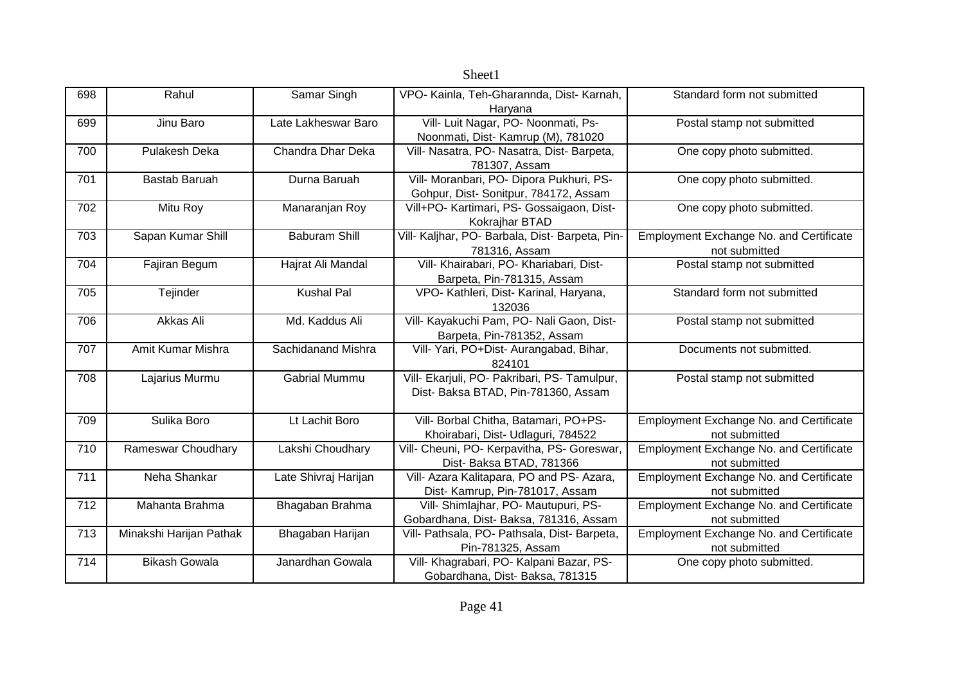|     |                         |                      | OIICCLI                                         |                                                |
|-----|-------------------------|----------------------|-------------------------------------------------|------------------------------------------------|
| 698 | Rahul                   | Samar Singh          | VPO- Kainla, Teh-Gharannda, Dist- Karnah,       | Standard form not submitted                    |
|     |                         |                      | Haryana                                         |                                                |
| 699 | Jinu Baro               | Late Lakheswar Baro  | Vill- Luit Nagar, PO- Noonmati, Ps-             | Postal stamp not submitted                     |
|     |                         |                      | Noonmati, Dist- Kamrup (M), 781020              |                                                |
| 700 | Pulakesh Deka           | Chandra Dhar Deka    | Vill- Nasatra, PO- Nasatra, Dist- Barpeta,      | One copy photo submitted.                      |
|     |                         |                      | 781307, Assam                                   |                                                |
| 701 | Bastab Baruah           | Durna Baruah         | Vill- Moranbari, PO- Dipora Pukhuri, PS-        | One copy photo submitted.                      |
|     |                         |                      | Gohpur, Dist-Sonitpur, 784172, Assam            |                                                |
| 702 | Mitu Roy                | Manaranjan Roy       | Vill+PO- Kartimari, PS- Gossaigaon, Dist-       | One copy photo submitted.                      |
|     |                         |                      | Kokrajhar BTAD                                  |                                                |
| 703 | Sapan Kumar Shill       | <b>Baburam Shill</b> | Vill- Kaljhar, PO- Barbala, Dist- Barpeta, Pin- | Employment Exchange No. and Certificate        |
|     |                         |                      | 781316, Assam                                   | not submitted                                  |
| 704 | Fajiran Begum           | Hajrat Ali Mandal    | Vill- Khairabari, PO- Khariabari, Dist-         | Postal stamp not submitted                     |
|     |                         |                      | Barpeta, Pin-781315, Assam                      |                                                |
| 705 | Tejinder                | <b>Kushal Pal</b>    | VPO- Kathleri, Dist- Karinal, Haryana,          | Standard form not submitted                    |
|     |                         |                      | 132036                                          |                                                |
| 706 | Akkas Ali               | Md. Kaddus Ali       | Vill- Kayakuchi Pam, PO- Nali Gaon, Dist-       | Postal stamp not submitted                     |
|     |                         |                      | Barpeta, Pin-781352, Assam                      |                                                |
| 707 | Amit Kumar Mishra       | Sachidanand Mishra   | Vill- Yari, PO+Dist- Aurangabad, Bihar,         | Documents not submitted.                       |
|     |                         |                      | 824101                                          |                                                |
| 708 | Lajarius Murmu          | <b>Gabrial Mummu</b> | Vill- Ekarjuli, PO- Pakribari, PS- Tamulpur,    | Postal stamp not submitted                     |
|     |                         |                      | Dist- Baksa BTAD, Pin-781360, Assam             |                                                |
|     |                         |                      |                                                 |                                                |
| 709 | Sulika Boro             | Lt Lachit Boro       | Vill- Borbal Chitha, Batamari, PO+PS-           | Employment Exchange No. and Certificate        |
|     |                         |                      | Khoirabari, Dist- Udlaguri, 784522              | not submitted                                  |
| 710 | Rameswar Choudhary      | Lakshi Choudhary     | Vill- Cheuni, PO- Kerpavitha, PS- Goreswar,     | Employment Exchange No. and Certificate        |
|     |                         |                      | Dist- Baksa BTAD, 781366                        | not submitted                                  |
| 711 | Neha Shankar            | Late Shivraj Harijan | Vill- Azara Kalitapara, PO and PS- Azara,       | Employment Exchange No. and Certificate        |
|     |                         |                      | Dist- Kamrup, Pin-781017, Assam                 | not submitted                                  |
| 712 | Mahanta Brahma          | Bhagaban Brahma      | Vill- Shimlajhar, PO- Mautupuri, PS-            | Employment Exchange No. and Certificate        |
|     |                         |                      | Gobardhana, Dist- Baksa, 781316, Assam          | not submitted                                  |
| 713 | Minakshi Harijan Pathak | Bhagaban Harijan     | Vill- Pathsala, PO- Pathsala, Dist- Barpeta,    | <b>Employment Exchange No. and Certificate</b> |
|     |                         |                      | Pin-781325, Assam                               | not submitted                                  |
| 714 | <b>Bikash Gowala</b>    | Janardhan Gowala     | Vill- Khagrabari, PO- Kalpani Bazar, PS-        | One copy photo submitted.                      |
|     |                         |                      | Gobardhana, Dist-Baksa, 781315                  |                                                |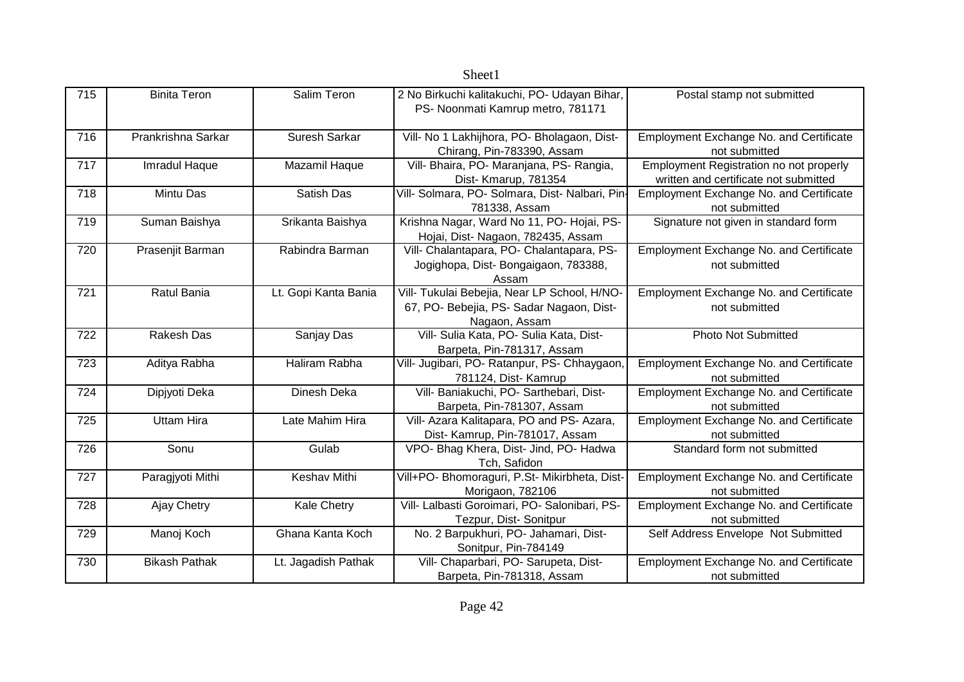|     |                      |                      | OIICCLI                                                                                                   |                                                                                         |
|-----|----------------------|----------------------|-----------------------------------------------------------------------------------------------------------|-----------------------------------------------------------------------------------------|
| 715 | <b>Binita Teron</b>  | Salim Teron          | 2 No Birkuchi kalitakuchi, PO- Udayan Bihar,<br>PS- Noonmati Kamrup metro, 781171                         | Postal stamp not submitted                                                              |
| 716 | Prankrishna Sarkar   | Suresh Sarkar        | Vill- No 1 Lakhijhora, PO- Bholagaon, Dist-<br>Chirang, Pin-783390, Assam                                 | <b>Employment Exchange No. and Certificate</b><br>not submitted                         |
| 717 | Imradul Haque        | Mazamil Haque        | Vill- Bhaira, PO- Maranjana, PS- Rangia,<br>Dist- Kmarup, 781354                                          | <b>Employment Registration no not properly</b><br>written and certificate not submitted |
| 718 | Mintu Das            | Satish Das           | Vill- Solmara, PO- Solmara, Dist- Nalbari, Pin-<br>781338, Assam                                          | Employment Exchange No. and Certificate<br>not submitted                                |
| 719 | Suman Baishya        | Srikanta Baishya     | Krishna Nagar, Ward No 11, PO- Hojai, PS-<br>Hojai, Dist-Nagaon, 782435, Assam                            | Signature not given in standard form                                                    |
| 720 | Prasenjit Barman     | Rabindra Barman      | Vill- Chalantapara, PO- Chalantapara, PS-<br>Jogighopa, Dist-Bongaigaon, 783388,<br>Assam                 | Employment Exchange No. and Certificate<br>not submitted                                |
| 721 | Ratul Bania          | Lt. Gopi Kanta Bania | Vill- Tukulai Bebejia, Near LP School, H/NO-<br>67, PO- Bebejia, PS- Sadar Nagaon, Dist-<br>Nagaon, Assam | Employment Exchange No. and Certificate<br>not submitted                                |
| 722 | <b>Rakesh Das</b>    | Sanjay Das           | Vill- Sulia Kata, PO- Sulia Kata, Dist-<br>Barpeta, Pin-781317, Assam                                     | <b>Photo Not Submitted</b>                                                              |
| 723 | Aditya Rabha         | Haliram Rabha        | Vill- Jugibari, PO- Ratanpur, PS- Chhaygaon.<br>781124, Dist- Kamrup                                      | <b>Employment Exchange No. and Certificate</b><br>not submitted                         |
| 724 | Dipjyoti Deka        | Dinesh Deka          | Vill- Baniakuchi, PO- Sarthebari, Dist-<br>Barpeta, Pin-781307, Assam                                     | <b>Employment Exchange No. and Certificate</b><br>not submitted                         |
| 725 | <b>Uttam Hira</b>    | Late Mahim Hira      | Vill- Azara Kalitapara, PO and PS- Azara,<br>Dist- Kamrup, Pin-781017, Assam                              | <b>Employment Exchange No. and Certificate</b><br>not submitted                         |
| 726 | Sonu                 | Gulab                | VPO- Bhag Khera, Dist- Jind, PO- Hadwa<br>Tch, Safidon                                                    | Standard form not submitted                                                             |
| 727 | Paragjyoti Mithi     | Keshav Mithi         | Vill+PO- Bhomoraguri, P.St- Mikirbheta, Dist-<br>Morigaon, 782106                                         | Employment Exchange No. and Certificate<br>not submitted                                |
| 728 | Ajay Chetry          | Kale Chetry          | Vill- Lalbasti Goroimari, PO- Salonibari, PS-<br>Tezpur, Dist- Sonitpur                                   | Employment Exchange No. and Certificate<br>not submitted                                |
| 729 | Manoj Koch           | Ghana Kanta Koch     | No. 2 Barpukhuri, PO- Jahamari, Dist-<br>Sonitpur, Pin-784149                                             | Self Address Envelope Not Submitted                                                     |
| 730 | <b>Bikash Pathak</b> | Lt. Jagadish Pathak  | Vill- Chaparbari, PO- Sarupeta, Dist-<br>Barpeta, Pin-781318, Assam                                       | <b>Employment Exchange No. and Certificate</b><br>not submitted                         |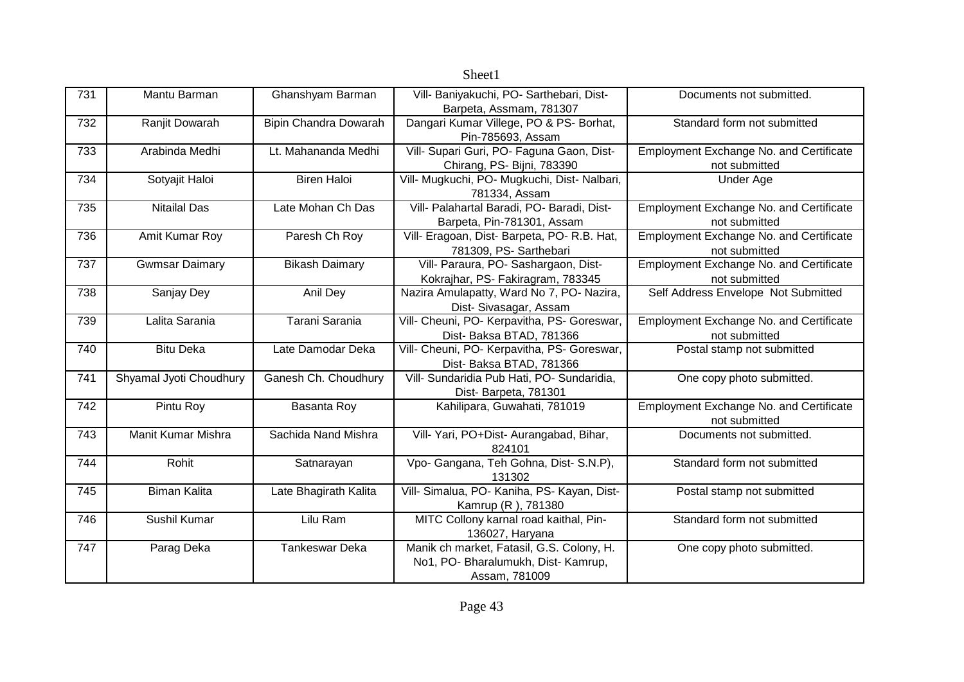|     |                         |                       | nncent                                       |                                                |
|-----|-------------------------|-----------------------|----------------------------------------------|------------------------------------------------|
| 731 | Mantu Barman            | Ghanshyam Barman      | Vill- Baniyakuchi, PO- Sarthebari, Dist-     | Documents not submitted.                       |
|     |                         |                       | Barpeta, Assmam, 781307                      |                                                |
| 732 | Ranjit Dowarah          | Bipin Chandra Dowarah | Dangari Kumar Villege, PO & PS- Borhat,      | Standard form not submitted                    |
|     |                         |                       | Pin-785693, Assam                            |                                                |
| 733 | Arabinda Medhi          | Lt. Mahananda Medhi   | Vill- Supari Guri, PO- Faguna Gaon, Dist-    | <b>Employment Exchange No. and Certificate</b> |
|     |                         |                       | Chirang, PS- Bijni, 783390                   | not submitted                                  |
| 734 | Sotyajit Haloi          | <b>Biren Haloi</b>    | Vill- Mugkuchi, PO- Mugkuchi, Dist- Nalbari, | <b>Under Age</b>                               |
|     |                         |                       | 781334, Assam                                |                                                |
| 735 | <b>Nitailal Das</b>     | Late Mohan Ch Das     | Vill- Palahartal Baradi, PO- Baradi, Dist-   | Employment Exchange No. and Certificate        |
|     |                         |                       | Barpeta, Pin-781301, Assam                   | not submitted                                  |
| 736 | Amit Kumar Roy          | Paresh Ch Roy         | Vill- Eragoan, Dist- Barpeta, PO- R.B. Hat,  | Employment Exchange No. and Certificate        |
|     |                         |                       | 781309, PS- Sarthebari                       | not submitted                                  |
| 737 | <b>Gwmsar Daimary</b>   | <b>Bikash Daimary</b> | Vill- Paraura, PO- Sashargaon, Dist-         | Employment Exchange No. and Certificate        |
|     |                         |                       | Kokrajhar, PS- Fakiragram, 783345            | not submitted                                  |
| 738 | Sanjay Dey              | Anil Dey              | Nazira Amulapatty, Ward No 7, PO- Nazira,    | Self Address Envelope Not Submitted            |
|     |                         |                       | Dist- Sivasagar, Assam                       |                                                |
| 739 | Lalita Sarania          | Tarani Sarania        | Vill- Cheuni, PO- Kerpavitha, PS- Goreswar,  | Employment Exchange No. and Certificate        |
|     |                         |                       | Dist- Baksa BTAD, 781366                     | not submitted                                  |
| 740 | <b>Bitu Deka</b>        | Late Damodar Deka     | Vill- Cheuni, PO- Kerpavitha, PS- Goreswar,  | Postal stamp not submitted                     |
|     |                         |                       | Dist- Baksa BTAD, 781366                     |                                                |
| 741 | Shyamal Jyoti Choudhury | Ganesh Ch. Choudhury  | Vill- Sundaridia Pub Hati, PO- Sundaridia,   | One copy photo submitted.                      |
|     |                         |                       | Dist-Barpeta, 781301                         |                                                |
| 742 | Pintu Roy               |                       |                                              | Employment Exchange No. and Certificate        |
|     |                         | Basanta Roy           | Kahilipara, Guwahati, 781019                 |                                                |
|     |                         |                       |                                              | not submitted                                  |
| 743 | Manit Kumar Mishra      | Sachida Nand Mishra   | Vill- Yari, PO+Dist- Aurangabad, Bihar,      | Documents not submitted.                       |
|     |                         |                       | 824101                                       |                                                |
| 744 | Rohit                   | Satnarayan            | Vpo- Gangana, Teh Gohna, Dist- S.N.P),       | Standard form not submitted                    |
|     |                         |                       | 131302                                       |                                                |
| 745 | <b>Biman Kalita</b>     | Late Bhagirath Kalita | Vill- Simalua, PO- Kaniha, PS- Kayan, Dist-  | Postal stamp not submitted                     |
|     |                         |                       | Kamrup (R), 781380                           |                                                |
| 746 | Sushil Kumar            | Lilu Ram              | MITC Collony karnal road kaithal, Pin-       | Standard form not submitted                    |
|     |                         |                       | 136027, Haryana                              |                                                |
| 747 | Parag Deka              | <b>Tankeswar Deka</b> | Manik ch market, Fatasil, G.S. Colony, H.    | One copy photo submitted.                      |
|     |                         |                       | No1, PO- Bharalumukh, Dist- Kamrup,          |                                                |
|     |                         |                       | Assam, 781009                                |                                                |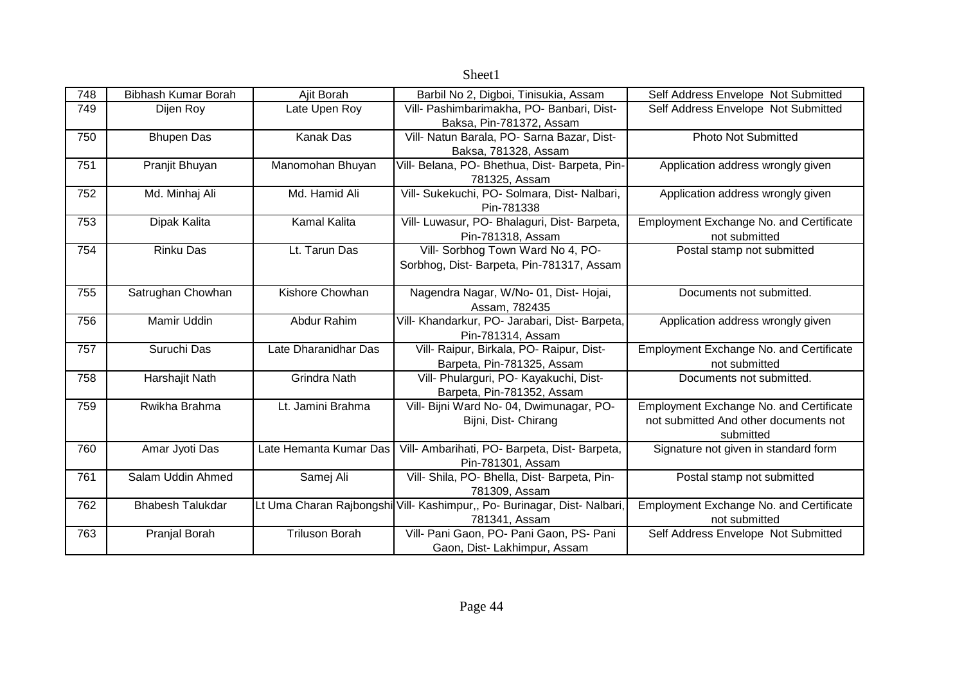| 748 | Bibhash Kumar Borah     | Ajit Borah             | Barbil No 2, Digboi, Tinisukia, Assam                                    | Self Address Envelope Not Submitted            |
|-----|-------------------------|------------------------|--------------------------------------------------------------------------|------------------------------------------------|
| 749 | Dijen Roy               | Late Upen Roy          | Vill- Pashimbarimakha, PO- Banbari, Dist-                                | Self Address Envelope Not Submitted            |
|     |                         |                        | Baksa, Pin-781372, Assam                                                 |                                                |
| 750 | <b>Bhupen Das</b>       | Kanak Das              | Vill- Natun Barala, PO- Sarna Bazar, Dist-                               | <b>Photo Not Submitted</b>                     |
|     |                         |                        | Baksa, 781328, Assam                                                     |                                                |
| 751 | Pranjit Bhuyan          | Manomohan Bhuyan       | Vill- Belana, PO- Bhethua, Dist- Barpeta, Pin-                           | Application address wrongly given              |
|     |                         |                        | 781325, Assam                                                            |                                                |
| 752 | Md. Minhaj Ali          | Md. Hamid Ali          | Vill- Sukekuchi, PO- Solmara, Dist- Nalbari,                             | Application address wrongly given              |
|     |                         |                        | Pin-781338                                                               |                                                |
| 753 | Dipak Kalita            | <b>Kamal Kalita</b>    | Vill- Luwasur, PO- Bhalaguri, Dist- Barpeta,                             | Employment Exchange No. and Certificate        |
|     |                         |                        | Pin-781318, Assam                                                        | not submitted                                  |
| 754 | <b>Rinku Das</b>        | Lt. Tarun Das          | Vill- Sorbhog Town Ward No 4, PO-                                        | Postal stamp not submitted                     |
|     |                         |                        | Sorbhog, Dist- Barpeta, Pin-781317, Assam                                |                                                |
|     |                         |                        |                                                                          |                                                |
| 755 | Satrughan Chowhan       | Kishore Chowhan        | Nagendra Nagar, W/No- 01, Dist- Hojai,                                   | Documents not submitted.                       |
|     |                         |                        | Assam, 782435                                                            |                                                |
| 756 | Mamir Uddin             | Abdur Rahim            | Vill- Khandarkur, PO- Jarabari, Dist- Barpeta,                           | Application address wrongly given              |
|     |                         |                        | Pin-781314, Assam                                                        |                                                |
| 757 | Suruchi Das             | Late Dharanidhar Das   | Vill- Raipur, Birkala, PO- Raipur, Dist-                                 | Employment Exchange No. and Certificate        |
|     |                         |                        | Barpeta, Pin-781325, Assam                                               | not submitted                                  |
| 758 | Harshajit Nath          | <b>Grindra Nath</b>    | Vill- Phularguri, PO- Kayakuchi, Dist-                                   | Documents not submitted.                       |
|     |                         |                        | Barpeta, Pin-781352, Assam                                               |                                                |
| 759 | Rwikha Brahma           | Lt. Jamini Brahma      | Vill- Bijni Ward No- 04, Dwimunagar, PO-                                 | <b>Employment Exchange No. and Certificate</b> |
|     |                         |                        | Bijni, Dist- Chirang                                                     | not submitted And other documents not          |
|     |                         |                        |                                                                          | submitted                                      |
| 760 | Amar Jyoti Das          | Late Hemanta Kumar Das | Vill- Ambarihati, PO- Barpeta, Dist- Barpeta,                            | Signature not given in standard form           |
|     |                         |                        | Pin-781301, Assam                                                        |                                                |
| 761 | Salam Uddin Ahmed       | Samej Ali              | Vill- Shila, PO- Bhella, Dist- Barpeta, Pin-                             | Postal stamp not submitted                     |
|     |                         |                        | 781309, Assam                                                            |                                                |
| 762 | <b>Bhabesh Talukdar</b> |                        | Lt Uma Charan Rajbongshi Vill- Kashimpur,, Po- Burinagar, Dist- Nalbari, | Employment Exchange No. and Certificate        |
|     |                         |                        | 781341, Assam                                                            | not submitted                                  |
| 763 | Pranjal Borah           | <b>Triluson Borah</b>  | Vill- Pani Gaon, PO- Pani Gaon, PS- Pani                                 | Self Address Envelope Not Submitted            |
|     |                         |                        | Gaon, Dist- Lakhimpur, Assam                                             |                                                |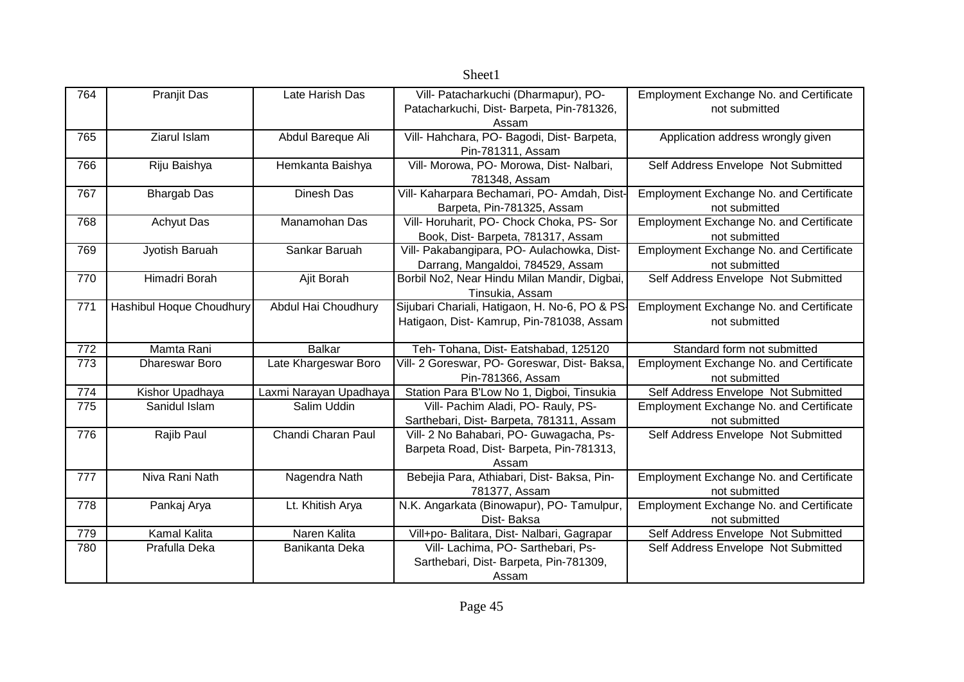| 764        | Pranjit Das              | Late Harish Das                       | Vill- Patacharkuchi (Dharmapur), PO-                                                | Employment Exchange No. and Certificate              |
|------------|--------------------------|---------------------------------------|-------------------------------------------------------------------------------------|------------------------------------------------------|
|            |                          |                                       | Patacharkuchi, Dist-Barpeta, Pin-781326,                                            | not submitted                                        |
|            |                          |                                       | Assam                                                                               |                                                      |
| 765        | Ziarul Islam             | Abdul Bareque Ali                     | Vill- Hahchara, PO- Bagodi, Dist- Barpeta,                                          | Application address wrongly given                    |
|            |                          |                                       | Pin-781311, Assam                                                                   |                                                      |
| 766        | Riju Baishya             | Hemkanta Baishya                      | Vill- Morowa, PO- Morowa, Dist- Nalbari,                                            | Self Address Envelope Not Submitted                  |
|            |                          |                                       | 781348, Assam                                                                       |                                                      |
| 767        | <b>Bhargab Das</b>       | Dinesh Das                            | Vill- Kaharpara Bechamari, PO- Amdah, Dist-                                         | <b>Employment Exchange No. and Certificate</b>       |
|            |                          |                                       | Barpeta, Pin-781325, Assam                                                          | not submitted                                        |
| 768        | <b>Achyut Das</b>        | Manamohan Das                         | Vill- Horuharit, PO- Chock Choka, PS- Sor                                           | Employment Exchange No. and Certificate              |
|            |                          |                                       | Book, Dist- Barpeta, 781317, Assam                                                  | not submitted                                        |
| 769        | Jyotish Baruah           | Sankar Baruah                         | Vill- Pakabangipara, PO- Aulachowka, Dist-                                          | <b>Employment Exchange No. and Certificate</b>       |
|            |                          |                                       | Darrang, Mangaldoi, 784529, Assam                                                   | not submitted                                        |
| 770        | Himadri Borah            | Ajit Borah                            | Borbil No2, Near Hindu Milan Mandir, Digbai,                                        | Self Address Envelope Not Submitted                  |
|            |                          |                                       | Tinsukia, Assam                                                                     |                                                      |
| 771        | Hashibul Hoque Choudhury | Abdul Hai Choudhury                   | Sijubari Chariali, Hatigaon, H. No-6, PO & PS-                                      | Employment Exchange No. and Certificate              |
|            |                          |                                       | Hatigaon, Dist- Kamrup, Pin-781038, Assam                                           | not submitted                                        |
|            | Mamta Rani               | <b>Balkar</b>                         |                                                                                     | Standard form not submitted                          |
| 772<br>773 | <b>Dhareswar Boro</b>    |                                       | Teh- Tohana, Dist- Eatshabad, 125120                                                |                                                      |
|            |                          | Late Khargeswar Boro                  | Vill- 2 Goreswar, PO- Goreswar, Dist- Baksa,                                        | Employment Exchange No. and Certificate              |
| 774        | Kishor Upadhaya          |                                       | Pin-781366, Assam<br>Station Para B'Low No 1, Digboi, Tinsukia                      | not submitted<br>Self Address Envelope Not Submitted |
| 775        | Sanidul Islam            | Laxmi Narayan Upadhaya<br>Salim Uddin | Vill- Pachim Aladi, PO- Rauly, PS-                                                  | <b>Employment Exchange No. and Certificate</b>       |
|            |                          |                                       |                                                                                     | not submitted                                        |
| 776        | Rajib Paul               | Chandi Charan Paul                    | Sarthebari, Dist- Barpeta, 781311, Assam<br>Vill- 2 No Bahabari, PO- Guwagacha, Ps- | Self Address Envelope Not Submitted                  |
|            |                          |                                       | Barpeta Road, Dist- Barpeta, Pin-781313,                                            |                                                      |
|            |                          |                                       | Assam                                                                               |                                                      |
| 777        | Niva Rani Nath           | Nagendra Nath                         | Bebejia Para, Athiabari, Dist- Baksa, Pin-                                          | Employment Exchange No. and Certificate              |
|            |                          |                                       |                                                                                     |                                                      |
|            |                          |                                       |                                                                                     |                                                      |
|            |                          |                                       | 781377, Assam                                                                       | not submitted                                        |
| 778        | Pankaj Arya              | Lt. Khitish Arya                      | N.K. Angarkata (Binowapur), PO- Tamulpur,                                           | <b>Employment Exchange No. and Certificate</b>       |
|            |                          |                                       | Dist-Baksa                                                                          | not submitted                                        |
| 779        | Kamal Kalita             | Naren Kalita                          | Vill+po- Balitara, Dist- Nalbari, Gagrapar                                          | Self Address Envelope Not Submitted                  |
| 780        | Prafulla Deka            | Banikanta Deka                        | Vill- Lachima, PO- Sarthebari, Ps-<br>Sarthebari, Dist- Barpeta, Pin-781309,        | Self Address Envelope Not Submitted                  |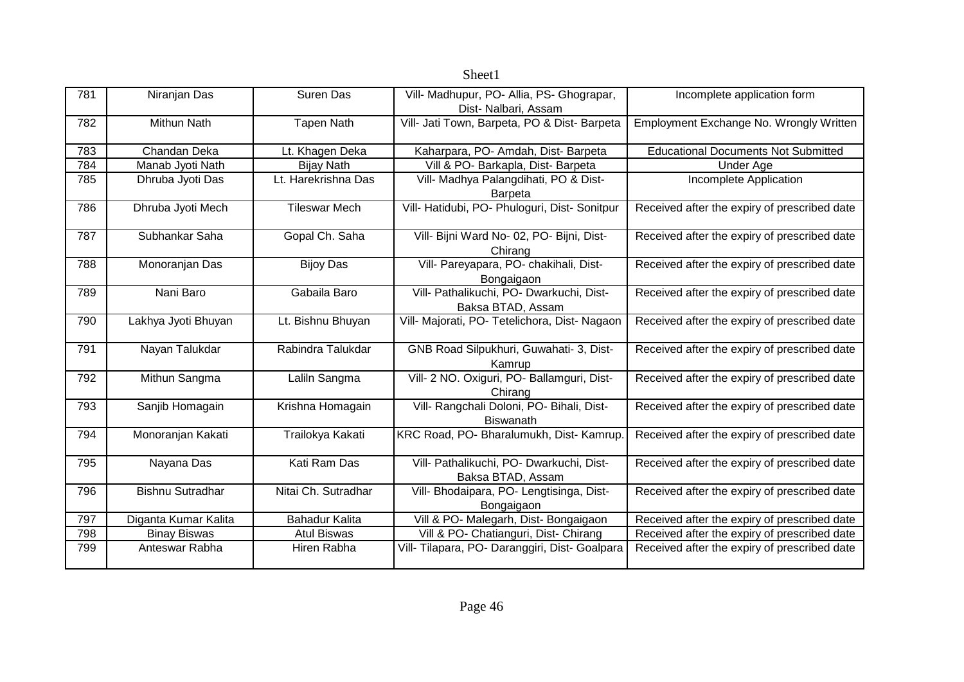|     |                      |                       | Sheet1                                         |                                              |
|-----|----------------------|-----------------------|------------------------------------------------|----------------------------------------------|
| 781 | Niranjan Das         | Suren Das             | Vill- Madhupur, PO- Allia, PS- Ghograpar,      | Incomplete application form                  |
|     |                      |                       | Dist- Nalbari, Assam                           |                                              |
| 782 | <b>Mithun Nath</b>   | <b>Tapen Nath</b>     | Vill- Jati Town, Barpeta, PO & Dist- Barpeta   | Employment Exchange No. Wrongly Written      |
|     |                      |                       |                                                |                                              |
| 783 | Chandan Deka         | Lt. Khagen Deka       | Kaharpara, PO- Amdah, Dist- Barpeta            | <b>Educational Documents Not Submitted</b>   |
| 784 | Manab Jyoti Nath     | <b>Bijay Nath</b>     | Vill & PO- Barkapla, Dist- Barpeta             | <b>Under Age</b>                             |
| 785 | Dhruba Jyoti Das     | Lt. Harekrishna Das   | Vill- Madhya Palangdihati, PO & Dist-          | Incomplete Application                       |
|     |                      |                       | <b>Barpeta</b>                                 |                                              |
| 786 | Dhruba Jyoti Mech    | <b>Tileswar Mech</b>  | Vill- Hatidubi, PO- Phuloguri, Dist- Sonitpur  | Received after the expiry of prescribed date |
|     |                      |                       |                                                |                                              |
| 787 | Subhankar Saha       | Gopal Ch. Saha        | Vill- Bijni Ward No- 02, PO- Bijni, Dist-      | Received after the expiry of prescribed date |
|     |                      |                       | Chirang                                        |                                              |
| 788 | Monoranjan Das       | <b>Bijoy Das</b>      | Vill- Pareyapara, PO- chakihali, Dist-         | Received after the expiry of prescribed date |
|     |                      |                       | Bongaigaon                                     |                                              |
| 789 | Nani Baro            | Gabaila Baro          | Vill- Pathalikuchi, PO- Dwarkuchi, Dist-       | Received after the expiry of prescribed date |
|     |                      |                       | Baksa BTAD, Assam                              |                                              |
| 790 | Lakhya Jyoti Bhuyan  | Lt. Bishnu Bhuyan     | Vill- Majorati, PO- Tetelichora, Dist- Nagaon  | Received after the expiry of prescribed date |
| 791 | Nayan Talukdar       | Rabindra Talukdar     | GNB Road Silpukhuri, Guwahati- 3, Dist-        | Received after the expiry of prescribed date |
|     |                      |                       | Kamrup                                         |                                              |
| 792 | Mithun Sangma        | Laliln Sangma         | Vill- 2 NO. Oxiguri, PO- Ballamguri, Dist-     | Received after the expiry of prescribed date |
|     |                      |                       | Chirang                                        |                                              |
| 793 | Sanjib Homagain      | Krishna Homagain      | Vill- Rangchali Doloni, PO- Bihali, Dist-      | Received after the expiry of prescribed date |
|     |                      |                       | <b>Biswanath</b>                               |                                              |
| 794 | Monoranjan Kakati    | Trailokya Kakati      | KRC Road, PO- Bharalumukh, Dist- Kamrup.       | Received after the expiry of prescribed date |
|     |                      |                       |                                                |                                              |
| 795 | Nayana Das           | Kati Ram Das          | Vill- Pathalikuchi, PO- Dwarkuchi, Dist-       | Received after the expiry of prescribed date |
|     |                      |                       | Baksa BTAD, Assam                              |                                              |
| 796 | Bishnu Sutradhar     | Nitai Ch. Sutradhar   | Vill- Bhodaipara, PO- Lengtisinga, Dist-       | Received after the expiry of prescribed date |
|     |                      |                       | Bongaigaon                                     |                                              |
| 797 | Diganta Kumar Kalita | <b>Bahadur Kalita</b> | Vill & PO- Malegarh, Dist- Bongaigaon          | Received after the expiry of prescribed date |
| 798 | <b>Binay Biswas</b>  | <b>Atul Biswas</b>    | Vill & PO- Chatianguri, Dist- Chirang          | Received after the expiry of prescribed date |
| 799 | Anteswar Rabha       | Hiren Rabha           | Vill- Tilapara, PO- Daranggiri, Dist- Goalpara | Received after the expiry of prescribed date |
|     |                      |                       |                                                |                                              |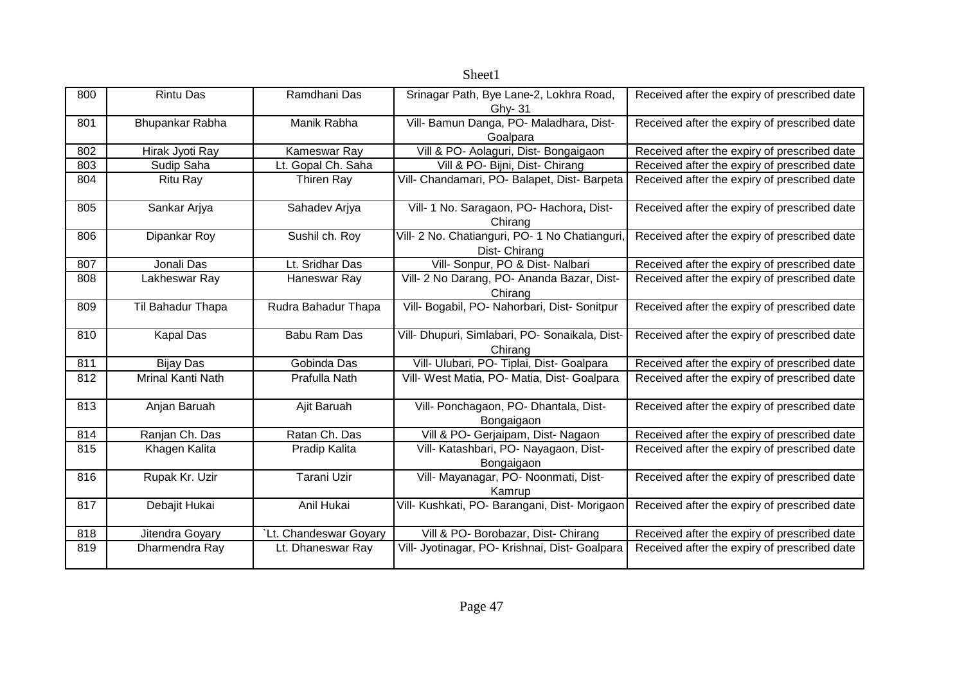|     |                   |                       | oncen                                                         |                                              |
|-----|-------------------|-----------------------|---------------------------------------------------------------|----------------------------------------------|
| 800 | <b>Rintu Das</b>  | Ramdhani Das          | Srinagar Path, Bye Lane-2, Lokhra Road,<br>Ghy- 31            | Received after the expiry of prescribed date |
| 801 | Bhupankar Rabha   | Manik Rabha           | Vill- Bamun Danga, PO- Maladhara, Dist-<br>Goalpara           | Received after the expiry of prescribed date |
| 802 | Hirak Jyoti Ray   | Kameswar Ray          | Vill & PO- Aolaguri, Dist- Bongaigaon                         | Received after the expiry of prescribed date |
| 803 | Sudip Saha        | Lt. Gopal Ch. Saha    | Vill & PO- Bijni, Dist- Chirang                               | Received after the expiry of prescribed date |
| 804 | Ritu Ray          | Thiren Ray            | Vill- Chandamari, PO- Balapet, Dist- Barpeta                  | Received after the expiry of prescribed date |
| 805 | Sankar Arjya      | Sahadev Arjya         | Vill- 1 No. Saragaon, PO- Hachora, Dist-<br>Chirang           | Received after the expiry of prescribed date |
| 806 | Dipankar Roy      | Sushil ch. Roy        | Vill- 2 No. Chatianguri, PO- 1 No Chatianguri<br>Dist-Chirang | Received after the expiry of prescribed date |
| 807 | Jonali Das        | Lt. Sridhar Das       | Vill- Sonpur, PO & Dist- Nalbari                              | Received after the expiry of prescribed date |
| 808 | Lakheswar Ray     | Haneswar Ray          | Vill- 2 No Darang, PO- Ananda Bazar, Dist-<br>Chirang         | Received after the expiry of prescribed date |
| 809 | Til Bahadur Thapa | Rudra Bahadur Thapa   | Vill- Bogabil, PO- Nahorbari, Dist- Sonitpur                  | Received after the expiry of prescribed date |
| 810 | <b>Kapal Das</b>  | Babu Ram Das          | Vill- Dhupuri, Simlabari, PO- Sonaikala, Dist-<br>Chirang     | Received after the expiry of prescribed date |
| 811 | <b>Bijay Das</b>  | Gobinda Das           | Vill- Ulubari, PO- Tiplai, Dist- Goalpara                     | Received after the expiry of prescribed date |
| 812 | Mrinal Kanti Nath | Prafulla Nath         | Vill- West Matia, PO- Matia, Dist- Goalpara                   | Received after the expiry of prescribed date |
| 813 | Anjan Baruah      | Ajit Baruah           | Vill- Ponchagaon, PO- Dhantala, Dist-<br>Bongaigaon           | Received after the expiry of prescribed date |
| 814 | Ranjan Ch. Das    | Ratan Ch. Das         | Vill & PO- Gerjaipam, Dist- Nagaon                            | Received after the expiry of prescribed date |
| 815 | Khagen Kalita     | Pradip Kalita         | Vill- Katashbari, PO- Nayagaon, Dist-<br>Bongaigaon           | Received after the expiry of prescribed date |
| 816 | Rupak Kr. Uzir    | Tarani Uzir           | Vill- Mayanagar, PO- Noonmati, Dist-<br>Kamrup                | Received after the expiry of prescribed date |
| 817 | Debajit Hukai     | Anil Hukai            | Vill- Kushkati, PO- Barangani, Dist- Morigaon                 | Received after the expiry of prescribed date |
| 818 | Jitendra Goyary   | Lt. Chandeswar Goyary | Vill & PO- Borobazar, Dist- Chirang                           | Received after the expiry of prescribed date |
| 819 | Dharmendra Ray    | Lt. Dhaneswar Ray     | Vill- Jyotinagar, PO- Krishnai, Dist- Goalpara                | Received after the expiry of prescribed date |